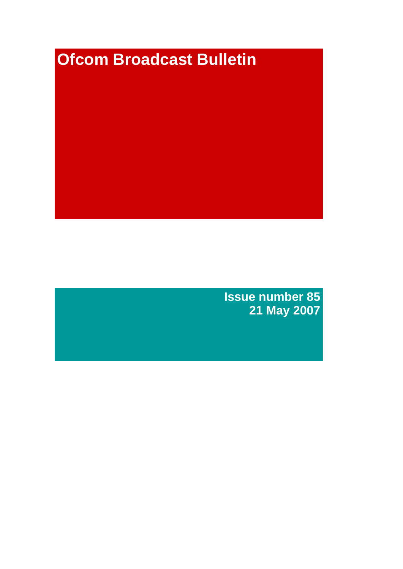# **Ofcom Broadcast Bulletin**

**Issue number 85 21 May 2007**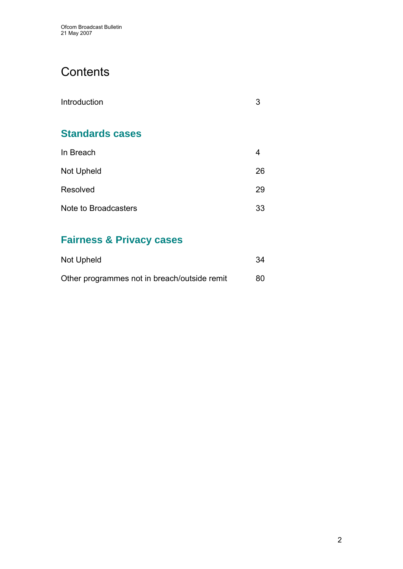# **Contents**

| Introduction           | З  |
|------------------------|----|
| <b>Standards cases</b> |    |
| In Breach              | 4  |
| <b>Not Upheld</b>      | 26 |
| Resolved               | 29 |
| Note to Broadcasters   | 33 |

# **Fairness & Privacy cases**

| Not Upheld                                   | 34  |
|----------------------------------------------|-----|
| Other programmes not in breach/outside remit | 80. |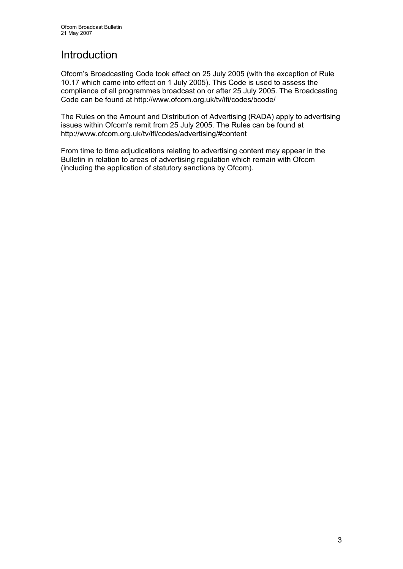# Introduction

Ofcom's Broadcasting Code took effect on 25 July 2005 (with the exception of Rule 10.17 which came into effect on 1 July 2005). This Code is used to assess the compliance of all programmes broadcast on or after 25 July 2005. The Broadcasting Code can be found at http://www.ofcom.org.uk/tv/ifi/codes/bcode/

The Rules on the Amount and Distribution of Advertising (RADA) apply to advertising issues within Ofcom's remit from 25 July 2005. The Rules can be found at http://www.ofcom.org.uk/tv/ifi/codes/advertising/#content

From time to time adjudications relating to advertising content may appear in the Bulletin in relation to areas of advertising regulation which remain with Ofcom (including the application of statutory sanctions by Ofcom).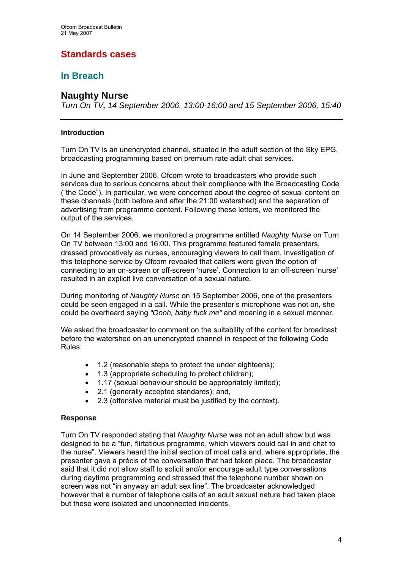# **Standards cases**

# **In Breach**

# **Naughty Nurse**

*Turn On TV, 14 September 2006, 13:00-16:00 and 15 September 2006, 15:40* 

# **Introduction**

Turn On TV is an unencrypted channel, situated in the adult section of the Sky EPG, broadcasting programming based on premium rate adult chat services.

In June and September 2006, Ofcom wrote to broadcasters who provide such services due to serious concerns about their compliance with the Broadcasting Code ("the Code"). In particular, we were concerned about the degree of sexual content on these channels (both before and after the 21:00 watershed) and the separation of advertising from programme content. Following these letters, we monitored the output of the services.

On 14 September 2006, we monitored a programme entitled *Naughty Nurse* on Turn On TV between 13:00 and 16:00. This programme featured female presenters, dressed provocatively as nurses, encouraging viewers to call them. Investigation of this telephone service by Ofcom revealed that callers were given the option of connecting to an on-screen or off-screen 'nurse'. Connection to an off-screen 'nurse' resulted in an explicit live conversation of a sexual nature.

During monitoring of *Naughty Nurse* on 15 September 2006, one of the presenters could be seen engaged in a call. While the presenter's microphone was not on, she could be overheard saying *"Oooh, baby fuck me"* and moaning in a sexual manner.

We asked the broadcaster to comment on the suitability of the content for broadcast before the watershed on an unencrypted channel in respect of the following Code Rules:

- 1.2 (reasonable steps to protect the under eighteens);
- 1.3 (appropriate scheduling to protect children);
- 1.17 (sexual behaviour should be appropriately limited);
- 2.1 (generally accepted standards); and,
- 2.3 (offensive material must be justified by the context).

# **Response**

Turn On TV responded stating that *Naughty Nurse* was not an adult show but was designed to be a "fun, flirtatious programme, which viewers could call in and chat to the nurse". Viewers heard the initial section of most calls and, where appropriate, the presenter gave a précis of the conversation that had taken place. The broadcaster said that it did not allow staff to solicit and/or encourage adult type conversations during daytime programming and stressed that the telephone number shown on screen was not "in anyway an adult sex line". The broadcaster acknowledged however that a number of telephone calls of an adult sexual nature had taken place but these were isolated and unconnected incidents.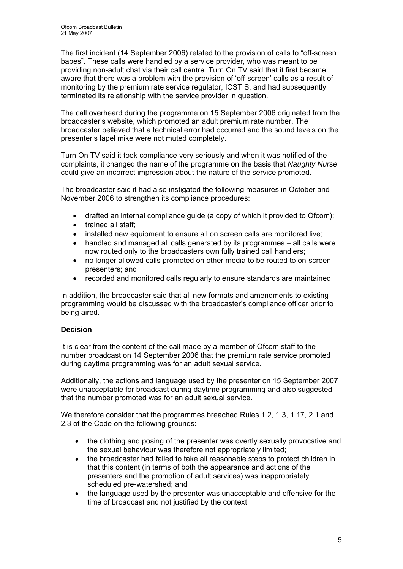The first incident (14 September 2006) related to the provision of calls to "off-screen babes". These calls were handled by a service provider, who was meant to be providing non-adult chat via their call centre. Turn On TV said that it first became aware that there was a problem with the provision of 'off-screen' calls as a result of monitoring by the premium rate service regulator, ICSTIS, and had subsequently terminated its relationship with the service provider in question.

The call overheard during the programme on 15 September 2006 originated from the broadcaster's website, which promoted an adult premium rate number. The broadcaster believed that a technical error had occurred and the sound levels on the presenter's lapel mike were not muted completely.

Turn On TV said it took compliance very seriously and when it was notified of the complaints, it changed the name of the programme on the basis that *Naughty Nurse* could give an incorrect impression about the nature of the service promoted.

The broadcaster said it had also instigated the following measures in October and November 2006 to strengthen its compliance procedures:

- drafted an internal compliance guide (a copy of which it provided to Ofcom);
- trained all staff;
- installed new equipment to ensure all on screen calls are monitored live;
- handled and managed all calls generated by its programmes all calls were now routed only to the broadcasters own fully trained call handlers;
- no longer allowed calls promoted on other media to be routed to on-screen presenters; and
- recorded and monitored calls regularly to ensure standards are maintained.

In addition, the broadcaster said that all new formats and amendments to existing programming would be discussed with the broadcaster's compliance officer prior to being aired.

# **Decision**

It is clear from the content of the call made by a member of Ofcom staff to the number broadcast on 14 September 2006 that the premium rate service promoted during daytime programming was for an adult sexual service.

Additionally, the actions and language used by the presenter on 15 September 2007 were unacceptable for broadcast during daytime programming and also suggested that the number promoted was for an adult sexual service.

We therefore consider that the programmes breached Rules 1.2, 1.3, 1.17, 2.1 and 2.3 of the Code on the following grounds:

- the clothing and posing of the presenter was overtly sexually provocative and the sexual behaviour was therefore not appropriately limited;
- the broadcaster had failed to take all reasonable steps to protect children in that this content (in terms of both the appearance and actions of the presenters and the promotion of adult services) was inappropriately scheduled pre-watershed; and
- the language used by the presenter was unacceptable and offensive for the time of broadcast and not justified by the context.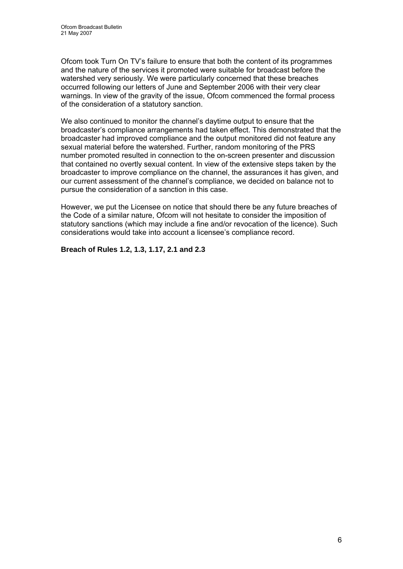Ofcom took Turn On TV's failure to ensure that both the content of its programmes and the nature of the services it promoted were suitable for broadcast before the watershed very seriously. We were particularly concerned that these breaches occurred following our letters of June and September 2006 with their very clear warnings. In view of the gravity of the issue, Ofcom commenced the formal process of the consideration of a statutory sanction.

We also continued to monitor the channel's daytime output to ensure that the broadcaster's compliance arrangements had taken effect. This demonstrated that the broadcaster had improved compliance and the output monitored did not feature any sexual material before the watershed. Further, random monitoring of the PRS number promoted resulted in connection to the on-screen presenter and discussion that contained no overtly sexual content. In view of the extensive steps taken by the broadcaster to improve compliance on the channel, the assurances it has given, and our current assessment of the channel's compliance, we decided on balance not to pursue the consideration of a sanction in this case.

However, we put the Licensee on notice that should there be any future breaches of the Code of a similar nature, Ofcom will not hesitate to consider the imposition of statutory sanctions (which may include a fine and/or revocation of the licence). Such considerations would take into account a licensee's compliance record.

# **Breach of Rules 1.2, 1.3, 1.17, 2.1 and 2.3**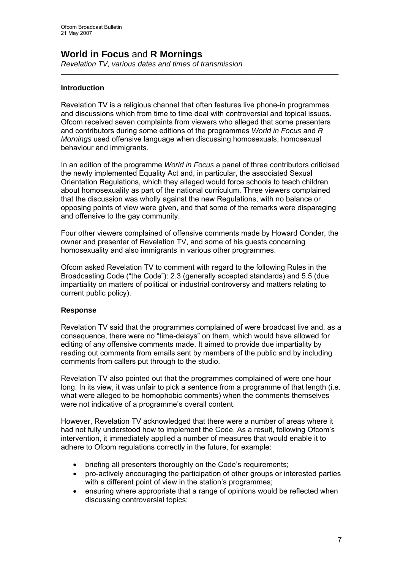# **World in Focus** and **R Mornings**

*Revelation TV, various dates and times of transmission*

# **Introduction**

Revelation TV is a religious channel that often features live phone-in programmes and discussions which from time to time deal with controversial and topical issues. Ofcom received seven complaints from viewers who alleged that some presenters and contributors during some editions of the programmes *World in Focus* and *R Mornings* used offensive language when discussing homosexuals, homosexual behaviour and immigrants.

 $\_$  , and the state of the state of the state of the state of the state of the state of the state of the state of the state of the state of the state of the state of the state of the state of the state of the state of the

In an edition of the programme *World in Focus* a panel of three contributors criticised the newly implemented Equality Act and, in particular, the associated Sexual Orientation Regulations, which they alleged would force schools to teach children about homosexuality as part of the national curriculum. Three viewers complained that the discussion was wholly against the new Regulations, with no balance or opposing points of view were given, and that some of the remarks were disparaging and offensive to the gay community.

Four other viewers complained of offensive comments made by Howard Conder, the owner and presenter of Revelation TV, and some of his guests concerning homosexuality and also immigrants in various other programmes.

Ofcom asked Revelation TV to comment with regard to the following Rules in the Broadcasting Code ("the Code"): 2.3 (generally accepted standards) and 5.5 (due impartiality on matters of political or industrial controversy and matters relating to current public policy).

# **Response**

Revelation TV said that the programmes complained of were broadcast live and, as a consequence, there were no "time-delays" on them, which would have allowed for editing of any offensive comments made. It aimed to provide due impartiality by reading out comments from emails sent by members of the public and by including comments from callers put through to the studio.

Revelation TV also pointed out that the programmes complained of were one hour long. In its view, it was unfair to pick a sentence from a programme of that length (i.e. what were alleged to be homophobic comments) when the comments themselves were not indicative of a programme's overall content.

However, Revelation TV acknowledged that there were a number of areas where it had not fully understood how to implement the Code. As a result, following Ofcom's intervention, it immediately applied a number of measures that would enable it to adhere to Ofcom regulations correctly in the future, for example:

- briefing all presenters thoroughly on the Code's requirements;
- pro-actively encouraging the participation of other groups or interested parties with a different point of view in the station's programmes;
- ensuring where appropriate that a range of opinions would be reflected when discussing controversial topics;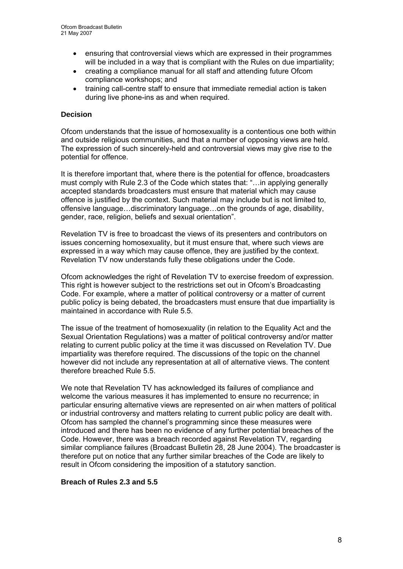- ensuring that controversial views which are expressed in their programmes will be included in a way that is compliant with the Rules on due impartiality;
- creating a compliance manual for all staff and attending future Ofcom compliance workshops; and
- training call-centre staff to ensure that immediate remedial action is taken during live phone-ins as and when required.

# **Decision**

Ofcom understands that the issue of homosexuality is a contentious one both within and outside religious communities, and that a number of opposing views are held. The expression of such sincerely-held and controversial views may give rise to the potential for offence.

It is therefore important that, where there is the potential for offence, broadcasters must comply with Rule 2.3 of the Code which states that: "…in applying generally accepted standards broadcasters must ensure that material which may cause offence is justified by the context. Such material may include but is not limited to, offensive language…discriminatory language…on the grounds of age, disability, gender, race, religion, beliefs and sexual orientation".

Revelation TV is free to broadcast the views of its presenters and contributors on issues concerning homosexuality, but it must ensure that, where such views are expressed in a way which may cause offence, they are justified by the context. Revelation TV now understands fully these obligations under the Code.

Ofcom acknowledges the right of Revelation TV to exercise freedom of expression. This right is however subject to the restrictions set out in Ofcom's Broadcasting Code. For example, where a matter of political controversy or a matter of current public policy is being debated, the broadcasters must ensure that due impartiality is maintained in accordance with Rule 5.5.

The issue of the treatment of homosexuality (in relation to the Equality Act and the Sexual Orientation Regulations) was a matter of political controversy and/or matter relating to current public policy at the time it was discussed on Revelation TV. Due impartiality was therefore required. The discussions of the topic on the channel however did not include any representation at all of alternative views. The content therefore breached Rule 5.5.

We note that Revelation TV has acknowledged its failures of compliance and welcome the various measures it has implemented to ensure no recurrence; in particular ensuring alternative views are represented on air when matters of political or industrial controversy and matters relating to current public policy are dealt with. Ofcom has sampled the channel's programming since these measures were introduced and there has been no evidence of any further potential breaches of the Code. However, there was a breach recorded against Revelation TV, regarding similar compliance failures (Broadcast Bulletin 28, 28 June 2004). The broadcaster is therefore put on notice that any further similar breaches of the Code are likely to result in Ofcom considering the imposition of a statutory sanction.

# **Breach of Rules 2.3 and 5.5**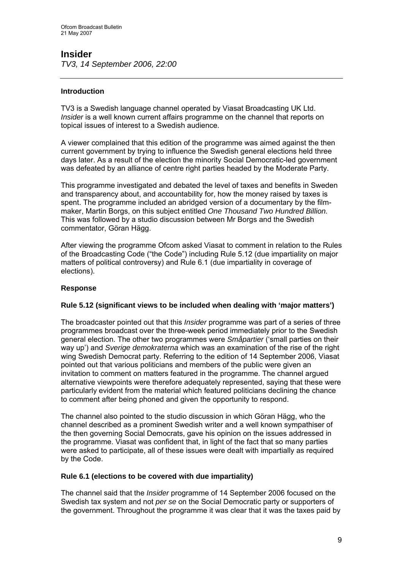# **Insider**

*TV3, 14 September 2006, 22:00* 

# **Introduction**

TV3 is a Swedish language channel operated by Viasat Broadcasting UK Ltd. *Insider* is a well known current affairs programme on the channel that reports on topical issues of interest to a Swedish audience.

A viewer complained that this edition of the programme was aimed against the then current government by trying to influence the Swedish general elections held three days later. As a result of the election the minority Social Democratic-led government was defeated by an alliance of centre right parties headed by the Moderate Party.

This programme investigated and debated the level of taxes and benefits in Sweden and transparency about, and accountability for, how the money raised by taxes is spent. The programme included an abridged version of a documentary by the filmmaker, Martin Borgs, on this subject entitled *One Thousand Two Hundred Billion.* This was followed by a studio discussion between Mr Borgs and the Swedish commentator, Göran Hägg.

After viewing the programme Ofcom asked Viasat to comment in relation to the Rules of the Broadcasting Code ("the Code") including Rule 5.12 (due impartiality on major matters of political controversy) and Rule 6.1 (due impartiality in coverage of elections).

# **Response**

# **Rule 5.12 (significant views to be included when dealing with 'major matters')**

The broadcaster pointed out that this *Insider* programme was part of a series of three programmes broadcast over the three-week period immediately prior to the Swedish general election. The other two programmes were *Småpartier* ('small parties on their way up') and *Sverige demokraterna* which was an examination of the rise of the right wing Swedish Democrat party. Referring to the edition of 14 September 2006, Viasat pointed out that various politicians and members of the public were given an invitation to comment on matters featured in the programme. The channel argued alternative viewpoints were therefore adequately represented, saying that these were particularly evident from the material which featured politicians declining the chance to comment after being phoned and given the opportunity to respond.

The channel also pointed to the studio discussion in which Göran Hägg, who the channel described as a prominent Swedish writer and a well known sympathiser of the then governing Social Democrats, gave his opinion on the issues addressed in the programme. Viasat was confident that, in light of the fact that so many parties were asked to participate, all of these issues were dealt with impartially as required by the Code.

# **Rule 6.1 (elections to be covered with due impartiality)**

The channel said that the *Insider* programme of 14 September 2006 focused on the Swedish tax system and not *per se* on the Social Democratic party or supporters of the government. Throughout the programme it was clear that it was the taxes paid by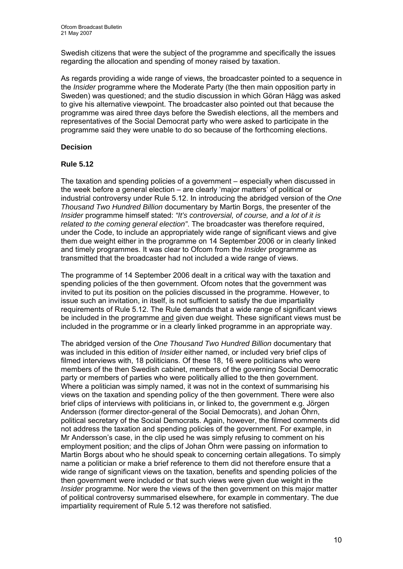Swedish citizens that were the subject of the programme and specifically the issues regarding the allocation and spending of money raised by taxation.

As regards providing a wide range of views, the broadcaster pointed to a sequence in the *Insider* programme where the Moderate Party (the then main opposition party in Sweden) was questioned; and the studio discussion in which Göran Hägg was asked to give his alternative viewpoint. The broadcaster also pointed out that because the programme was aired three days before the Swedish elections, all the members and representatives of the Social Democrat party who were asked to participate in the programme said they were unable to do so because of the forthcoming elections.

# **Decision**

# **Rule 5.12**

The taxation and spending policies of a government – especially when discussed in the week before a general election – are clearly 'major matters' of political or industrial controversy under Rule 5.12. In introducing the abridged version of the *One Thousand Two Hundred Billion* documentary by Martin Borgs, the presenter of the *Insider* programme himself stated: *"It's controversial, of course, and a lot of it is related to the coming general election"*. The broadcaster was therefore required, under the Code, to include an appropriately wide range of significant views and give them due weight either in the programme on 14 September 2006 or in clearly linked and timely programmes. It was clear to Ofcom from the *Insider* programme as transmitted that the broadcaster had not included a wide range of views.

The programme of 14 September 2006 dealt in a critical way with the taxation and spending policies of the then government. Ofcom notes that the government was invited to put its position on the policies discussed in the programme. However, to issue such an invitation, in itself, is not sufficient to satisfy the due impartiality requirements of Rule 5.12. The Rule demands that a wide range of significant views be included in the programme and given due weight. These significant views must be included in the programme or in a clearly linked programme in an appropriate way.

The abridged version of the *One Thousand Two Hundred Billion* documentary that was included in this edition of *Insider* either named, or included very brief clips of filmed interviews with, 18 politicians. Of these 18, 16 were politicians who were members of the then Swedish cabinet, members of the governing Social Democratic party or members of parties who were politically allied to the then government. Where a politician was simply named, it was not in the context of summarising his views on the taxation and spending policy of the then government. There were also brief clips of interviews with politicians in, or linked to, the government e.g. Jörgen Andersson (former director-general of the Social Democrats), and Johan Öhrn, political secretary of the Social Democrats. Again, however, the filmed comments did not address the taxation and spending policies of the government. For example, in Mr Andersson's case, in the clip used he was simply refusing to comment on his employment position; and the clips of Johan Öhrn were passing on information to Martin Borgs about who he should speak to concerning certain allegations. To simply name a politician or make a brief reference to them did not therefore ensure that a wide range of significant views on the taxation, benefits and spending policies of the then government were included or that such views were given due weight in the *Insider* programme. Nor were the views of the then government on this major matter of political controversy summarised elsewhere, for example in commentary. The due impartiality requirement of Rule 5.12 was therefore not satisfied.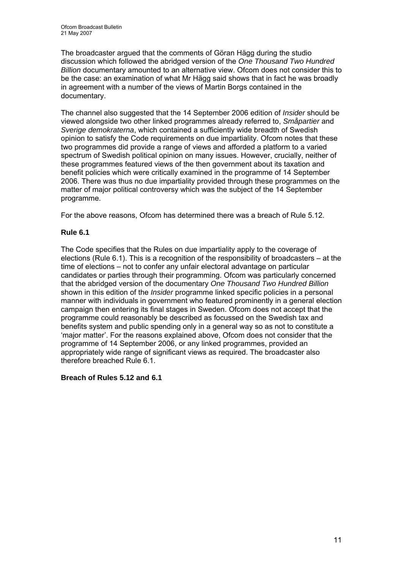The broadcaster argued that the comments of Göran Hägg during the studio discussion which followed the abridged version of the *One Thousand Two Hundred Billion* documentary amounted to an alternative view. Ofcom does not consider this to be the case: an examination of what Mr Hägg said shows that in fact he was broadly in agreement with a number of the views of Martin Borgs contained in the documentary.

The channel also suggested that the 14 September 2006 edition of *Insider* should be viewed alongside two other linked programmes already referred to, *Småpartier* and *Sverige demokraterna*, which contained a sufficiently wide breadth of Swedish opinion to satisfy the Code requirements on due impartiality. Ofcom notes that these two programmes did provide a range of views and afforded a platform to a varied spectrum of Swedish political opinion on many issues. However, crucially, neither of these programmes featured views of the then government about its taxation and benefit policies which were critically examined in the programme of 14 September 2006. There was thus no due impartiality provided through these programmes on the matter of major political controversy which was the subject of the 14 September programme.

For the above reasons, Ofcom has determined there was a breach of Rule 5.12.

# **Rule 6.1**

The Code specifies that the Rules on due impartiality apply to the coverage of elections (Rule 6.1). This is a recognition of the responsibility of broadcasters – at the time of elections – not to confer any unfair electoral advantage on particular candidates or parties through their programming. Ofcom was particularly concerned that the abridged version of the documentary *One Thousand Two Hundred Billion* shown in this edition of the *Insider* programme linked specific policies in a personal manner with individuals in government who featured prominently in a general election campaign then entering its final stages in Sweden. Ofcom does not accept that the programme could reasonably be described as focussed on the Swedish tax and benefits system and public spending only in a general way so as not to constitute a 'major matter'. For the reasons explained above, Ofcom does not consider that the programme of 14 September 2006, or any linked programmes, provided an appropriately wide range of significant views as required. The broadcaster also therefore breached Rule 6.1.

# **Breach of Rules 5.12 and 6.1**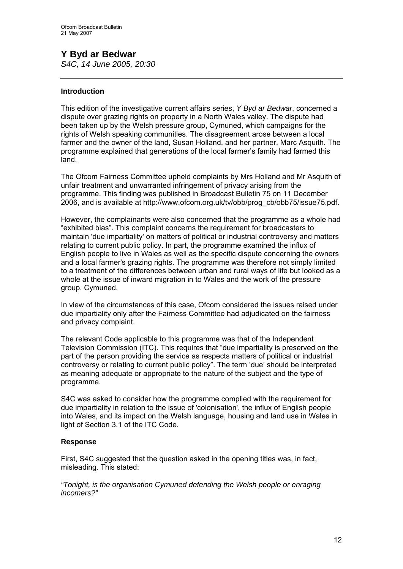# **Y Byd ar Bedwar**  *S4C, 14 June 2005, 20:30*

# **Introduction**

This edition of the investigative current affairs series, *Y Byd ar Bedwar*, concerned a dispute over grazing rights on property in a North Wales valley. The dispute had been taken up by the Welsh pressure group, Cymuned, which campaigns for the rights of Welsh speaking communities. The disagreement arose between a local farmer and the owner of the land, Susan Holland, and her partner, Marc Asquith. The programme explained that generations of the local farmer's family had farmed this land.

The Ofcom Fairness Committee upheld complaints by Mrs Holland and Mr Asquith of unfair treatment and unwarranted infringement of privacy arising from the programme. This finding was published in Broadcast Bulletin 75 on 11 December 2006, and is available at [http://www.ofcom.org.uk/tv/obb/prog\\_cb/obb75/issue75.pdf.](http://www.ofcom.org.uk/tv/obb/prog_cb/obb75/issue75.pdf)

However, the complainants were also concerned that the programme as a whole had "exhibited bias". This complaint concerns the requirement for broadcasters to maintain 'due impartiality' on matters of political or industrial controversy and matters relating to current public policy. In part, the programme examined the influx of English people to live in Wales as well as the specific dispute concerning the owners and a local farmer's grazing rights. The programme was therefore not simply limited to a treatment of the differences between urban and rural ways of life but looked as a whole at the issue of inward migration in to Wales and the work of the pressure group, Cymuned.

In view of the circumstances of this case, Ofcom considered the issues raised under due impartiality only after the Fairness Committee had adjudicated on the fairness and privacy complaint.

The relevant Code applicable to this programme was that of the Independent Television Commission (ITC). This requires that "due impartiality is preserved on the part of the person providing the service as respects matters of political or industrial controversy or relating to current public policy". The term 'due' should be interpreted as meaning adequate or appropriate to the nature of the subject and the type of programme.

S4C was asked to consider how the programme complied with the requirement for due impartiality in relation to the issue of 'colonisation', the influx of English people into Wales, and its impact on the Welsh language, housing and land use in Wales in light of Section 3.1 of the ITC Code.

# **Response**

First, S4C suggested that the question asked in the opening titles was, in fact, misleading. This stated:

*"Tonight, is the organisation Cymuned defending the Welsh people or enraging incomers?"*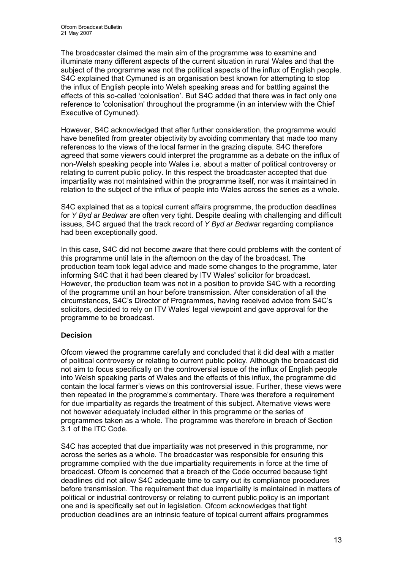The broadcaster claimed the main aim of the programme was to examine and illuminate many different aspects of the current situation in rural Wales and that the subject of the programme was not the political aspects of the influx of English people. S4C explained that Cymuned is an organisation best known for attempting to stop the influx of English people into Welsh speaking areas and for battling against the effects of this so-called 'colonisation'. But S4C added that there was in fact only one reference to 'colonisation' throughout the programme (in an interview with the Chief Executive of Cymuned).

However, S4C acknowledged that after further consideration, the programme would have benefited from greater objectivity by avoiding commentary that made too many references to the views of the local farmer in the grazing dispute. S4C therefore agreed that some viewers could interpret the programme as a debate on the influx of non-Welsh speaking people into Wales i.e. about a matter of political controversy or relating to current public policy. In this respect the broadcaster accepted that due impartiality was not maintained within the programme itself, nor was it maintained in relation to the subject of the influx of people into Wales across the series as a whole.

S4C explained that as a topical current affairs programme, the production deadlines for *Y Byd ar Bedwar* are often very tight. Despite dealing with challenging and difficult issues, S4C argued that the track record of *Y Byd ar Bedwar* regarding compliance had been exceptionally good.

In this case, S4C did not become aware that there could problems with the content of this programme until late in the afternoon on the day of the broadcast. The production team took legal advice and made some changes to the programme, later informing S4C that it had been cleared by ITV Wales' solicitor for broadcast. However, the production team was not in a position to provide S4C with a recording of the programme until an hour before transmission. After consideration of all the circumstances, S4C's Director of Programmes, having received advice from S4C's solicitors, decided to rely on ITV Wales' legal viewpoint and gave approval for the programme to be broadcast.

# **Decision**

Ofcom viewed the programme carefully and concluded that it did deal with a matter of political controversy or relating to current public policy. Although the broadcast did not aim to focus specifically on the controversial issue of the influx of English people into Welsh speaking parts of Wales and the effects of this influx, the programme did contain the local farmer's views on this controversial issue. Further, these views were then repeated in the programme's commentary. There was therefore a requirement for due impartiality as regards the treatment of this subject. Alternative views were not however adequately included either in this programme or the series of programmes taken as a whole. The programme was therefore in breach of Section 3.1 of the ITC Code.

S4C has accepted that due impartiality was not preserved in this programme, nor across the series as a whole. The broadcaster was responsible for ensuring this programme complied with the due impartiality requirements in force at the time of broadcast. Ofcom is concerned that a breach of the Code occurred because tight deadlines did not allow S4C adequate time to carry out its compliance procedures before transmission. The requirement that due impartiality is maintained in matters of political or industrial controversy or relating to current public policy is an important one and is specifically set out in legislation. Ofcom acknowledges that tight production deadlines are an intrinsic feature of topical current affairs programmes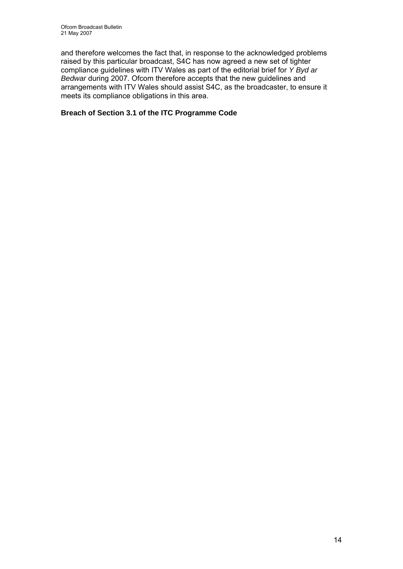and therefore welcomes the fact that, in response to the acknowledged problems raised by this particular broadcast, S4C has now agreed a new set of tighter compliance guidelines with ITV Wales as part of the editorial brief for *Y Byd ar Bedwar* during 2007. Ofcom therefore accepts that the new guidelines and arrangements with ITV Wales should assist S4C, as the broadcaster, to ensure it meets its compliance obligations in this area.

# **Breach of Section 3.1 of the ITC Programme Code**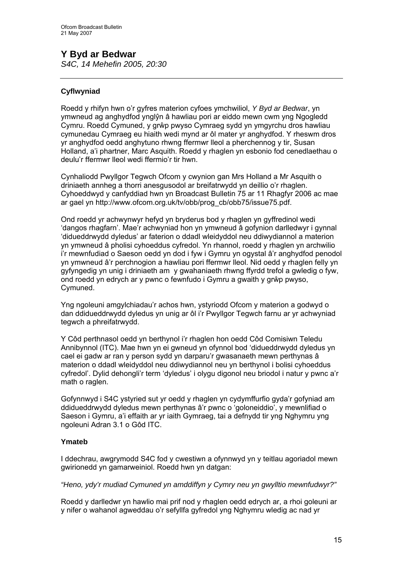# **Y Byd ar Bedwar**

*S4C, 14 Mehefin 2005, 20:30* 

# **Cyflwyniad**

Roedd y rhifyn hwn o'r gyfres materion cyfoes ymchwiliol, *Y Byd ar Bedwar*, yn ymwneud ag anghydfod ynglŷn â hawliau pori ar eiddo mewn cwm yng Ngogledd Cymru. Roedd Cymuned, y grŵp pwyso Cymraeg sydd yn ymgyrchu dros hawliau cymunedau Cymraeg eu hiaith wedi mynd ar ôl mater yr anghydfod. Y rheswm dros yr anghydfod oedd anghytuno rhwng ffermwr lleol a pherchennog y tir, Susan Holland, a'i phartner, Marc Asquith. Roedd y rhaglen yn esbonio fod cenedlaethau o deulu'r ffermwr lleol wedi ffermio'r tir hwn.

Cynhaliodd Pwyllgor Tegwch Ofcom y cwynion gan Mrs Holland a Mr Asquith o driniaeth annheg a thorri anesgusodol ar breifatrwydd yn deillio o'r rhaglen. Cyhoeddwyd y canfyddiad hwn yn Broadcast Bulletin 75 ar 11 Rhagfyr 2006 ac mae ar gael yn [http://www.ofcom.org.uk/tv/obb/prog\\_cb/obb75/issue75.pdf](http://www.ofcom.org.uk/tv/obb/prog_cb/obb75/issue75.pdf).

Ond roedd yr achwynwyr hefyd yn bryderus bod y rhaglen yn gyffredinol wedi 'dangos rhagfarn'. Mae'r achwyniad hon yn ymwneud â gofynion darlledwyr i gynnal 'didueddrwydd dyledus' ar faterion o ddadl wleidyddol neu ddiwydiannol a materion yn ymwneud â pholisi cyhoeddus cyfredol. Yn rhannol, roedd y rhaglen yn archwilio i'r mewnfudiad o Saeson oedd yn dod i fyw i Gymru yn ogystal â'r anghydfod penodol yn ymwneud â'r perchnogion a hawliau pori ffermwr lleol. Nid oedd y rhaglen felly yn gyfyngedig yn unig i driniaeth am y gwahaniaeth rhwng ffyrdd trefol a gwledig o fyw, ond roedd yn edrych ar y pwnc o fewnfudo i Gymru a gwaith y grŵp pwyso, Cymuned.

Yng ngoleuni amgylchiadau'r achos hwn, ystyriodd Ofcom y materion a godwyd o dan ddidueddrwydd dyledus yn unig ar ôl i'r Pwyllgor Tegwch farnu ar yr achwyniad tegwch a phreifatrwydd.

Y Côd perthnasol oedd yn berthynol i'r rhaglen hon oedd Côd Comisiwn Teledu Annibynnol (ITC). Mae hwn yn ei gwneud yn ofynnol bod 'didueddrwydd dyledus yn cael ei gadw ar ran y person sydd yn darparu'r gwasanaeth mewn perthynas â materion o ddadl wleidyddol neu ddiwydiannol neu yn berthynol i bolisi cyhoeddus cyfredol'. Dylid dehongli'r term 'dyledus' i olygu digonol neu briodol i natur y pwnc a'r math o raglen.

Gofynnwyd i S4C ystyried sut yr oedd y rhaglen yn cydymffurfio gyda'r gofyniad am ddidueddrwydd dyledus mewn perthynas â'r pwnc o 'goloneiddio', y mewnlifiad o Saeson i Gymru, a'i effaith ar yr iaith Gymraeg, tai a defnydd tir yng Nghymru yng ngoleuni Adran 3.1 o Gôd ITC.

# **Ymateb**

I ddechrau, awgrymodd S4C fod y cwestiwn a ofynnwyd yn y teitlau agoriadol mewn gwirionedd yn gamarweiniol. Roedd hwn yn datgan:

# *"Heno, ydy'r mudiad Cymuned yn amddiffyn y Cymry neu yn gwylltio mewnfudwyr?"*

Roedd y darlledwr yn hawlio mai prif nod y rhaglen oedd edrych ar, a rhoi goleuni ar y nifer o wahanol agweddau o'r sefyllfa gyfredol yng Nghymru wledig ac nad yr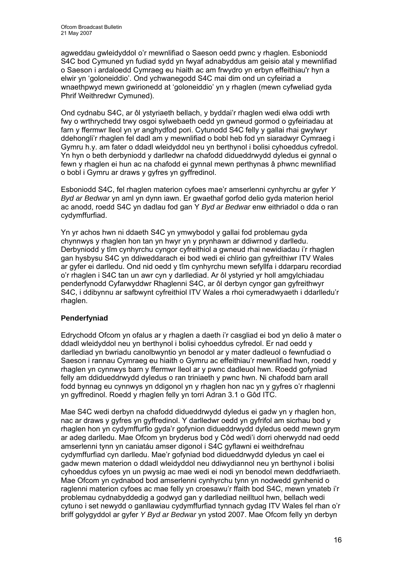agweddau gwleidyddol o'r mewnlifiad o Saeson oedd pwnc y rhaglen. Esboniodd S4C bod Cymuned yn fudiad sydd yn fwyaf adnabyddus am geisio atal y mewnlifiad o Saeson i ardaloedd Cymraeg eu hiaith ac am frwydro yn erbyn effeithiau'r hyn a elwir yn 'goloneiddio'. Ond ychwanegodd S4C mai dim ond un cyfeiriad a wnaethpwyd mewn gwirionedd at 'goloneiddio' yn y rhaglen (mewn cyfweliad gyda Phrif Weithredwr Cymuned).

Ond cydnabu S4C, ar ôl ystyriaeth bellach, y byddai'r rhaglen wedi elwa oddi wrth fwy o wrthrychedd trwy osgoi sylwebaeth oedd yn gwneud gormod o gyfeiriadau at farn y ffermwr lleol yn yr anghydfod pori. Cytunodd S4C felly y gallai rhai gwylwyr ddehongli'r rhaglen fel dadl am y mewnlifiad o bobl heb fod yn siaradwyr Cymraeg i Gymru h.y. am fater o ddadl wleidyddol neu yn berthynol i bolisi cyhoeddus cyfredol. Yn hyn o beth derbyniodd y darlledwr na chafodd didueddrwydd dyledus ei gynnal o fewn y rhaglen ei hun ac na chafodd ei gynnal mewn perthynas â phwnc mewnlifiad o bobl i Gymru ar draws y gyfres yn gyffredinol.

Esboniodd S4C, fel rhaglen materion cyfoes mae'r amserlenni cynhyrchu ar gyfer *Y Byd ar Bedwar* yn aml yn dynn iawn. Er gwaethaf gorfod delio gyda materion heriol ac anodd, roedd S4C yn dadlau fod gan Y *Byd ar Bedwar* enw eithriadol o dda o ran cydymffurfiad.

Yn yr achos hwn ni ddaeth S4C yn ymwybodol y gallai fod problemau gyda chynnwys y rhaglen hon tan yn hwyr yn y prynhawn ar ddiwrnod y darlledu. Derbyniodd y tîm cynhyrchu cyngor cyfreithiol a gwneud rhai newidiadau i'r rhaglen gan hysbysu S4C yn ddiweddarach ei bod wedi ei chlirio gan gyfreithiwr ITV Wales ar gyfer ei darlledu. Ond nid oedd y tîm cynhyrchu mewn sefyllfa i ddarparu recordiad o'r rhaglen i S4C tan un awr cyn y darllediad. Ar ôl ystyried yr holl amgylchiadau penderfynodd Cyfarwyddwr Rhaglenni S4C, ar ôl derbyn cyngor gan gyfreithwyr S4C, i ddibynnu ar safbwynt cyfreithiol ITV Wales a rhoi cymeradwyaeth i ddarlledu'r rhaglen.

# **Penderfyniad**

Edrychodd Ofcom yn ofalus ar y rhaglen a daeth i'r casgliad ei bod yn delio â mater o ddadl wleidyddol neu yn berthynol i bolisi cyhoeddus cyfredol. Er nad oedd y darllediad yn bwriadu canolbwyntio yn benodol ar y mater dadleuol o fewnfudiad o Saeson i rannau Cymraeg eu hiaith o Gymru ac effeithiau'r mewnlifiad hwn, roedd y rhaglen yn cynnwys barn y ffermwr lleol ar y pwnc dadleuol hwn. Roedd gofyniad felly am ddidueddrwydd dyledus o ran triniaeth y pwnc hwn. Ni chafodd barn arall fodd bynnag eu cynnwys yn ddigonol yn y rhaglen hon nac yn y gyfres o'r rhaglenni yn gyffredinol. Roedd y rhaglen felly yn torri Adran 3.1 o Gôd ITC.

Mae S4C wedi derbyn na chafodd didueddrwydd dyledus ei gadw yn y rhaglen hon, nac ar draws y gyfres yn gyffredinol. Y darlledwr oedd yn gyfrifol am sicrhau bod y rhaglen hon yn cydymffurfio gyda'r gofynion didueddrwydd dyledus oedd mewn grym ar adeg darlledu. Mae Ofcom yn bryderus bod y Côd wedi'i dorri oherwydd nad oedd amserlenni tynn yn caniatáu amser digonol i S4C gyflawni ei weithdrefnau cydymffurfiad cyn darlledu. Mae'r gofyniad bod didueddrwydd dyledus yn cael ei gadw mewn materion o ddadl wleidyddol neu ddiwydiannol neu yn berthynol i bolisi cyhoeddus cyfoes yn un pwysig ac mae wedi ei nodi yn benodol mewn deddfwriaeth. Mae Ofcom yn cydnabod bod amserlenni cynhyrchu tynn yn nodwedd gynhenid o raglenni materion cyfoes ac mae felly yn croesawu'r ffaith bod S4C, mewn ymateb i'r problemau cydnabyddedig a godwyd gan y darllediad neilltuol hwn, bellach wedi cytuno i set newydd o ganllawiau cydymffurfiad tynnach gydag ITV Wales fel rhan o'r briff golygyddol ar gyfer *Y Byd ar Bedwar* yn ystod 2007. Mae Ofcom felly yn derbyn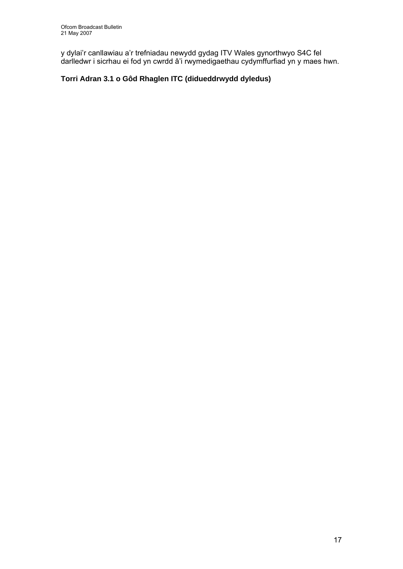y dylai'r canllawiau a'r trefniadau newydd gydag ITV Wales gynorthwyo S4C fel darlledwr i sicrhau ei fod yn cwrdd â'i rwymedigaethau cydymffurfiad yn y maes hwn.

# **Torri Adran 3.1 o Gôd Rhaglen ITC (didueddrwydd dyledus)**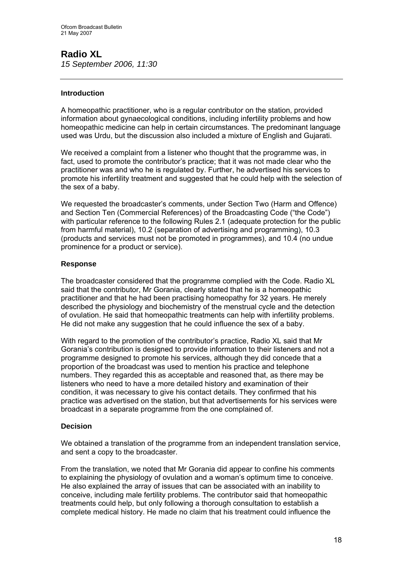# **Radio XL**

*15 September 2006, 11:30* 

# **Introduction**

A homeopathic practitioner, who is a regular contributor on the station, provided information about gynaecological conditions, including infertility problems and how homeopathic medicine can help in certain circumstances. The predominant language used was Urdu, but the discussion also included a mixture of English and Gujarati.

We received a complaint from a listener who thought that the programme was, in fact, used to promote the contributor's practice; that it was not made clear who the practitioner was and who he is regulated by. Further, he advertised his services to promote his infertility treatment and suggested that he could help with the selection of the sex of a baby.

We requested the broadcaster's comments, under Section Two (Harm and Offence) and Section Ten (Commercial References) of the Broadcasting Code ("the Code") with particular reference to the following Rules 2.1 (adequate protection for the public from harmful material), 10.2 (separation of advertising and programming), 10.3 (products and services must not be promoted in programmes), and 10.4 (no undue prominence for a product or service).

# **Response**

The broadcaster considered that the programme complied with the Code. Radio XL said that the contributor, Mr Gorania, clearly stated that he is a homeopathic practitioner and that he had been practising homeopathy for 32 years. He merely described the physiology and biochemistry of the menstrual cycle and the detection of ovulation. He said that homeopathic treatments can help with infertility problems. He did not make any suggestion that he could influence the sex of a baby.

With regard to the promotion of the contributor's practice, Radio XL said that Mr Gorania's contribution is designed to provide information to their listeners and not a programme designed to promote his services, although they did concede that a proportion of the broadcast was used to mention his practice and telephone numbers. They regarded this as acceptable and reasoned that, as there may be listeners who need to have a more detailed history and examination of their condition, it was necessary to give his contact details. They confirmed that his practice was advertised on the station, but that advertisements for his services were broadcast in a separate programme from the one complained of.

# **Decision**

We obtained a translation of the programme from an independent translation service, and sent a copy to the broadcaster.

From the translation, we noted that Mr Gorania did appear to confine his comments to explaining the physiology of ovulation and a woman's optimum time to conceive. He also explained the array of issues that can be associated with an inability to conceive, including male fertility problems. The contributor said that homeopathic treatments could help, but only following a thorough consultation to establish a complete medical history. He made no claim that his treatment could influence the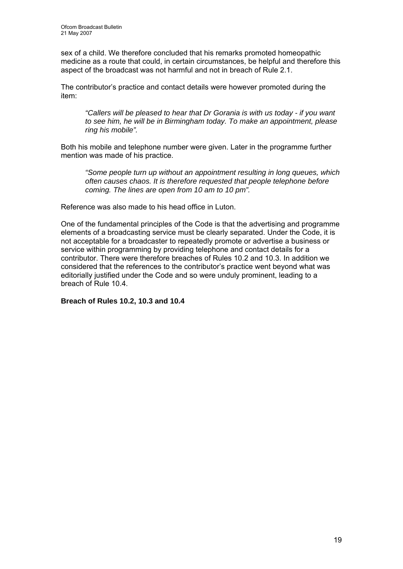sex of a child. We therefore concluded that his remarks promoted homeopathic medicine as a route that could, in certain circumstances, be helpful and therefore this aspect of the broadcast was not harmful and not in breach of Rule 2.1.

The contributor's practice and contact details were however promoted during the item:

*"Callers will be pleased to hear that Dr Gorania is with us today - if you want to see him, he will be in Birmingham today. To make an appointment, please ring his mobile".* 

Both his mobile and telephone number were given. Later in the programme further mention was made of his practice.

*"Some people turn up without an appointment resulting in long queues, which often causes chaos. It is therefore requested that people telephone before coming. The lines are open from 10 am to 10 pm".* 

Reference was also made to his head office in Luton.

One of the fundamental principles of the Code is that the advertising and programme elements of a broadcasting service must be clearly separated. Under the Code, it is not acceptable for a broadcaster to repeatedly promote or advertise a business or service within programming by providing telephone and contact details for a contributor. There were therefore breaches of Rules 10.2 and 10.3. In addition we considered that the references to the contributor's practice went beyond what was editorially justified under the Code and so were unduly prominent, leading to a breach of Rule 10.4.

**Breach of Rules 10.2, 10.3 and 10.4**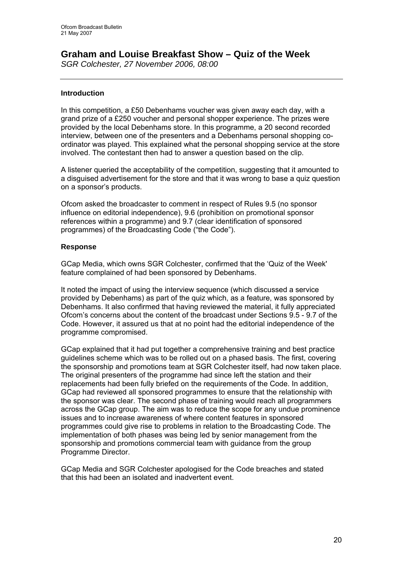# **Graham and Louise Breakfast Show – Quiz of the Week**

*SGR Colchester, 27 November 2006, 08:00* 

# **Introduction**

In this competition, a £50 Debenhams voucher was given away each day, with a grand prize of a £250 voucher and personal shopper experience. The prizes were provided by the local Debenhams store. In this programme, a 20 second recorded interview, between one of the presenters and a Debenhams personal shopping coordinator was played. This explained what the personal shopping service at the store involved. The contestant then had to answer a question based on the clip.

A listener queried the acceptability of the competition, suggesting that it amounted to a disguised advertisement for the store and that it was wrong to base a quiz question on a sponsor's products.

Ofcom asked the broadcaster to comment in respect of Rules 9.5 (no sponsor influence on editorial independence), 9.6 (prohibition on promotional sponsor references within a programme) and 9.7 (clear identification of sponsored programmes) of the Broadcasting Code ("the Code").

# **Response**

GCap Media, which owns SGR Colchester, confirmed that the 'Quiz of the Week' feature complained of had been sponsored by Debenhams.

It noted the impact of using the interview sequence (which discussed a service provided by Debenhams) as part of the quiz which, as a feature, was sponsored by Debenhams. It also confirmed that having reviewed the material, it fully appreciated Ofcom's concerns about the content of the broadcast under Sections 9.5 - 9.7 of the Code. However, it assured us that at no point had the editorial independence of the programme compromised.

GCap explained that it had put together a comprehensive training and best practice guidelines scheme which was to be rolled out on a phased basis. The first, covering the sponsorship and promotions team at SGR Colchester itself, had now taken place. The original presenters of the programme had since left the station and their replacements had been fully briefed on the requirements of the Code. In addition, GCap had reviewed all sponsored programmes to ensure that the relationship with the sponsor was clear. The second phase of training would reach all programmers across the GCap group. The aim was to reduce the scope for any undue prominence issues and to increase awareness of where content features in sponsored programmes could give rise to problems in relation to the Broadcasting Code. The implementation of both phases was being led by senior management from the sponsorship and promotions commercial team with quidance from the group Programme Director.

GCap Media and SGR Colchester apologised for the Code breaches and stated that this had been an isolated and inadvertent event.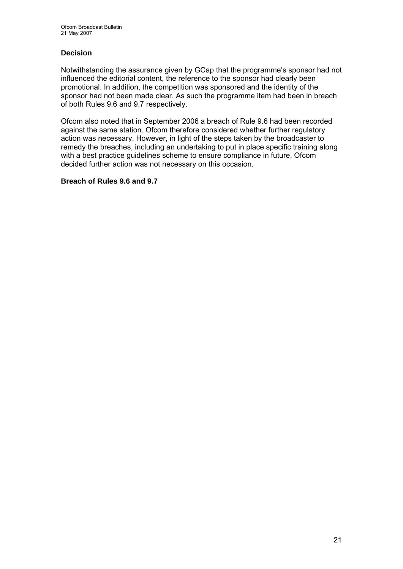# **Decision**

Notwithstanding the assurance given by GCap that the programme's sponsor had not influenced the editorial content, the reference to the sponsor had clearly been promotional. In addition, the competition was sponsored and the identity of the sponsor had not been made clear. As such the programme item had been in breach of both Rules 9.6 and 9.7 respectively.

Ofcom also noted that in September 2006 a breach of Rule 9.6 had been recorded against the same station. Of com therefore considered whether further regulatory action was necessary. However, in light of the steps taken by the broadcaster to remedy the breaches, including an undertaking to put in place specific training along with a best practice guidelines scheme to ensure compliance in future, Ofcom decided further action was not necessary on this occasion.

# **Breach of Rules 9.6 and 9.7**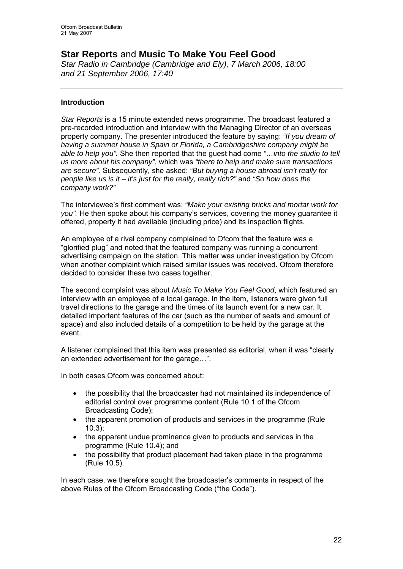# **Star Reports** and **Music To Make You Feel Good**

*Star Radio in Cambridge (Cambridge and Ely), 7 March 2006, 18:00 and 21 September 2006, 17:40* 

# **Introduction**

*Star Reports* is a 15 minute extended news programme. The broadcast featured a pre-recorded introduction and interview with the Managing Director of an overseas property company. The presenter introduced the feature by saying: *"If you dream of having a summer house in Spain or Florida, a Cambridgeshire company might be able to help you".* She then reported that the guest had come *"…into the studio to tell us more about his company"*, which was *"there to help and make sure transactions are secure".* Subsequently, she asked: *"But buying a house abroad isn't really for people like us is it – it's just for the really, really rich?"* and *"So how does the company work?"*

The interviewee's first comment was: *"Make your existing bricks and mortar work for you".* He then spoke about his company's services, covering the money guarantee it offered, property it had available (including price) and its inspection flights.

An employee of a rival company complained to Ofcom that the feature was a "glorified plug" and noted that the featured company was running a concurrent advertising campaign on the station. This matter was under investigation by Ofcom when another complaint which raised similar issues was received. Ofcom therefore decided to consider these two cases together.

The second complaint was about *Music To Make You Feel Good*, which featured an interview with an employee of a local garage. In the item, listeners were given full travel directions to the garage and the times of its launch event for a new car. It detailed important features of the car (such as the number of seats and amount of space) and also included details of a competition to be held by the garage at the event.

A listener complained that this item was presented as editorial, when it was "clearly an extended advertisement for the garage…".

In both cases Ofcom was concerned about:

- the possibility that the broadcaster had not maintained its independence of editorial control over programme content (Rule 10.1 of the Ofcom Broadcasting Code);
- the apparent promotion of products and services in the programme (Rule 10.3);
- the apparent undue prominence given to products and services in the programme (Rule 10.4); and
- the possibility that product placement had taken place in the programme (Rule 10.5).

In each case, we therefore sought the broadcaster's comments in respect of the above Rules of the Ofcom Broadcasting Code ("the Code").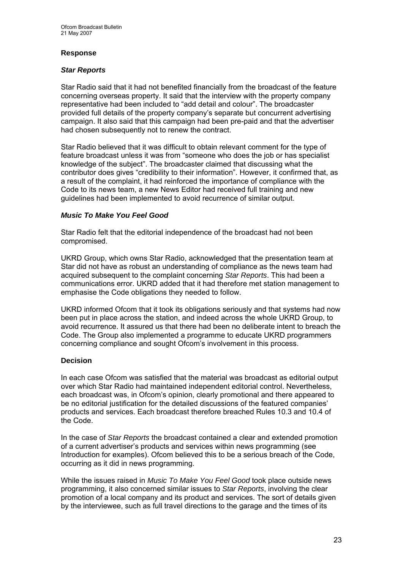# **Response**

### *Star Reports*

Star Radio said that it had not benefited financially from the broadcast of the feature concerning overseas property. It said that the interview with the property company representative had been included to "add detail and colour". The broadcaster provided full details of the property company's separate but concurrent advertising campaign. It also said that this campaign had been pre-paid and that the advertiser had chosen subsequently not to renew the contract.

Star Radio believed that it was difficult to obtain relevant comment for the type of feature broadcast unless it was from "someone who does the job or has specialist knowledge of the subject". The broadcaster claimed that discussing what the contributor does gives "credibility to their information". However, it confirmed that, as a result of the complaint, it had reinforced the importance of compliance with the Code to its news team, a new News Editor had received full training and new guidelines had been implemented to avoid recurrence of similar output.

# *Music To Make You Feel Good*

Star Radio felt that the editorial independence of the broadcast had not been compromised.

UKRD Group, which owns Star Radio, acknowledged that the presentation team at Star did not have as robust an understanding of compliance as the news team had acquired subsequent to the complaint concerning *Star Reports*. This had been a communications error. UKRD added that it had therefore met station management to emphasise the Code obligations they needed to follow.

UKRD informed Ofcom that it took its obligations seriously and that systems had now been put in place across the station, and indeed across the whole UKRD Group, to avoid recurrence. It assured us that there had been no deliberate intent to breach the Code. The Group also implemented a programme to educate UKRD programmers concerning compliance and sought Ofcom's involvement in this process.

### **Decision**

In each case Ofcom was satisfied that the material was broadcast as editorial output over which Star Radio had maintained independent editorial control. Nevertheless, each broadcast was, in Ofcom's opinion, clearly promotional and there appeared to be no editorial justification for the detailed discussions of the featured companies' products and services. Each broadcast therefore breached Rules 10.3 and 10.4 of the Code.

In the case of *Star Reports* the broadcast contained a clear and extended promotion of a current advertiser's products and services within news programming (see Introduction for examples). Ofcom believed this to be a serious breach of the Code, occurring as it did in news programming.

While the issues raised in *Music To Make You Feel Good* took place outside news programming, it also concerned similar issues to *Star Reports*, involving the clear promotion of a local company and its product and services. The sort of details given by the interviewee, such as full travel directions to the garage and the times of its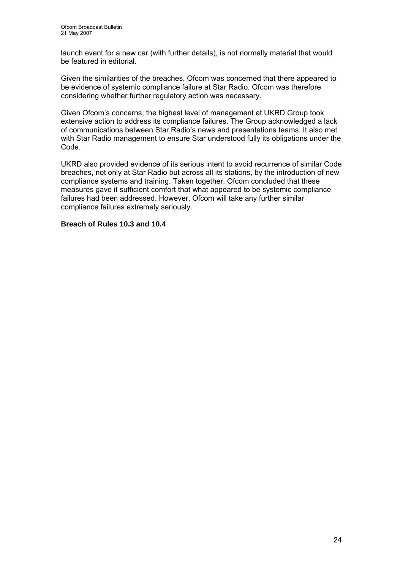launch event for a new car (with further details), is not normally material that would be featured in editorial.

Given the similarities of the breaches, Ofcom was concerned that there appeared to be evidence of systemic compliance failure at Star Radio. Ofcom was therefore considering whether further regulatory action was necessary.

Given Ofcom's concerns, the highest level of management at UKRD Group took extensive action to address its compliance failures. The Group acknowledged a lack of communications between Star Radio's news and presentations teams. It also met with Star Radio management to ensure Star understood fully its obligations under the Code.

UKRD also provided evidence of its serious intent to avoid recurrence of similar Code breaches, not only at Star Radio but across all its stations, by the introduction of new compliance systems and training. Taken together, Ofcom concluded that these measures gave it sufficient comfort that what appeared to be systemic compliance failures had been addressed. However, Ofcom will take any further similar compliance failures extremely seriously.

### **Breach of Rules 10.3 and 10.4**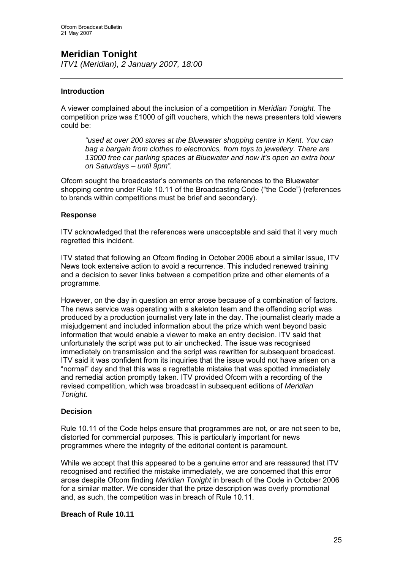# **Meridian Tonight**

*ITV1 (Meridian), 2 January 2007, 18:00* 

# **Introduction**

A viewer complained about the inclusion of a competition in *Meridian Tonight*. The competition prize was £1000 of gift vouchers, which the news presenters told viewers could be:

*"used at over 200 stores at the Bluewater shopping centre in Kent. You can bag a bargain from clothes to electronics, from toys to jewellery. There are 13000 free car parking spaces at Bluewater and now it's open an extra hour on Saturdays – until 9pm".* 

Ofcom sought the broadcaster's comments on the references to the Bluewater shopping centre under Rule 10.11 of the Broadcasting Code ("the Code") (references to brands within competitions must be brief and secondary).

### **Response**

ITV acknowledged that the references were unacceptable and said that it very much regretted this incident.

ITV stated that following an Ofcom finding in October 2006 about a similar issue, ITV News took extensive action to avoid a recurrence. This included renewed training and a decision to sever links between a competition prize and other elements of a programme.

However, on the day in question an error arose because of a combination of factors. The news service was operating with a skeleton team and the offending script was produced by a production journalist very late in the day. The journalist clearly made a misjudgement and included information about the prize which went beyond basic information that would enable a viewer to make an entry decision. ITV said that unfortunately the script was put to air unchecked. The issue was recognised immediately on transmission and the script was rewritten for subsequent broadcast. ITV said it was confident from its inquiries that the issue would not have arisen on a "normal" day and that this was a regrettable mistake that was spotted immediately and remedial action promptly taken. ITV provided Ofcom with a recording of the revised competition, which was broadcast in subsequent editions of *Meridian Tonight*.

# **Decision**

Rule 10.11 of the Code helps ensure that programmes are not, or are not seen to be, distorted for commercial purposes. This is particularly important for news programmes where the integrity of the editorial content is paramount.

While we accept that this appeared to be a genuine error and are reassured that ITV recognised and rectified the mistake immediately, we are concerned that this error arose despite Ofcom finding *Meridian Tonight* in breach of the Code in October 2006 for a similar matter. We consider that the prize description was overly promotional and, as such, the competition was in breach of Rule 10.11.

### **Breach of Rule 10.11**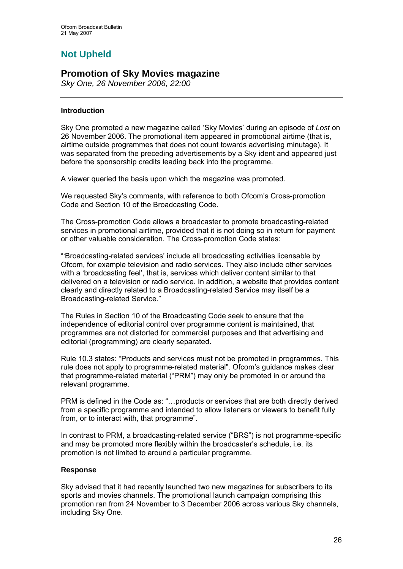# **Not Upheld**

# **Promotion of Sky Movies magazine**

*Sky One, 26 November 2006, 22:00* 

# **Introduction**

Sky One promoted a new magazine called 'Sky Movies' during an episode of *Lost* on 26 November 2006. The promotional item appeared in promotional airtime (that is, airtime outside programmes that does not count towards advertising minutage). It was separated from the preceding advertisements by a Sky ident and appeared just before the sponsorship credits leading back into the programme.

A viewer queried the basis upon which the magazine was promoted.

We requested Sky's comments, with reference to both Ofcom's Cross-promotion Code and Section 10 of the Broadcasting Code.

The Cross-promotion Code allows a broadcaster to promote broadcasting-related services in promotional airtime, provided that it is not doing so in return for payment or other valuable consideration. The Cross-promotion Code states:

"'Broadcasting-related services' include all broadcasting activities licensable by Ofcom, for example television and radio services. They also include other services with a 'broadcasting feel', that is, services which deliver content similar to that delivered on a television or radio service. In addition, a website that provides content clearly and directly related to a Broadcasting-related Service may itself be a Broadcasting-related Service."

The Rules in Section 10 of the Broadcasting Code seek to ensure that the independence of editorial control over programme content is maintained, that programmes are not distorted for commercial purposes and that advertising and editorial (programming) are clearly separated.

Rule 10.3 states: "Products and services must not be promoted in programmes. This rule does not apply to programme-related material". Ofcom's guidance makes clear that programme-related material ("PRM") may only be promoted in or around the relevant programme.

PRM is defined in the Code as: "…products or services that are both directly derived from a specific programme and intended to allow listeners or viewers to benefit fully from, or to interact with, that programme".

In contrast to PRM, a broadcasting-related service ("BRS") is not programme-specific and may be promoted more flexibly within the broadcaster's schedule, i.e. its promotion is not limited to around a particular programme.

# **Response**

Sky advised that it had recently launched two new magazines for subscribers to its sports and movies channels. The promotional launch campaign comprising this promotion ran from 24 November to 3 December 2006 across various Sky channels, including Sky One.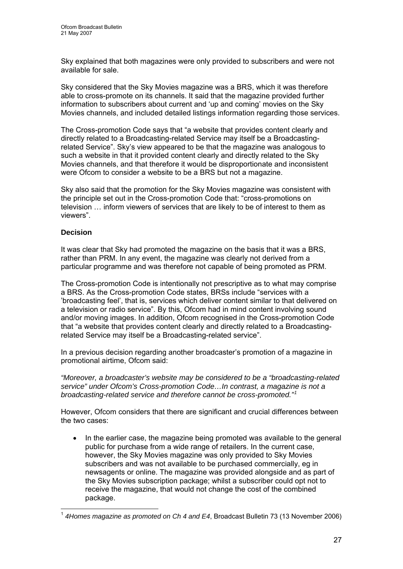Sky explained that both magazines were only provided to subscribers and were not available for sale.

Sky considered that the Sky Movies magazine was a BRS, which it was therefore able to cross-promote on its channels. It said that the magazine provided further information to subscribers about current and 'up and coming' movies on the Sky Movies channels, and included detailed listings information regarding those services.

The Cross-promotion Code says that "a website that provides content clearly and directly related to a Broadcasting-related Service may itself be a Broadcastingrelated Service". Sky's view appeared to be that the magazine was analogous to such a website in that it provided content clearly and directly related to the Sky Movies channels, and that therefore it would be disproportionate and inconsistent were Ofcom to consider a website to be a BRS but not a magazine.

Sky also said that the promotion for the Sky Movies magazine was consistent with the principle set out in the Cross-promotion Code that: "cross-promotions on television … inform viewers of services that are likely to be of interest to them as viewers".

# **Decision**

1

It was clear that Sky had promoted the magazine on the basis that it was a BRS, rather than PRM. In any event, the magazine was clearly not derived from a particular programme and was therefore not capable of being promoted as PRM.

The Cross-promotion Code is intentionally not prescriptive as to what may comprise a BRS. As the Cross-promotion Code states, BRSs include "services with a 'broadcasting feel', that is, services which deliver content similar to that delivered on a television or radio service". By this, Ofcom had in mind content involving sound and/or moving images. In addition, Ofcom recognised in the Cross-promotion Code that "a website that provides content clearly and directly related to a Broadcastingrelated Service may itself be a Broadcasting-related service".

In a previous decision regarding another broadcaster's promotion of a magazine in promotional airtime, Ofcom said:

*"Moreover, a broadcaster's website may be considered to be a "broadcasting-related service" under Ofcom's Cross-promotion Code…In contrast, a magazine is not a broadcasting-related service and therefore cannot be cross-promoted."[1](#page-26-0)*

However, Ofcom considers that there are significant and crucial differences between the two cases:

• In the earlier case, the magazine being promoted was available to the general public for purchase from a wide range of retailers. In the current case, however, the Sky Movies magazine was only provided to Sky Movies subscribers and was not available to be purchased commercially, eg in newsagents or online. The magazine was provided alongside and as part of the Sky Movies subscription package; whilst a subscriber could opt not to receive the magazine, that would not change the cost of the combined package.

<span id="page-26-0"></span><sup>&</sup>lt;sup>1</sup> 4Homes magazine as promoted on Ch 4 and E4, Broadcast Bulletin 73 (13 November 2006)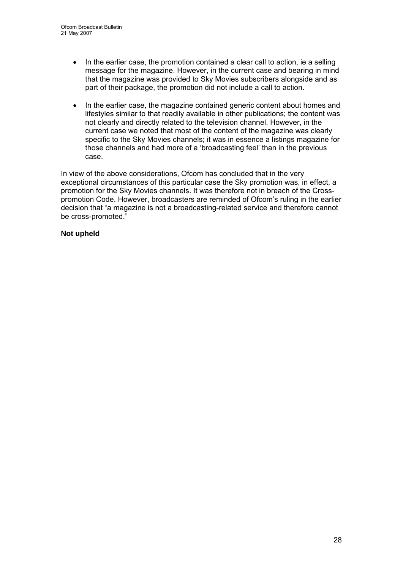- In the earlier case, the promotion contained a clear call to action, ie a selling message for the magazine. However, in the current case and bearing in mind that the magazine was provided to Sky Movies subscribers alongside and as part of their package, the promotion did not include a call to action.
- In the earlier case, the magazine contained generic content about homes and lifestyles similar to that readily available in other publications; the content was not clearly and directly related to the television channel. However, in the current case we noted that most of the content of the magazine was clearly specific to the Sky Movies channels; it was in essence a listings magazine for those channels and had more of a 'broadcasting feel' than in the previous case.

In view of the above considerations, Ofcom has concluded that in the very exceptional circumstances of this particular case the Sky promotion was, in effect, a promotion for the Sky Movies channels. It was therefore not in breach of the Crosspromotion Code. However, broadcasters are reminded of Ofcom's ruling in the earlier decision that "a magazine is not a broadcasting-related service and therefore cannot be cross-promoted."

# **Not upheld**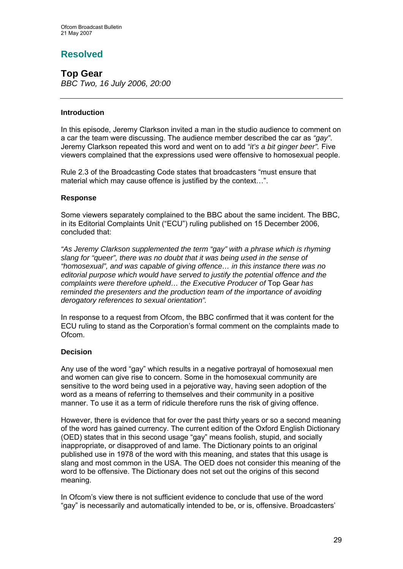# **Resolved**

**Top Gear**  *BBC Two, 16 July 2006, 20:00* 

# **Introduction**

In this episode, Jeremy Clarkson invited a man in the studio audience to comment on a car the team were discussing. The audience member described the car as *"gay"*. Jeremy Clarkson repeated this word and went on to add *"it's a bit ginger beer".* Five viewers complained that the expressions used were offensive to homosexual people.

Rule 2.3 of the Broadcasting Code states that broadcasters "must ensure that material which may cause offence is justified by the context…".

# **Response**

Some viewers separately complained to the BBC about the same incident. The BBC, in its Editorial Complaints Unit ("ECU") ruling published on 15 December 2006, concluded that:

*"As Jeremy Clarkson supplemented the term "gay" with a phrase which is rhyming slang for "queer", there was no doubt that it was being used in the sense of "homosexual", and was capable of giving offence… in this instance there was no editorial purpose which would have served to justify the potential offence and the complaints were therefore upheld... the Executive Producer of Top Gear has reminded the presenters and the production team of the importance of avoiding derogatory references to sexual orientation".* 

In response to a request from Ofcom, the BBC confirmed that it was content for the ECU ruling to stand as the Corporation's formal comment on the complaints made to Ofcom.

# **Decision**

Any use of the word "gay" which results in a negative portrayal of homosexual men and women can give rise to concern. Some in the homosexual community are sensitive to the word being used in a pejorative way, having seen adoption of the word as a means of referring to themselves and their community in a positive manner. To use it as a term of ridicule therefore runs the risk of giving offence.

However, there is evidence that for over the past thirty years or so a second meaning of the word has gained currency. The current edition of the Oxford English Dictionary (OED) states that in this second usage "gay" means foolish, stupid, and socially inappropriate, or disapproved of and lame. The Dictionary points to an original published use in 1978 of the word with this meaning, and states that this usage is slang and most common in the USA. The OED does not consider this meaning of the word to be offensive. The Dictionary does not set out the origins of this second meaning.

In Ofcom's view there is not sufficient evidence to conclude that use of the word "gay" is necessarily and automatically intended to be, or is, offensive. Broadcasters'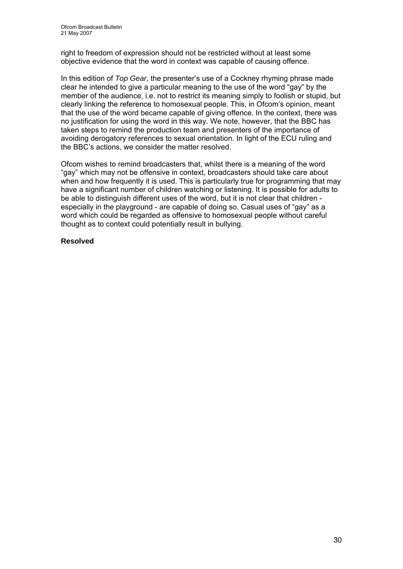right to freedom of expression should not be restricted without at least some objective evidence that the word in context was capable of causing offence.

In this edition of *Top Gear*, the presenter's use of a Cockney rhyming phrase made clear he intended to give a particular meaning to the use of the word "gay" by the member of the audience, i.e. not to restrict its meaning simply to foolish or stupid, but clearly linking the reference to homosexual people. This, in Ofcom's opinion, meant that the use of the word became capable of giving offence. In the context, there was no justification for using the word in this way. We note, however, that the BBC has taken steps to remind the production team and presenters of the importance of avoiding derogatory references to sexual orientation. In light of the ECU ruling and the BBC's actions, we consider the matter resolved.

Ofcom wishes to remind broadcasters that, whilst there is a meaning of the word "gay" which may not be offensive in context, broadcasters should take care about when and how frequently it is used. This is particularly true for programming that may have a significant number of children watching or listening. It is possible for adults to be able to distinguish different uses of the word, but it is not clear that children especially in the playground - are capable of doing so. Casual uses of "gay" as a word which could be regarded as offensive to homosexual people without careful thought as to context could potentially result in bullying.

# **Resolved**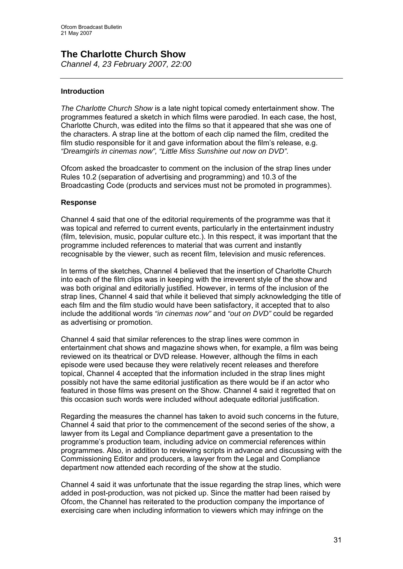# **The Charlotte Church Show**  *Channel 4, 23 February 2007, 22:00*

### **Introduction**

*The Charlotte Church Show* is a late night topical comedy entertainment show. The programmes featured a sketch in which films were parodied. In each case, the host, Charlotte Church, was edited into the films so that it appeared that she was one of the characters. A strap line at the bottom of each clip named the film, credited the film studio responsible for it and gave information about the film's release, e.g. *"Dreamgirls in cinemas now", "Little Miss Sunshine out now on DVD".*

Ofcom asked the broadcaster to comment on the inclusion of the strap lines under Rules 10.2 (separation of advertising and programming) and 10.3 of the Broadcasting Code (products and services must not be promoted in programmes).

### **Response**

Channel 4 said that one of the editorial requirements of the programme was that it was topical and referred to current events, particularly in the entertainment industry (film, television, music, popular culture etc.). In this respect, it was important that the programme included references to material that was current and instantly recognisable by the viewer, such as recent film, television and music references.

In terms of the sketches, Channel 4 believed that the insertion of Charlotte Church into each of the film clips was in keeping with the irreverent style of the show and was both original and editorially justified. However, in terms of the inclusion of the strap lines, Channel 4 said that while it believed that simply acknowledging the title of each film and the film studio would have been satisfactory, it accepted that to also include the additional words *"in cinemas now"* and *"out on DVD"* could be regarded as advertising or promotion.

Channel 4 said that similar references to the strap lines were common in entertainment chat shows and magazine shows when, for example, a film was being reviewed on its theatrical or DVD release. However, although the films in each episode were used because they were relatively recent releases and therefore topical, Channel 4 accepted that the information included in the strap lines might possibly not have the same editorial justification as there would be if an actor who featured in those films was present on the Show. Channel 4 said it regretted that on this occasion such words were included without adequate editorial justification.

Regarding the measures the channel has taken to avoid such concerns in the future, Channel 4 said that prior to the commencement of the second series of the show, a lawyer from its Legal and Compliance department gave a presentation to the programme's production team, including advice on commercial references within programmes. Also, in addition to reviewing scripts in advance and discussing with the Commissioning Editor and producers, a lawyer from the Legal and Compliance department now attended each recording of the show at the studio.

Channel 4 said it was unfortunate that the issue regarding the strap lines, which were added in post-production, was not picked up. Since the matter had been raised by Ofcom, the Channel has reiterated to the production company the importance of exercising care when including information to viewers which may infringe on the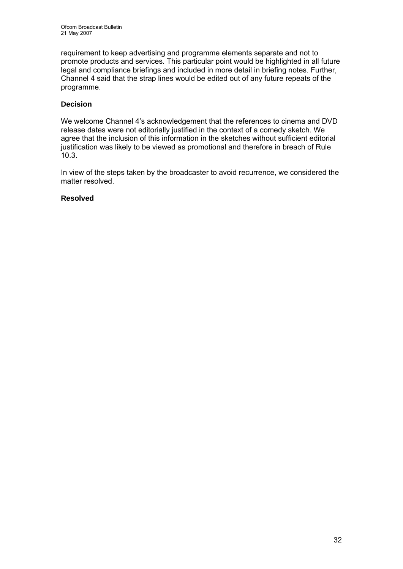requirement to keep advertising and programme elements separate and not to promote products and services. This particular point would be highlighted in all future legal and compliance briefings and included in more detail in briefing notes. Further, Channel 4 said that the strap lines would be edited out of any future repeats of the programme.

# **Decision**

We welcome Channel 4's acknowledgement that the references to cinema and DVD release dates were not editorially justified in the context of a comedy sketch. We agree that the inclusion of this information in the sketches without sufficient editorial justification was likely to be viewed as promotional and therefore in breach of Rule 10.3.

In view of the steps taken by the broadcaster to avoid recurrence, we considered the matter resolved.

### **Resolved**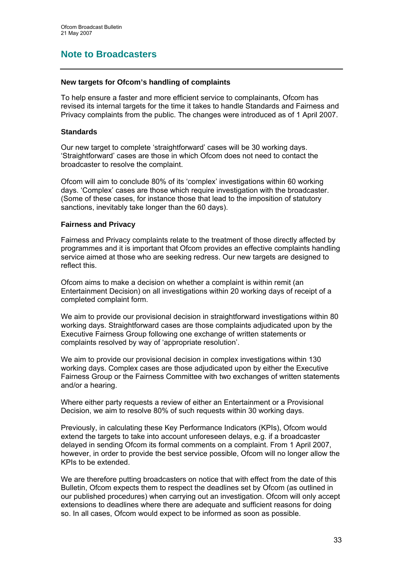# **Note to Broadcasters**

### **New targets for Ofcom's handling of complaints**

To help ensure a faster and more efficient service to complainants, Ofcom has revised its internal targets for the time it takes to handle Standards and Fairness and Privacy complaints from the public. The changes were introduced as of 1 April 2007.

### **Standards**

Our new target to complete 'straightforward' cases will be 30 working days. 'Straightforward' cases are those in which Ofcom does not need to contact the broadcaster to resolve the complaint.

Ofcom will aim to conclude 80% of its 'complex' investigations within 60 working days. 'Complex' cases are those which require investigation with the broadcaster. (Some of these cases, for instance those that lead to the imposition of statutory sanctions, inevitably take longer than the 60 days).

### **Fairness and Privacy**

Fairness and Privacy complaints relate to the treatment of those directly affected by programmes and it is important that Ofcom provides an effective complaints handling service aimed at those who are seeking redress. Our new targets are designed to reflect this.

Ofcom aims to make a decision on whether a complaint is within remit (an Entertainment Decision) on all investigations within 20 working days of receipt of a completed complaint form.

We aim to provide our provisional decision in straightforward investigations within 80 working days. Straightforward cases are those complaints adjudicated upon by the Executive Fairness Group following one exchange of written statements or complaints resolved by way of 'appropriate resolution'.

We aim to provide our provisional decision in complex investigations within 130 working days. Complex cases are those adjudicated upon by either the Executive Fairness Group or the Fairness Committee with two exchanges of written statements and/or a hearing.

Where either party requests a review of either an Entertainment or a Provisional Decision, we aim to resolve 80% of such requests within 30 working days.

Previously, in calculating these Key Performance Indicators (KPIs), Ofcom would extend the targets to take into account unforeseen delays, e.g. if a broadcaster delayed in sending Ofcom its formal comments on a complaint. From 1 April 2007, however, in order to provide the best service possible, Ofcom will no longer allow the KPIs to be extended.

We are therefore putting broadcasters on notice that with effect from the date of this Bulletin, Ofcom expects them to respect the deadlines set by Ofcom (as outlined in our published procedures) when carrying out an investigation. Ofcom will only accept extensions to deadlines where there are adequate and sufficient reasons for doing so. In all cases, Ofcom would expect to be informed as soon as possible.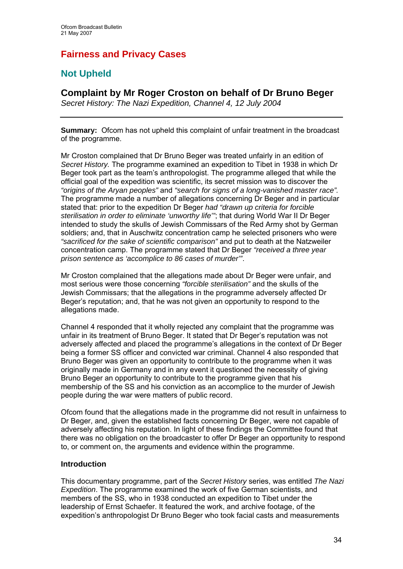# **Fairness and Privacy Cases**

# **Not Upheld**

# **Complaint by Mr Roger Croston on behalf of Dr Bruno Beger**

*Secret History: The Nazi Expedition, Channel 4, 12 July 2004* 

**Summary:** Ofcom has not upheld this complaint of unfair treatment in the broadcast of the programme.

Mr Croston complained that Dr Bruno Beger was treated unfairly in an edition of *Secret History.* The programme examined an expedition to Tibet in 1938 in which Dr Beger took part as the team's anthropologist. The programme alleged that while the official goal of the expedition was scientific, its secret mission was to discover the *"origins of the Aryan peoples"* and *"search for signs of a long-vanished master race".*  The programme made a number of allegations concerning Dr Beger and in particular stated that: prior to the expedition Dr Beger *had "drawn up criteria for forcible sterilisation in order to eliminate 'unworthy life'"*; that during World War II Dr Beger intended to study the skulls of Jewish Commissars of the Red Army shot by German soldiers; and, that in Auschwitz concentration camp he selected prisoners who were *"sacrificed for the sake of scientific comparison"* and put to death at the Natzweiler concentration camp. The programme stated that Dr Beger *"received a three year prison sentence as 'accomplice to 86 cases of murder'"*.

Mr Croston complained that the allegations made about Dr Beger were unfair, and most serious were those concerning *"forcible sterilisation"* and the skulls of the Jewish Commissars; that the allegations in the programme adversely affected Dr Beger's reputation; and, that he was not given an opportunity to respond to the allegations made.

Channel 4 responded that it wholly rejected any complaint that the programme was unfair in its treatment of Bruno Beger. It stated that Dr Beger's reputation was not adversely affected and placed the programme's allegations in the context of Dr Beger being a former SS officer and convicted war criminal. Channel 4 also responded that Bruno Beger was given an opportunity to contribute to the programme when it was originally made in Germany and in any event it questioned the necessity of giving Bruno Beger an opportunity to contribute to the programme given that his membership of the SS and his conviction as an accomplice to the murder of Jewish people during the war were matters of public record.

Ofcom found that the allegations made in the programme did not result in unfairness to Dr Beger, and, given the established facts concerning Dr Beger, were not capable of adversely affecting his reputation. In light of these findings the Committee found that there was no obligation on the broadcaster to offer Dr Beger an opportunity to respond to, or comment on, the arguments and evidence within the programme.

# **Introduction**

This documentary programme, part of the *Secret History* series, was entitled *The Nazi Expedition*. The programme examined the work of five German scientists, and members of the SS, who in 1938 conducted an expedition to Tibet under the leadership of Ernst Schaefer. It featured the work, and archive footage, of the expedition's anthropologist Dr Bruno Beger who took facial casts and measurements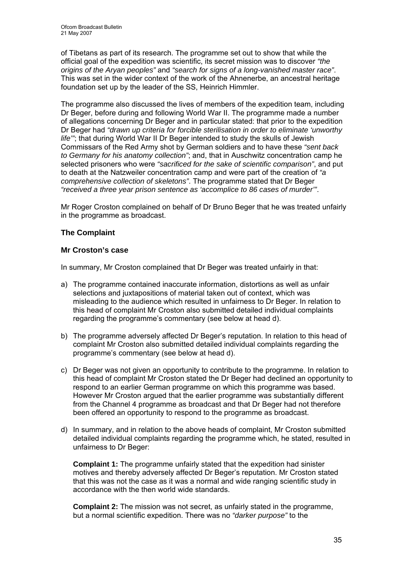of Tibetans as part of its research. The programme set out to show that while the official goal of the expedition was scientific, its secret mission was to discover *"the origins of the Aryan peoples"* and *"search for signs of a long-vanished master race"*. This was set in the wider context of the work of the Ahnenerbe, an ancestral heritage foundation set up by the leader of the SS, Heinrich Himmler.

The programme also discussed the lives of members of the expedition team, including Dr Beger, before during and following World War II. The programme made a number of allegations concerning Dr Beger and in particular stated: that prior to the expedition Dr Beger had *"drawn up criteria for forcible sterilisation in order to eliminate 'unworthy life'"*; that during World War II Dr Beger intended to study the skulls of Jewish Commissars of the Red Army shot by German soldiers and to have these *"sent back to Germany for his anatomy collection"*; and, that in Auschwitz concentration camp he selected prisoners who were *"sacrificed for the sake of scientific comparison"*, and put to death at the Natzweiler concentration camp and were part of the creation of *"a comprehensive collection of skeletons"*. The programme stated that Dr Beger *"received a three year prison sentence as 'accomplice to 86 cases of murder'"*.

Mr Roger Croston complained on behalf of Dr Bruno Beger that he was treated unfairly in the programme as broadcast.

# **The Complaint**

# **Mr Croston's case**

In summary, Mr Croston complained that Dr Beger was treated unfairly in that:

- a) The programme contained inaccurate information, distortions as well as unfair selections and juxtapositions of material taken out of context, which was misleading to the audience which resulted in unfairness to Dr Beger. In relation to this head of complaint Mr Croston also submitted detailed individual complaints regarding the programme's commentary (see below at head d).
- b) The programme adversely affected Dr Beger's reputation. In relation to this head of complaint Mr Croston also submitted detailed individual complaints regarding the programme's commentary (see below at head d).
- c) Dr Beger was not given an opportunity to contribute to the programme. In relation to this head of complaint Mr Croston stated the Dr Beger had declined an opportunity to respond to an earlier German programme on which this programme was based. However Mr Croston argued that the earlier programme was substantially different from the Channel 4 programme as broadcast and that Dr Beger had not therefore been offered an opportunity to respond to the programme as broadcast.
- d) In summary, and in relation to the above heads of complaint, Mr Croston submitted detailed individual complaints regarding the programme which, he stated, resulted in unfairness to Dr Beger:

**Complaint 1:** The programme unfairly stated that the expedition had sinister motives and thereby adversely affected Dr Beger's reputation. Mr Croston stated that this was not the case as it was a normal and wide ranging scientific study in accordance with the then world wide standards.

**Complaint 2:** The mission was not secret, as unfairly stated in the programme, but a normal scientific expedition. There was no *"darker purpose"* to the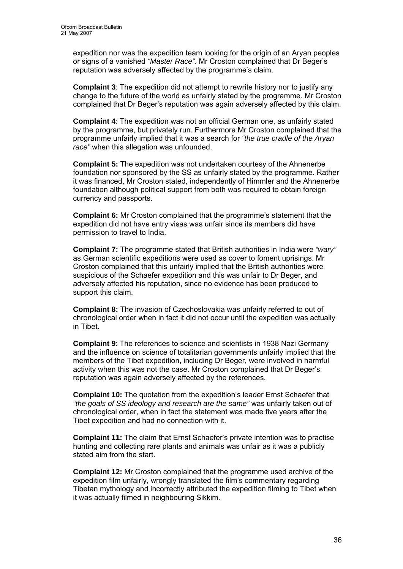expedition nor was the expedition team looking for the origin of an Aryan peoples or signs of a vanished *"Master Race"*. Mr Croston complained that Dr Beger's reputation was adversely affected by the programme's claim.

**Complaint 3**: The expedition did not attempt to rewrite history nor to justify any change to the future of the world as unfairly stated by the programme. Mr Croston complained that Dr Beger's reputation was again adversely affected by this claim.

**Complaint 4**: The expedition was not an official German one, as unfairly stated by the programme, but privately run. Furthermore Mr Croston complained that the programme unfairly implied that it was a search for *"the true cradle of the Aryan race"* when this allegation was unfounded.

**Complaint 5:** The expedition was not undertaken courtesy of the Ahnenerbe foundation nor sponsored by the SS as unfairly stated by the programme. Rather it was financed, Mr Croston stated, independently of Himmler and the Ahnenerbe foundation although political support from both was required to obtain foreign currency and passports.

**Complaint 6:** Mr Croston complained that the programme's statement that the expedition did not have entry visas was unfair since its members did have permission to travel to India.

**Complaint 7:** The programme stated that British authorities in India were *"wary"* as German scientific expeditions were used as cover to foment uprisings. Mr Croston complained that this unfairly implied that the British authorities were suspicious of the Schaefer expedition and this was unfair to Dr Beger, and adversely affected his reputation, since no evidence has been produced to support this claim.

**Complaint 8:** The invasion of Czechoslovakia was unfairly referred to out of chronological order when in fact it did not occur until the expedition was actually in Tibet.

**Complaint 9**: The references to science and scientists in 1938 Nazi Germany and the influence on science of totalitarian governments unfairly implied that the members of the Tibet expedition, including Dr Beger, were involved in harmful activity when this was not the case. Mr Croston complained that Dr Beger's reputation was again adversely affected by the references.

**Complaint 10:** The quotation from the expedition's leader Ernst Schaefer that *"the goals of SS ideology and research are the same"* was unfairly taken out of chronological order, when in fact the statement was made five years after the Tibet expedition and had no connection with it.

**Complaint 11:** The claim that Ernst Schaefer's private intention was to practise hunting and collecting rare plants and animals was unfair as it was a publicly stated aim from the start.

**Complaint 12:** Mr Croston complained that the programme used archive of the expedition film unfairly, wrongly translated the film's commentary regarding Tibetan mythology and incorrectly attributed the expedition filming to Tibet when it was actually filmed in neighbouring Sikkim.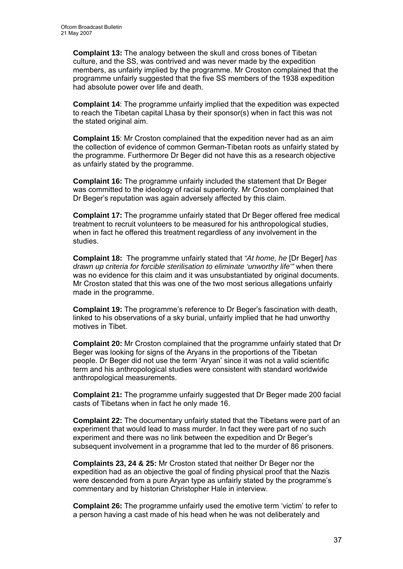**Complaint 13:** The analogy between the skull and cross bones of Tibetan culture, and the SS, was contrived and was never made by the expedition members, as unfairly implied by the programme. Mr Croston complained that the programme unfairly suggested that the five SS members of the 1938 expedition had absolute power over life and death.

**Complaint 14**: The programme unfairly implied that the expedition was expected to reach the Tibetan capital Lhasa by their sponsor(s) when in fact this was not the stated original aim.

**Complaint 15**: Mr Croston complained that the expedition never had as an aim the collection of evidence of common German-Tibetan roots as unfairly stated by the programme. Furthermore Dr Beger did not have this as a research objective as unfairly stated by the programme.

**Complaint 16:** The programme unfairly included the statement that Dr Beger was committed to the ideology of racial superiority. Mr Croston complained that Dr Beger's reputation was again adversely affected by this claim.

**Complaint 17:** The programme unfairly stated that Dr Beger offered free medical treatment to recruit volunteers to be measured for his anthropological studies, when in fact he offered this treatment regardless of any involvement in the studies.

**Complaint 18:** The programme unfairly stated that *"At home, he* [Dr Beger] *has drawn up criteria for forcible sterilisation to eliminate 'unworthy life'"* when there was no evidence for this claim and it was unsubstantiated by original documents. Mr Croston stated that this was one of the two most serious allegations unfairly made in the programme.

**Complaint 19:** The programme's reference to Dr Beger's fascination with death, linked to his observations of a sky burial, unfairly implied that he had unworthy motives in Tibet.

**Complaint 20:** Mr Croston complained that the programme unfairly stated that Dr Beger was looking for signs of the Aryans in the proportions of the Tibetan people. Dr Beger did not use the term 'Aryan' since it was not a valid scientific term and his anthropological studies were consistent with standard worldwide anthropological measurements.

**Complaint 21:** The programme unfairly suggested that Dr Beger made 200 facial casts of Tibetans when in fact he only made 16.

**Complaint 22:** The documentary unfairly stated that the Tibetans were part of an experiment that would lead to mass murder. In fact they were part of no such experiment and there was no link between the expedition and Dr Beger's subsequent involvement in a programme that led to the murder of 86 prisoners.

**Complaints 23, 24 & 25:** Mr Croston stated that neither Dr Beger nor the expedition had as an objective the goal of finding physical proof that the Nazis were descended from a pure Aryan type as unfairly stated by the programme's commentary and by historian Christopher Hale in interview.

**Complaint 26:** The programme unfairly used the emotive term 'victim' to refer to a person having a cast made of his head when he was not deliberately and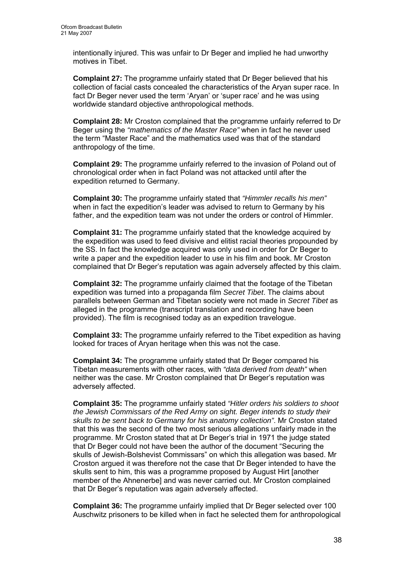intentionally injured. This was unfair to Dr Beger and implied he had unworthy motives in Tibet.

**Complaint 27:** The programme unfairly stated that Dr Beger believed that his collection of facial casts concealed the characteristics of the Aryan super race. In fact Dr Beger never used the term 'Aryan' or 'super race' and he was using worldwide standard objective anthropological methods.

**Complaint 28:** Mr Croston complained that the programme unfairly referred to Dr Beger using the *"mathematics of the Master Race"* when in fact he never used the term "Master Race" and the mathematics used was that of the standard anthropology of the time.

**Complaint 29:** The programme unfairly referred to the invasion of Poland out of chronological order when in fact Poland was not attacked until after the expedition returned to Germany.

**Complaint 30:** The programme unfairly stated that *"Himmler recalls his men"* when in fact the expedition's leader was advised to return to Germany by his father, and the expedition team was not under the orders or control of Himmler.

**Complaint 31:** The programme unfairly stated that the knowledge acquired by the expedition was used to feed divisive and elitist racial theories propounded by the SS. In fact the knowledge acquired was only used in order for Dr Beger to write a paper and the expedition leader to use in his film and book. Mr Croston complained that Dr Beger's reputation was again adversely affected by this claim.

**Complaint 32:** The programme unfairly claimed that the footage of the Tibetan expedition was turned into a propaganda film *Secret Tibet*. The claims about parallels between German and Tibetan society were not made in *Secret Tibet* as alleged in the programme (transcript translation and recording have been provided). The film is recognised today as an expedition travelogue.

**Complaint 33:** The programme unfairly referred to the Tibet expedition as having looked for traces of Aryan heritage when this was not the case.

**Complaint 34:** The programme unfairly stated that Dr Beger compared his Tibetan measurements with other races, with *"data derived from death"* when neither was the case. Mr Croston complained that Dr Beger's reputation was adversely affected.

**Complaint 35:** The programme unfairly stated *"Hitler orders his soldiers to shoot the Jewish Commissars of the Red Army on sight. Beger intends to study their skulls to be sent back to Germany for his anatomy collection"*. Mr Croston stated that this was the second of the two most serious allegations unfairly made in the programme. Mr Croston stated that at Dr Beger's trial in 1971 the judge stated that Dr Beger could not have been the author of the document "Securing the skulls of Jewish-Bolshevist Commissars" on which this allegation was based. Mr Croston argued it was therefore not the case that Dr Beger intended to have the skulls sent to him, this was a programme proposed by August Hirt [another member of the Ahnenerbe] and was never carried out. Mr Croston complained that Dr Beger's reputation was again adversely affected.

**Complaint 36:** The programme unfairly implied that Dr Beger selected over 100 Auschwitz prisoners to be killed when in fact he selected them for anthropological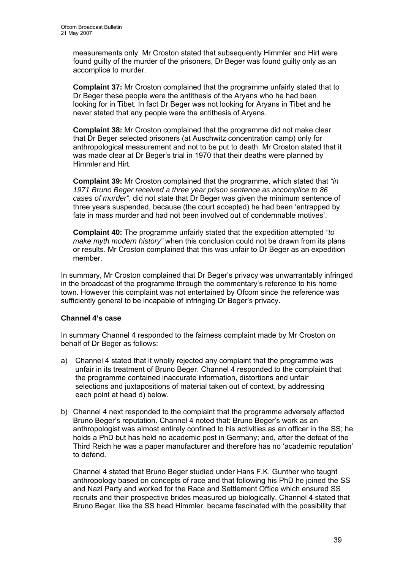measurements only. Mr Croston stated that subsequently Himmler and Hirt were found guilty of the murder of the prisoners, Dr Beger was found guilty only as an accomplice to murder.

**Complaint 37:** Mr Croston complained that the programme unfairly stated that to Dr Beger these people were the antithesis of the Aryans who he had been looking for in Tibet. In fact Dr Beger was not looking for Aryans in Tibet and he never stated that any people were the antithesis of Aryans.

**Complaint 38:** Mr Croston complained that the programme did not make clear that Dr Beger selected prisoners (at Auschwitz concentration camp) only for anthropological measurement and not to be put to death. Mr Croston stated that it was made clear at Dr Beger's trial in 1970 that their deaths were planned by Himmler and Hirt.

**Complaint 39:** Mr Croston complained that the programme, which stated that *"in 1971 Bruno Beger received a three year prison sentence as accomplice to 86 cases of murder"*, did not state that Dr Beger was given the minimum sentence of three years suspended, because (the court accepted) he had been 'entrapped by fate in mass murder and had not been involved out of condemnable motives'.

**Complaint 40:** The programme unfairly stated that the expedition attempted *"to make myth modern history"* when this conclusion could not be drawn from its plans or results. Mr Croston complained that this was unfair to Dr Beger as an expedition member.

In summary, Mr Croston complained that Dr Beger's privacy was unwarrantably infringed in the broadcast of the programme through the commentary's reference to his home town. However this complaint was not entertained by Ofcom since the reference was sufficiently general to be incapable of infringing Dr Beger's privacy.

# **Channel 4's case**

In summary Channel 4 responded to the fairness complaint made by Mr Croston on behalf of Dr Beger as follows:

- a) Channel 4 stated that it wholly rejected any complaint that the programme was unfair in its treatment of Bruno Beger. Channel 4 responded to the complaint that the programme contained inaccurate information, distortions and unfair selections and juxtapositions of material taken out of context, by addressing each point at head d) below.
- b) Channel 4 next responded to the complaint that the programme adversely affected Bruno Beger's reputation. Channel 4 noted that: Bruno Beger's work as an anthropologist was almost entirely confined to his activities as an officer in the SS; he holds a PhD but has held no academic post in Germany; and, after the defeat of the Third Reich he was a paper manufacturer and therefore has no 'academic reputation' to defend.

Channel 4 stated that Bruno Beger studied under Hans F.K. Gunther who taught anthropology based on concepts of race and that following his PhD he joined the SS and Nazi Party and worked for the Race and Settlement Office which ensured SS recruits and their prospective brides measured up biologically. Channel 4 stated that Bruno Beger, like the SS head Himmler, became fascinated with the possibility that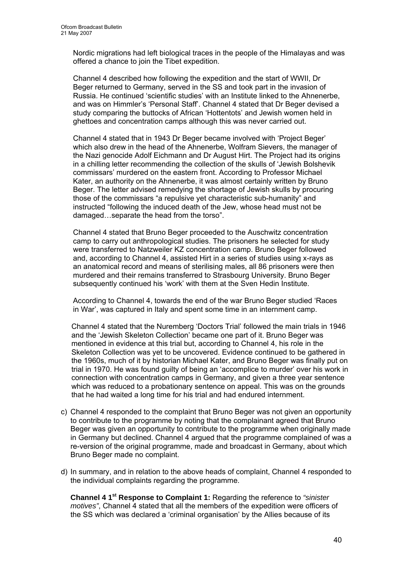Nordic migrations had left biological traces in the people of the Himalayas and was offered a chance to join the Tibet expedition.

Channel 4 described how following the expedition and the start of WWII, Dr Beger returned to Germany, served in the SS and took part in the invasion of Russia. He continued 'scientific studies' with an Institute linked to the Ahnenerbe, and was on Himmler's 'Personal Staff'. Channel 4 stated that Dr Beger devised a study comparing the buttocks of African 'Hottentots' and Jewish women held in ghettoes and concentration camps although this was never carried out.

Channel 4 stated that in 1943 Dr Beger became involved with 'Project Beger' which also drew in the head of the Ahnenerbe, Wolfram Sievers, the manager of the Nazi genocide Adolf Eichmann and Dr August Hirt. The Project had its origins in a chilling letter recommending the collection of the skulls of 'Jewish Bolshevik commissars' murdered on the eastern front. According to Professor Michael Kater, an authority on the Ahnenerbe, it was almost certainly written by Bruno Beger. The letter advised remedying the shortage of Jewish skulls by procuring those of the commissars "a repulsive yet characteristic sub-humanity" and instructed "following the induced death of the Jew, whose head must not be damaged…separate the head from the torso".

Channel 4 stated that Bruno Beger proceeded to the Auschwitz concentration camp to carry out anthropological studies. The prisoners he selected for study were transferred to Natzweiler KZ concentration camp. Bruno Beger followed and, according to Channel 4, assisted Hirt in a series of studies using x-rays as an anatomical record and means of sterilising males, all 86 prisoners were then murdered and their remains transferred to Strasbourg University. Bruno Beger subsequently continued his 'work' with them at the Sven Hedin Institute.

According to Channel 4, towards the end of the war Bruno Beger studied 'Races in War', was captured in Italy and spent some time in an internment camp.

Channel 4 stated that the Nuremberg 'Doctors Trial' followed the main trials in 1946 and the 'Jewish Skeleton Collection' became one part of it. Bruno Beger was mentioned in evidence at this trial but, according to Channel 4, his role in the Skeleton Collection was yet to be uncovered. Evidence continued to be gathered in the 1960s, much of it by historian Michael Kater, and Bruno Beger was finally put on trial in 1970. He was found guilty of being an 'accomplice to murder' over his work in connection with concentration camps in Germany, and given a three year sentence which was reduced to a probationary sentence on appeal. This was on the grounds that he had waited a long time for his trial and had endured internment.

- c) Channel 4 responded to the complaint that Bruno Beger was not given an opportunity to contribute to the programme by noting that the complainant agreed that Bruno Beger was given an opportunity to contribute to the programme when originally made in Germany but declined. Channel 4 argued that the programme complained of was a re-version of the original programme, made and broadcast in Germany, about which Bruno Beger made no complaint.
- d) In summary, and in relation to the above heads of complaint, Channel 4 responded to the individual complaints regarding the programme.

**Channel 4 1st Response to Complaint 1:** Regarding the reference to *"sinister motives"*, Channel 4 stated that all the members of the expedition were officers of the SS which was declared a 'criminal organisation' by the Allies because of its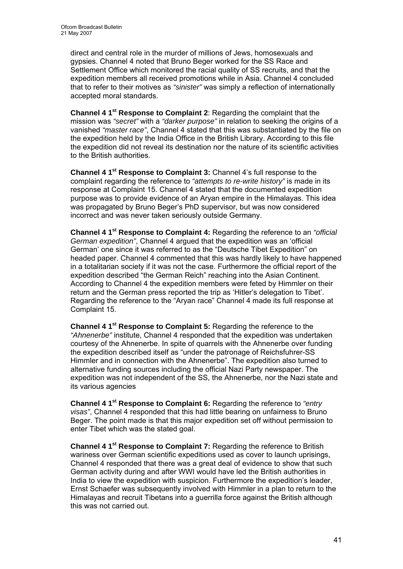direct and central role in the murder of millions of Jews, homosexuals and gypsies. Channel 4 noted that Bruno Beger worked for the SS Race and Settlement Office which monitored the racial quality of SS recruits, and that the expedition members all received promotions while in Asia. Channel 4 concluded that to refer to their motives as *"sinister"* was simply a reflection of internationally accepted moral standards.

**Channel 4 1st Response to Complaint 2**: Regarding the complaint that the mission was *"secret"* with a *"darker purpose"* in relation to seeking the origins of a vanished *"master race"*, Channel 4 stated that this was substantiated by the file on the expedition held by the India Office in the British Library. According to this file the expedition did not reveal its destination nor the nature of its scientific activities to the British authorities.

**Channel 4 1st Response to Complaint 3:** Channel 4's full response to the complaint regarding the reference to *"attempts to re-write history"* is made in its response at Complaint 15. Channel 4 stated that the documented expedition purpose was to provide evidence of an Aryan empire in the Himalayas. This idea was propagated by Bruno Beger's PhD supervisor, but was now considered incorrect and was never taken seriously outside Germany.

**Channel 4 1st Response to Complaint 4:** Regarding the reference to an *"official German expedition"*, Channel 4 argued that the expedition was an 'official German' one since it was referred to as the "Deutsche Tibet Expedition" on headed paper. Channel 4 commented that this was hardly likely to have happened in a totalitarian society if it was not the case. Furthermore the official report of the expedition described "the German Reich" reaching into the Asian Continent. According to Channel 4 the expedition members were feted by Himmler on their return and the German press reported the trip as 'Hitler's delegation to Tibet'. Regarding the reference to the "Aryan race" Channel 4 made its full response at Complaint 15.

**Channel 4 1st Response to Complaint 5:** Regarding the reference to the *"Ahnenerbe"* institute, Channel 4 responded that the expedition was undertaken courtesy of the Ahnenerbe. In spite of quarrels with the Ahnenerbe over funding the expedition described itself as "under the patronage of Reichsfuhrer-SS Himmler and in connection with the Ahnenerbe". The expedition also turned to alternative funding sources including the official Nazi Party newspaper. The expedition was not independent of the SS, the Ahnenerbe, nor the Nazi state and its various agencies

**Channel 4 1st Response to Complaint 6:** Regarding the reference to *"entry visas"*, Channel 4 responded that this had little bearing on unfairness to Bruno Beger. The point made is that this major expedition set off without permission to enter Tibet which was the stated goal.

**Channel 4 1st Response to Complaint 7:** Regarding the reference to British wariness over German scientific expeditions used as cover to launch uprisings, Channel 4 responded that there was a great deal of evidence to show that such German activity during and after WWI would have led the British authorities in India to view the expedition with suspicion. Furthermore the expedition's leader, Ernst Schaefer was subsequently involved with Himmler in a plan to return to the Himalayas and recruit Tibetans into a guerrilla force against the British although this was not carried out.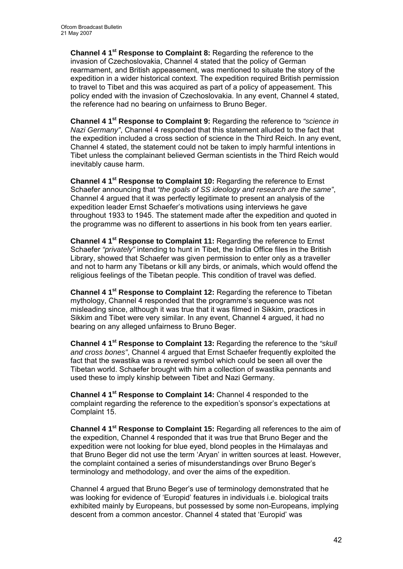**Channel 4 1st Response to Complaint 8:** Regarding the reference to the invasion of Czechoslovakia, Channel 4 stated that the policy of German rearmament, and British appeasement, was mentioned to situate the story of the expedition in a wider historical context. The expedition required British permission to travel to Tibet and this was acquired as part of a policy of appeasement. This policy ended with the invasion of Czechoslovakia. In any event, Channel 4 stated, the reference had no bearing on unfairness to Bruno Beger.

**Channel 4 1st Response to Complaint 9:** Regarding the reference to *"science in Nazi Germany"*, Channel 4 responded that this statement alluded to the fact that the expedition included a cross section of science in the Third Reich. In any event, Channel 4 stated, the statement could not be taken to imply harmful intentions in Tibet unless the complainant believed German scientists in the Third Reich would inevitably cause harm.

**Channel 4 1st Response to Complaint 10:** Regarding the reference to Ernst Schaefer announcing that *"the goals of SS ideology and research are the same"*, Channel 4 argued that it was perfectly legitimate to present an analysis of the expedition leader Ernst Schaefer's motivations using interviews he gave throughout 1933 to 1945. The statement made after the expedition and quoted in the programme was no different to assertions in his book from ten years earlier.

**Channel 4 1st Response to Complaint 11:** Regarding the reference to Ernst Schaefer *"privately"* intending to hunt in Tibet, the India Office files in the British Library, showed that Schaefer was given permission to enter only as a traveller and not to harm any Tibetans or kill any birds, or animals, which would offend the religious feelings of the Tibetan people. This condition of travel was defied.

**Channel 4 1st Response to Complaint 12:** Regarding the reference to Tibetan mythology, Channel 4 responded that the programme's sequence was not misleading since, although it was true that it was filmed in Sikkim, practices in Sikkim and Tibet were very similar. In any event, Channel 4 argued, it had no bearing on any alleged unfairness to Bruno Beger.

**Channel 4 1st Response to Complaint 13:** Regarding the reference to the *"skull and cross bones"*, Channel 4 argued that Ernst Schaefer frequently exploited the fact that the swastika was a revered symbol which could be seen all over the Tibetan world. Schaefer brought with him a collection of swastika pennants and used these to imply kinship between Tibet and Nazi Germany.

**Channel 4 1st Response to Complaint 14:** Channel 4 responded to the complaint regarding the reference to the expedition's sponsor's expectations at Complaint 15.

**Channel 4 1st Response to Complaint 15:** Regarding all references to the aim of the expedition, Channel 4 responded that it was true that Bruno Beger and the expedition were not looking for blue eyed, blond peoples in the Himalayas and that Bruno Beger did not use the term 'Aryan' in written sources at least. However, the complaint contained a series of misunderstandings over Bruno Beger's terminology and methodology, and over the aims of the expedition.

Channel 4 argued that Bruno Beger's use of terminology demonstrated that he was looking for evidence of 'Europid' features in individuals i.e. biological traits exhibited mainly by Europeans, but possessed by some non-Europeans, implying descent from a common ancestor. Channel 4 stated that 'Europid' was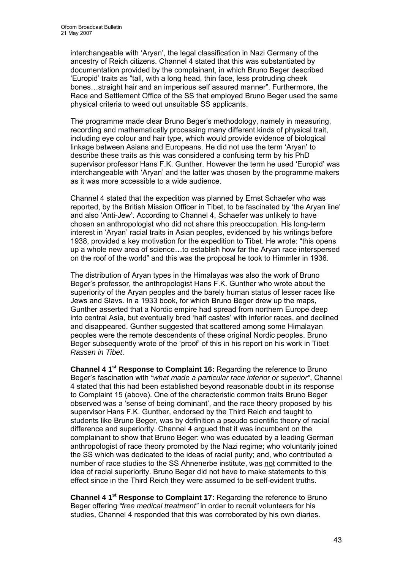interchangeable with 'Aryan', the legal classification in Nazi Germany of the ancestry of Reich citizens. Channel 4 stated that this was substantiated by documentation provided by the complainant, in which Bruno Beger described 'Europid' traits as "tall, with a long head, thin face, less protruding cheek bones…straight hair and an imperious self assured manner". Furthermore, the Race and Settlement Office of the SS that employed Bruno Beger used the same physical criteria to weed out unsuitable SS applicants.

The programme made clear Bruno Beger's methodology, namely in measuring, recording and mathematically processing many different kinds of physical trait, including eye colour and hair type, which would provide evidence of biological linkage between Asians and Europeans. He did not use the term 'Aryan' to describe these traits as this was considered a confusing term by his PhD supervisor professor Hans F.K. Gunther. However the term he used 'Europid' was interchangeable with 'Aryan' and the latter was chosen by the programme makers as it was more accessible to a wide audience.

Channel 4 stated that the expedition was planned by Ernst Schaefer who was reported, by the British Mission Officer in Tibet, to be fascinated by 'the Aryan line' and also 'Anti-Jew'. According to Channel 4, Schaefer was unlikely to have chosen an anthropologist who did not share this preoccupation. His long-term interest in 'Aryan' racial traits in Asian peoples, evidenced by his writings before 1938, provided a key motivation for the expedition to Tibet. He wrote: "this opens up a whole new area of science…to establish how far the Aryan race interspersed on the roof of the world" and this was the proposal he took to Himmler in 1936.

The distribution of Aryan types in the Himalayas was also the work of Bruno Beger's professor, the anthropologist Hans F.K. Gunther who wrote about the superiority of the Aryan peoples and the barely human status of lesser races like Jews and Slavs. In a 1933 book, for which Bruno Beger drew up the maps, Gunther asserted that a Nordic empire had spread from northern Europe deep into central Asia, but eventually bred 'half castes' with inferior races, and declined and disappeared. Gunther suggested that scattered among some Himalayan peoples were the remote descendents of these original Nordic peoples. Bruno Beger subsequently wrote of the 'proof' of this in his report on his work in Tibet *Rassen in Tibet*.

**Channel 4 1st Response to Complaint 16:** Regarding the reference to Bruno Beger's fascination with *"what made a particular race inferior or superior"*, Channel 4 stated that this had been established beyond reasonable doubt in its response to Complaint 15 (above). One of the characteristic common traits Bruno Beger observed was a 'sense of being dominant', and the race theory proposed by his supervisor Hans F.K. Gunther, endorsed by the Third Reich and taught to students like Bruno Beger, was by definition a pseudo scientific theory of racial difference and superiority. Channel 4 argued that it was incumbent on the complainant to show that Bruno Beger: who was educated by a leading German anthropologist of race theory promoted by the Nazi regime; who voluntarily joined the SS which was dedicated to the ideas of racial purity; and, who contributed a number of race studies to the SS Ahnenerbe institute, was not committed to the idea of racial superiority. Bruno Beger did not have to make statements to this effect since in the Third Reich they were assumed to be self-evident truths.

**Channel 4 1st Response to Complaint 17:** Regarding the reference to Bruno Beger offering *"free medical treatment"* in order to recruit volunteers for his studies, Channel 4 responded that this was corroborated by his own diaries.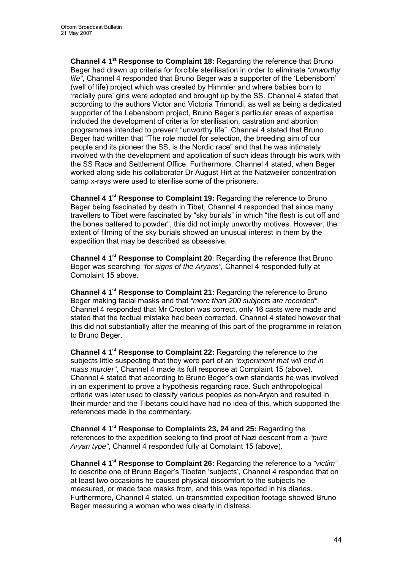**Channel 4 1st Response to Complaint 18:** Regarding the reference that Bruno Beger had drawn up criteria for forcible sterilisation in order to eliminate *"unworthy life"*, Channel 4 responded that Bruno Beger was a supporter of the 'Lebensborn' (well of life) project which was created by Himmler and where babies born to 'racially pure' girls were adopted and brought up by the SS. Channel 4 stated that according to the authors Victor and Victoria Trimondi, as well as being a dedicated supporter of the Lebensborn project, Bruno Beger's particular areas of expertise included the development of criteria for sterilisation, castration and abortion programmes intended to prevent "unworthy life". Channel 4 stated that Bruno Beger had written that "The role model for selection, the breeding aim of our people and its pioneer the SS, is the Nordic race" and that he was intimately involved with the development and application of such ideas through his work with the SS Race and Settlement Office. Furthermore, Channel 4 stated, when Beger worked along side his collaborator Dr August Hirt at the Natzweiler concentration camp x-rays were used to sterilise some of the prisoners.

**Channel 4 1st Response to Complaint 19:** Regarding the reference to Bruno Beger being fascinated by death in Tibet, Channel 4 responded that since many travellers to Tibet were fascinated by "sky burials" in which "the flesh is cut off and the bones battered to powder", this did not imply unworthy motives. However, the extent of filming of the sky burials showed an unusual interest in them by the expedition that may be described as obsessive.

**Channel 4 1st Response to Complaint 20**: Regarding the reference that Bruno Beger was searching *"for signs of the Aryans",* Channel 4 responded fully at Complaint 15 above.

**Channel 4 1st Response to Complaint 21:** Regarding the reference to Bruno Beger making facial masks and that *"more than 200 subjects are recorded"*, Channel 4 responded that Mr Croston was correct, only 16 casts were made and stated that the factual mistake had been corrected. Channel 4 stated however that this did not substantially alter the meaning of this part of the programme in relation to Bruno Beger.

**Channel 4 1st Response to Complaint 22:** Regarding the reference to the subjects little suspecting that they were part of an *"experiment that will end in mass murder"*, Channel 4 made its full response at Complaint 15 (above). Channel 4 stated that according to Bruno Beger's own standards he was involved in an experiment to prove a hypothesis regarding race. Such anthropological criteria was later used to classify various peoples as non-Aryan and resulted in their murder and the Tibetans could have had no idea of this, which supported the references made in the commentary.

**Channel 4 1st Response to Complaints 23, 24 and 25:** Regarding the references to the expedition seeking to find proof of Nazi descent from a *"pure Aryan type"*, Channel 4 responded fully at Complaint 15 (above).

**Channel 4 1st Response to Complaint 26:** Regarding the reference to a *"victim"*  to describe one of Bruno Beger's Tibetan 'subjects', Channel 4 responded that on at least two occasions he caused physical discomfort to the subjects he measured, or made face masks from, and this was reported in his diaries. Furthermore, Channel 4 stated, un-transmitted expedition footage showed Bruno Beger measuring a woman who was clearly in distress.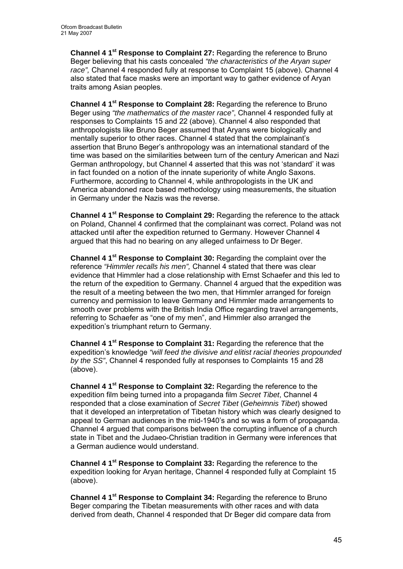**Channel 4 1st Response to Complaint 27:** Regarding the reference to Bruno Beger believing that his casts concealed *"the characteristics of the Aryan super race",* Channel 4 responded fully at response to Complaint 15 (above). Channel 4 also stated that face masks were an important way to gather evidence of Aryan traits among Asian peoples.

**Channel 4 1st Response to Complaint 28:** Regarding the reference to Bruno Beger using *"the mathematics of the master race"*, Channel 4 responded fully at responses to Complaints 15 and 22 (above). Channel 4 also responded that anthropologists like Bruno Beger assumed that Aryans were biologically and mentally superior to other races. Channel 4 stated that the complainant's assertion that Bruno Beger's anthropology was an international standard of the time was based on the similarities between turn of the century American and Nazi German anthropology, but Channel 4 asserted that this was not 'standard' it was in fact founded on a notion of the innate superiority of white Anglo Saxons. Furthermore, according to Channel 4, while anthropologists in the UK and America abandoned race based methodology using measurements, the situation in Germany under the Nazis was the reverse.

**Channel 4 1st Response to Complaint 29:** Regarding the reference to the attack on Poland, Channel 4 confirmed that the complainant was correct. Poland was not attacked until after the expedition returned to Germany. However Channel 4 argued that this had no bearing on any alleged unfairness to Dr Beger.

**Channel 4 1st Response to Complaint 30:** Regarding the complaint over the reference *"Himmler recalls his men",* Channel 4 stated that there was clear evidence that Himmler had a close relationship with Ernst Schaefer and this led to the return of the expedition to Germany. Channel 4 argued that the expedition was the result of a meeting between the two men, that Himmler arranged for foreign currency and permission to leave Germany and Himmler made arrangements to smooth over problems with the British India Office regarding travel arrangements, referring to Schaefer as "one of my men", and Himmler also arranged the expedition's triumphant return to Germany.

**Channel 4 1st Response to Complaint 31:** Regarding the reference that the expedition's knowledge *"will feed the divisive and elitist racial theories propounded by the SS"*, Channel 4 responded fully at responses to Complaints 15 and 28 (above).

**Channel 4 1st Response to Complaint 32:** Regarding the reference to the expedition film being turned into a propaganda film *Secret Tibet*, Channel 4 responded that a close examination of *Secret Tibet* (*Geheimnis Tibet*) showed that it developed an interpretation of Tibetan history which was clearly designed to appeal to German audiences in the mid-1940's and so was a form of propaganda. Channel 4 argued that comparisons between the corrupting influence of a church state in Tibet and the Judaeo-Christian tradition in Germany were inferences that a German audience would understand.

**Channel 4 1st Response to Complaint 33:** Regarding the reference to the expedition looking for Aryan heritage, Channel 4 responded fully at Complaint 15 (above).

**Channel 4 1st Response to Complaint 34:** Regarding the reference to Bruno Beger comparing the Tibetan measurements with other races and with data derived from death, Channel 4 responded that Dr Beger did compare data from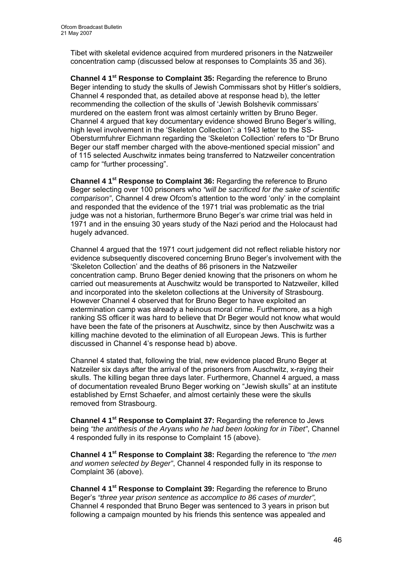Tibet with skeletal evidence acquired from murdered prisoners in the Natzweiler concentration camp (discussed below at responses to Complaints 35 and 36).

**Channel 4 1st Response to Complaint 35:** Regarding the reference to Bruno Beger intending to study the skulls of Jewish Commissars shot by Hitler's soldiers, Channel 4 responded that, as detailed above at response head b), the letter recommending the collection of the skulls of 'Jewish Bolshevik commissars' murdered on the eastern front was almost certainly written by Bruno Beger. Channel 4 argued that key documentary evidence showed Bruno Beger's willing, high level involvement in the 'Skeleton Collection': a 1943 letter to the SS-Obersturmfuhrer Eichmann regarding the 'Skeleton Collection' refers to "Dr Bruno Beger our staff member charged with the above-mentioned special mission" and of 115 selected Auschwitz inmates being transferred to Natzweiler concentration camp for "further processing".

**Channel 4 1st Response to Complaint 36:** Regarding the reference to Bruno Beger selecting over 100 prisoners who *"will be sacrificed for the sake of scientific comparison"*, Channel 4 drew Ofcom's attention to the word 'only' in the complaint and responded that the evidence of the 1971 trial was problematic as the trial judge was not a historian, furthermore Bruno Beger's war crime trial was held in 1971 and in the ensuing 30 years study of the Nazi period and the Holocaust had hugely advanced.

Channel 4 argued that the 1971 court judgement did not reflect reliable history nor evidence subsequently discovered concerning Bruno Beger's involvement with the 'Skeleton Collection' and the deaths of 86 prisoners in the Natzweiler concentration camp. Bruno Beger denied knowing that the prisoners on whom he carried out measurements at Auschwitz would be transported to Natzweiler, killed and incorporated into the skeleton collections at the University of Strasbourg. However Channel 4 observed that for Bruno Beger to have exploited an extermination camp was already a heinous moral crime. Furthermore, as a high ranking SS officer it was hard to believe that Dr Beger would not know what would have been the fate of the prisoners at Auschwitz, since by then Auschwitz was a killing machine devoted to the elimination of all European Jews. This is further discussed in Channel 4's response head b) above.

Channel 4 stated that, following the trial, new evidence placed Bruno Beger at Natzeiler six days after the arrival of the prisoners from Auschwitz, x-raying their skulls. The killing began three days later. Furthermore, Channel 4 argued, a mass of documentation revealed Bruno Beger working on "Jewish skulls" at an institute established by Ernst Schaefer, and almost certainly these were the skulls removed from Strasbourg.

**Channel 4 1st Response to Complaint 37:** Regarding the reference to Jews being *"the antithesis of the Aryans who he had been looking for in Tibet"*, Channel 4 responded fully in its response to Complaint 15 (above).

**Channel 4 1st Response to Complaint 38:** Regarding the reference to *"the men and women selected by Beger"*, Channel 4 responded fully in its response to Complaint 36 (above).

**Channel 4 1st Response to Complaint 39:** Regarding the reference to Bruno Beger's *"three year prison sentence as accomplice to 86 cases of murder",*  Channel 4 responded that Bruno Beger was sentenced to 3 years in prison but following a campaign mounted by his friends this sentence was appealed and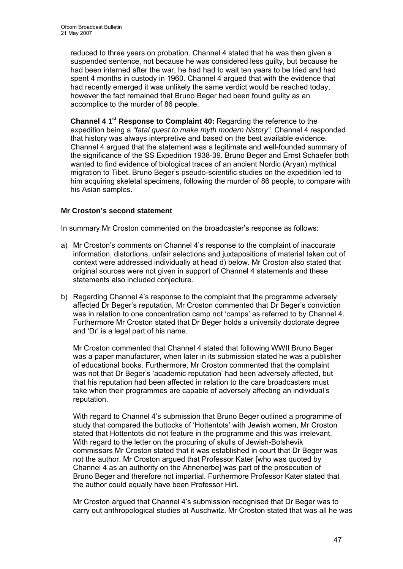reduced to three years on probation. Channel 4 stated that he was then given a suspended sentence, not because he was considered less guilty, but because he had been interned after the war, he had had to wait ten years to be tried and had spent 4 months in custody in 1960. Channel 4 argued that with the evidence that had recently emerged it was unlikely the same verdict would be reached today, however the fact remained that Bruno Beger had been found guilty as an accomplice to the murder of 86 people.

**Channel 4 1st Response to Complaint 40:** Regarding the reference to the expedition being a *"fatal quest to make myth modern history",* Channel 4 responded that history was always interpretive and based on the best available evidence. Channel 4 argued that the statement was a legitimate and well-founded summary of the significance of the SS Expedition 1938-39. Bruno Beger and Ernst Schaefer both wanted to find evidence of biological traces of an ancient Nordic (Aryan) mythical migration to Tibet. Bruno Beger's pseudo-scientific studies on the expedition led to him acquiring skeletal specimens, following the murder of 86 people, to compare with his Asian samples.

## **Mr Croston's second statement**

In summary Mr Croston commented on the broadcaster's response as follows:

- a) Mr Croston's comments on Channel 4's response to the complaint of inaccurate information, distortions, unfair selections and juxtapositions of material taken out of context were addressed individually at head d) below. Mr Croston also stated that original sources were not given in support of Channel 4 statements and these statements also included conjecture.
- b) Regarding Channel 4's response to the complaint that the programme adversely affected Dr Beger's reputation, Mr Croston commented that Dr Beger's conviction was in relation to one concentration camp not 'camps' as referred to by Channel 4. Furthermore Mr Croston stated that Dr Beger holds a university doctorate degree and 'Dr' is a legal part of his name.

Mr Croston commented that Channel 4 stated that following WWII Bruno Beger was a paper manufacturer, when later in its submission stated he was a publisher of educational books. Furthermore, Mr Croston commented that the complaint was not that Dr Beger's 'academic reputation' had been adversely affected, but that his reputation had been affected in relation to the care broadcasters must take when their programmes are capable of adversely affecting an individual's reputation.

With regard to Channel 4's submission that Bruno Beger outlined a programme of study that compared the buttocks of 'Hottentots' with Jewish women, Mr Croston stated that Hottentots did not feature in the programme and this was irrelevant. With regard to the letter on the procuring of skulls of Jewish-Bolshevik commissars Mr Croston stated that it was established in court that Dr Beger was not the author. Mr Croston argued that Professor Kater [who was quoted by Channel 4 as an authority on the Ahnenerbe] was part of the prosecution of Bruno Beger and therefore not impartial. Furthermore Professor Kater stated that the author could equally have been Professor Hirt.

Mr Croston argued that Channel 4's submission recognised that Dr Beger was to carry out anthropological studies at Auschwitz. Mr Croston stated that was all he was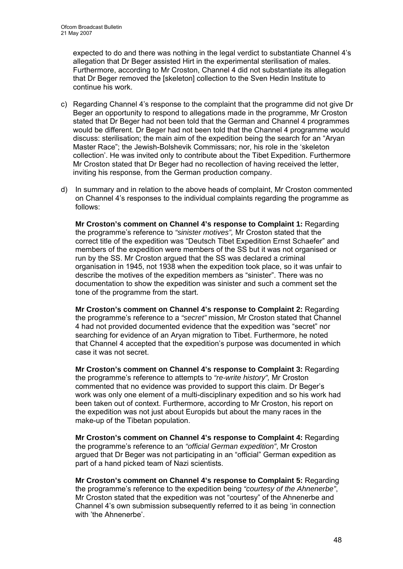expected to do and there was nothing in the legal verdict to substantiate Channel 4's allegation that Dr Beger assisted Hirt in the experimental sterilisation of males. Furthermore, according to Mr Croston, Channel 4 did not substantiate its allegation that Dr Beger removed the [skeleton] collection to the Sven Hedin Institute to continue his work.

- c) Regarding Channel 4's response to the complaint that the programme did not give Dr Beger an opportunity to respond to allegations made in the programme, Mr Croston stated that Dr Beger had not been told that the German and Channel 4 programmes would be different. Dr Beger had not been told that the Channel 4 programme would discuss: sterilisation; the main aim of the expedition being the search for an "Aryan Master Race"; the Jewish-Bolshevik Commissars; nor, his role in the 'skeleton collection'. He was invited only to contribute about the Tibet Expedition. Furthermore Mr Croston stated that Dr Beger had no recollection of having received the letter, inviting his response, from the German production company.
- d) In summary and in relation to the above heads of complaint, Mr Croston commented on Channel 4's responses to the individual complaints regarding the programme as follows:

**Mr Croston's comment on Channel 4's response to Complaint 1:** Regarding the programme's reference to *"sinister motives",* Mr Croston stated that the correct title of the expedition was "Deutsch Tibet Expedition Ernst Schaefer" and members of the expedition were members of the SS but it was not organised or run by the SS. Mr Croston argued that the SS was declared a criminal organisation in 1945, not 1938 when the expedition took place, so it was unfair to describe the motives of the expedition members as "sinister". There was no documentation to show the expedition was sinister and such a comment set the tone of the programme from the start.

**Mr Croston's comment on Channel 4's response to Complaint 2:** Regarding the programme's reference to a *"secret"* mission, Mr Croston stated that Channel 4 had not provided documented evidence that the expedition was "secret" nor searching for evidence of an Aryan migration to Tibet. Furthermore, he noted that Channel 4 accepted that the expedition's purpose was documented in which case it was not secret.

**Mr Croston's comment on Channel 4's response to Complaint 3:** Regarding the programme's reference to attempts to *"re-write history",* Mr Croston commented that no evidence was provided to support this claim. Dr Beger's work was only one element of a multi-disciplinary expedition and so his work had been taken out of context. Furthermore, according to Mr Croston, his report on the expedition was not just about Europids but about the many races in the make-up of the Tibetan population.

**Mr Croston's comment on Channel 4's response to Complaint 4:** Regarding the programme's reference to an *"official German expedition"*, Mr Croston argued that Dr Beger was not participating in an "official" German expedition as part of a hand picked team of Nazi scientists.

**Mr Croston's comment on Channel 4's response to Complaint 5:** Regarding the programme's reference to the expedition being *"courtesy of the Ahnenerbe"*, Mr Croston stated that the expedition was not "courtesy" of the Ahnenerbe and Channel 4's own submission subsequently referred to it as being 'in connection with 'the Ahnenerbe'.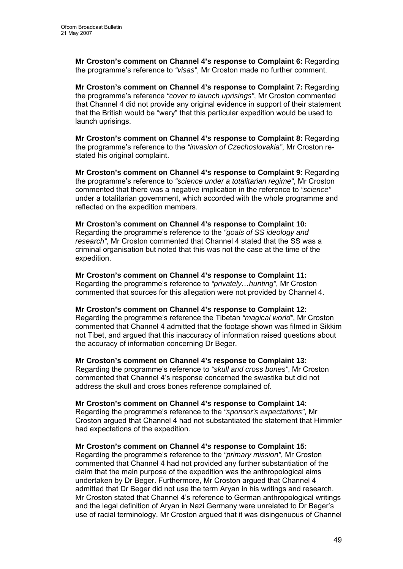**Mr Croston's comment on Channel 4's response to Complaint 6:** Regarding the programme's reference to *"visas"*, Mr Croston made no further comment.

**Mr Croston's comment on Channel 4's response to Complaint 7:** Regarding the programme's reference *"cover to launch uprisings"*, Mr Croston commented that Channel 4 did not provide any original evidence in support of their statement that the British would be "wary" that this particular expedition would be used to launch uprisings.

**Mr Croston's comment on Channel 4's response to Complaint 8:** Regarding the programme's reference to the *"invasion of Czechoslovakia"*, Mr Croston restated his original complaint.

**Mr Croston's comment on Channel 4's response to Complaint 9:** Regarding the programme's reference to *"science under a totalitarian regime"*, Mr Croston commented that there was a negative implication in the reference to *"science"* under a totalitarian government, which accorded with the whole programme and reflected on the expedition members.

#### **Mr Croston's comment on Channel 4's response to Complaint 10:**  Regarding the programme's reference to the *"goals of SS ideology and research"*, Mr Croston commented that Channel 4 stated that the SS was a criminal organisation but noted that this was not the case at the time of the expedition.

**Mr Croston's comment on Channel 4's response to Complaint 11:**  Regarding the programme's reference to *"privately…hunting"*, Mr Croston commented that sources for this allegation were not provided by Channel 4.

#### **Mr Croston's comment on Channel 4's response to Complaint 12:**  Regarding the programme's reference the Tibetan *"magical world"*, Mr Croston commented that Channel 4 admitted that the footage shown was filmed in Sikkim not Tibet, and argued that this inaccuracy of information raised questions about the accuracy of information concerning Dr Beger.

**Mr Croston's comment on Channel 4's response to Complaint 13:**  Regarding the programme's reference to *"skull and cross bones"*, Mr Croston commented that Channel 4's response concerned the swastika but did not address the skull and cross bones reference complained of.

# **Mr Croston's comment on Channel 4's response to Complaint 14:**  Regarding the programme's reference to the *"sponsor's expectations"*, Mr

Croston argued that Channel 4 had not substantiated the statement that Himmler had expectations of the expedition.

# **Mr Croston's comment on Channel 4's response to Complaint 15:**

Regarding the programme's reference to the *"primary mission"*, Mr Croston commented that Channel 4 had not provided any further substantiation of the claim that the main purpose of the expedition was the anthropological aims undertaken by Dr Beger. Furthermore, Mr Croston argued that Channel 4 admitted that Dr Beger did not use the term Aryan in his writings and research. Mr Croston stated that Channel 4's reference to German anthropological writings and the legal definition of Aryan in Nazi Germany were unrelated to Dr Beger's use of racial terminology. Mr Croston argued that it was disingenuous of Channel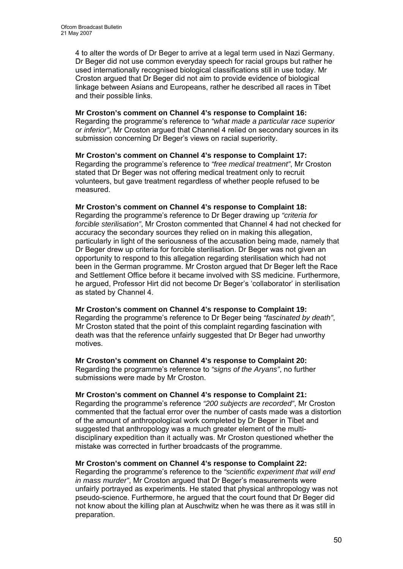4 to alter the words of Dr Beger to arrive at a legal term used in Nazi Germany. Dr Beger did not use common everyday speech for racial groups but rather he used internationally recognised biological classifications still in use today. Mr Croston argued that Dr Beger did not aim to provide evidence of biological linkage between Asians and Europeans, rather he described all races in Tibet and their possible links.

#### **Mr Croston's comment on Channel 4's response to Complaint 16:**

Regarding the programme's reference to *"what made a particular race superior or inferior"*, Mr Croston argued that Channel 4 relied on secondary sources in its submission concerning Dr Beger's views on racial superiority.

#### **Mr Croston's comment on Channel 4's response to Complaint 17:**  Regarding the programme's reference to *"free medical treatment"*, Mr Croston stated that Dr Beger was not offering medical treatment only to recruit volunteers, but gave treatment regardless of whether people refused to be measured.

#### **Mr Croston's comment on Channel 4's response to Complaint 18:**

Regarding the programme's reference to Dr Beger drawing up *"criteria for forcible sterilisation"*, Mr Croston commented that Channel 4 had not checked for accuracy the secondary sources they relied on in making this allegation, particularly in light of the seriousness of the accusation being made, namely that Dr Beger drew up criteria for forcible sterilisation. Dr Beger was not given an opportunity to respond to this allegation regarding sterilisation which had not been in the German programme. Mr Croston argued that Dr Beger left the Race and Settlement Office before it became involved with SS medicine. Furthermore, he argued, Professor Hirt did not become Dr Beger's 'collaborator' in sterilisation as stated by Channel 4.

#### **Mr Croston's comment on Channel 4's response to Complaint 19:**

Regarding the programme's reference to Dr Beger being *"fascinated by death"*, Mr Croston stated that the point of this complaint regarding fascination with death was that the reference unfairly suggested that Dr Beger had unworthy motives.

## **Mr Croston's comment on Channel 4's response to Complaint 20:**

Regarding the programme's reference to *"signs of the Aryans"*, no further submissions were made by Mr Croston.

## **Mr Croston's comment on Channel 4's response to Complaint 21:**

Regarding the programme's reference *"200 subjects are recorded"*, Mr Croston commented that the factual error over the number of casts made was a distortion of the amount of anthropological work completed by Dr Beger in Tibet and suggested that anthropology was a much greater element of the multidisciplinary expedition than it actually was. Mr Croston questioned whether the mistake was corrected in further broadcasts of the programme.

## **Mr Croston's comment on Channel 4's response to Complaint 22:**

Regarding the programme's reference to the *"scientific experiment that will end in mass murder"*, Mr Croston argued that Dr Beger's measurements were unfairly portrayed as experiments. He stated that physical anthropology was not pseudo-science. Furthermore, he argued that the court found that Dr Beger did not know about the killing plan at Auschwitz when he was there as it was still in preparation.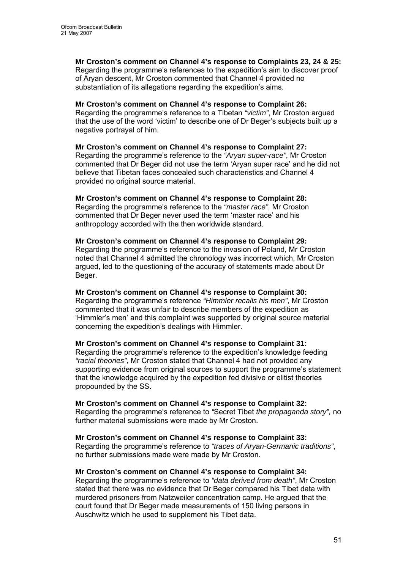**Mr Croston's comment on Channel 4's response to Complaints 23, 24 & 25:**  Regarding the programme's references to the expedition's aim to discover proof of Aryan descent, Mr Croston commented that Channel 4 provided no substantiation of its allegations regarding the expedition's aims.

#### **Mr Croston's comment on Channel 4's response to Complaint 26:**

Regarding the programme's reference to a Tibetan *"victim"*, Mr Croston argued that the use of the word 'victim' to describe one of Dr Beger's subjects built up a negative portrayal of him.

#### **Mr Croston's comment on Channel 4's response to Complaint 27:**

Regarding the programme's reference to the *"Aryan super-race"*, Mr Croston commented that Dr Beger did not use the term 'Aryan super race' and he did not believe that Tibetan faces concealed such characteristics and Channel 4 provided no original source material.

#### **Mr Croston's comment on Channel 4's response to Complaint 28:**

Regarding the programme's reference to the *"master race"*, Mr Croston commented that Dr Beger never used the term 'master race' and his anthropology accorded with the then worldwide standard.

#### **Mr Croston's comment on Channel 4's response to Complaint 29:**

Regarding the programme's reference to the invasion of Poland, Mr Croston noted that Channel 4 admitted the chronology was incorrect which, Mr Croston argued, led to the questioning of the accuracy of statements made about Dr Beger.

## **Mr Croston's comment on Channel 4's response to Complaint 30:**

Regarding the programme's reference *"Himmler recalls his men"*, Mr Croston commented that it was unfair to describe members of the expedition as 'Himmler's men' and this complaint was supported by original source material concerning the expedition's dealings with Himmler.

# **Mr Croston's comment on Channel 4's response to Complaint 31:**

Regarding the programme's reference to the expedition's knowledge feeding *"racial theories"*, Mr Croston stated that Channel 4 had not provided any supporting evidence from original sources to support the programme's statement that the knowledge acquired by the expedition fed divisive or elitist theories propounded by the SS.

## **Mr Croston's comment on Channel 4's response to Complaint 32:**

Regarding the programme's reference to *"*Secret Tibet *the propaganda story",* no further material submissions were made by Mr Croston.

## **Mr Croston's comment on Channel 4's response to Complaint 33:**

Regarding the programme's reference to *"traces of Aryan-Germanic traditions"*, no further submissions made were made by Mr Croston.

## **Mr Croston's comment on Channel 4's response to Complaint 34:**

Regarding the programme's reference to *"data derived from death"*, Mr Croston stated that there was no evidence that Dr Beger compared his Tibet data with murdered prisoners from Natzweiler concentration camp. He argued that the court found that Dr Beger made measurements of 150 living persons in Auschwitz which he used to supplement his Tibet data.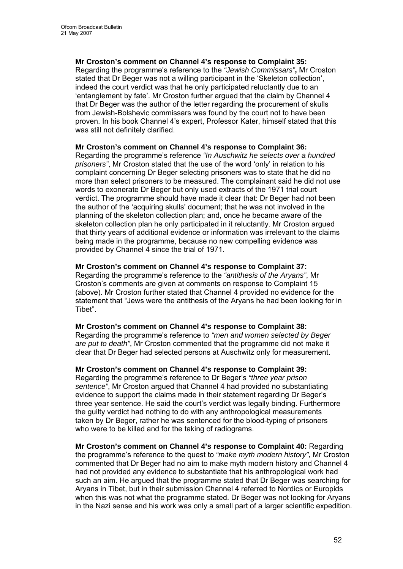**Mr Croston's comment on Channel 4's response to Complaint 35:**  Regarding the programme's reference to the *"Jewish Commissars"***,** Mr Croston stated that Dr Beger was not a willing participant in the 'Skeleton collection', indeed the court verdict was that he only participated reluctantly due to an 'entanglement by fate'. Mr Croston further argued that the claim by Channel 4 that Dr Beger was the author of the letter regarding the procurement of skulls from Jewish-Bolshevic commissars was found by the court not to have been proven. In his book Channel 4's expert, Professor Kater, himself stated that this was still not definitely clarified.

#### **Mr Croston's comment on Channel 4's response to Complaint 36:**

Regarding the programme's reference *"In Auschwitz he selects over a hundred prisoners"*, Mr Croston stated that the use of the word 'only' in relation to his complaint concerning Dr Beger selecting prisoners was to state that he did no more than select prisoners to be measured. The complainant said he did not use words to exonerate Dr Beger but only used extracts of the 1971 trial court verdict. The programme should have made it clear that: Dr Beger had not been the author of the 'acquiring skulls' document; that he was not involved in the planning of the skeleton collection plan; and, once he became aware of the skeleton collection plan he only participated in it reluctantly. Mr Croston argued that thirty years of additional evidence or information was irrelevant to the claims being made in the programme, because no new compelling evidence was provided by Channel 4 since the trial of 1971.

#### **Mr Croston's comment on Channel 4's response to Complaint 37:**

Regarding the programme's reference to the *"antithesis of the Aryans"*, Mr Croston's comments are given at comments on response to Complaint 15 (above). Mr Croston further stated that Channel 4 provided no evidence for the statement that "Jews were the antithesis of the Aryans he had been looking for in Tibet".

#### **Mr Croston's comment on Channel 4's response to Complaint 38:**

Regarding the programme's reference to *"men and women selected by Beger are put to death"*, Mr Croston commented that the programme did not make it clear that Dr Beger had selected persons at Auschwitz only for measurement.

#### **Mr Croston's comment on Channel 4's response to Complaint 39:**

Regarding the programme's reference to Dr Beger's *"three year prison sentence"*, Mr Croston argued that Channel 4 had provided no substantiating evidence to support the claims made in their statement regarding Dr Beger's three year sentence. He said the court's verdict was legally binding. Furthermore the guilty verdict had nothing to do with any anthropological measurements taken by Dr Beger, rather he was sentenced for the blood-typing of prisoners who were to be killed and for the taking of radiograms.

**Mr Croston's comment on Channel 4's response to Complaint 40:** Regarding the programme's reference to the quest to *"make myth modern history"*, Mr Croston commented that Dr Beger had no aim to make myth modern history and Channel 4 had not provided any evidence to substantiate that his anthropological work had such an aim. He argued that the programme stated that Dr Beger was searching for Aryans in Tibet, but in their submission Channel 4 referred to Nordics or Europids when this was not what the programme stated. Dr Beger was not looking for Aryans in the Nazi sense and his work was only a small part of a larger scientific expedition.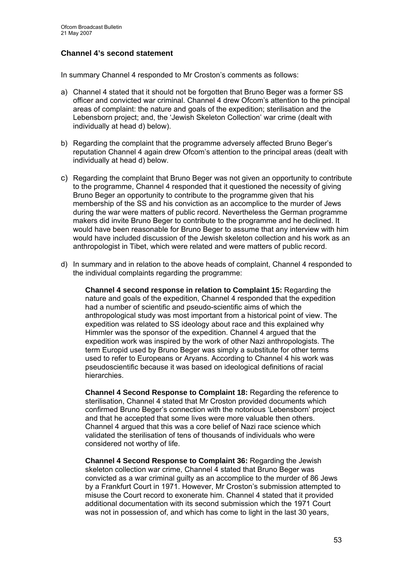# **Channel 4's second statement**

In summary Channel 4 responded to Mr Croston's comments as follows:

- a) Channel 4 stated that it should not be forgotten that Bruno Beger was a former SS officer and convicted war criminal. Channel 4 drew Ofcom's attention to the principal areas of complaint: the nature and goals of the expedition; sterilisation and the Lebensborn project; and, the 'Jewish Skeleton Collection' war crime (dealt with individually at head d) below).
- b) Regarding the complaint that the programme adversely affected Bruno Beger's reputation Channel 4 again drew Ofcom's attention to the principal areas (dealt with individually at head d) below.
- c) Regarding the complaint that Bruno Beger was not given an opportunity to contribute to the programme, Channel 4 responded that it questioned the necessity of giving Bruno Beger an opportunity to contribute to the programme given that his membership of the SS and his conviction as an accomplice to the murder of Jews during the war were matters of public record. Nevertheless the German programme makers did invite Bruno Beger to contribute to the programme and he declined. It would have been reasonable for Bruno Beger to assume that any interview with him would have included discussion of the Jewish skeleton collection and his work as an anthropologist in Tibet, which were related and were matters of public record.
- d) In summary and in relation to the above heads of complaint, Channel 4 responded to the individual complaints regarding the programme:

**Channel 4 second response in relation to Complaint 15:** Regarding the nature and goals of the expedition, Channel 4 responded that the expedition had a number of scientific and pseudo-scientific aims of which the anthropological study was most important from a historical point of view. The expedition was related to SS ideology about race and this explained why Himmler was the sponsor of the expedition. Channel 4 argued that the expedition work was inspired by the work of other Nazi anthropologists. The term Europid used by Bruno Beger was simply a substitute for other terms used to refer to Europeans or Aryans. According to Channel 4 his work was pseudoscientific because it was based on ideological definitions of racial hierarchies.

**Channel 4 Second Response to Complaint 18:** Regarding the reference to sterilisation, Channel 4 stated that Mr Croston provided documents which confirmed Bruno Beger's connection with the notorious 'Lebensborn' project and that he accepted that some lives were more valuable then others. Channel 4 argued that this was a core belief of Nazi race science which validated the sterilisation of tens of thousands of individuals who were considered not worthy of life.

**Channel 4 Second Response to Complaint 36:** Regarding the Jewish skeleton collection war crime, Channel 4 stated that Bruno Beger was convicted as a war criminal guilty as an accomplice to the murder of 86 Jews by a Frankfurt Court in 1971. However, Mr Croston's submission attempted to misuse the Court record to exonerate him. Channel 4 stated that it provided additional documentation with its second submission which the 1971 Court was not in possession of, and which has come to light in the last 30 years,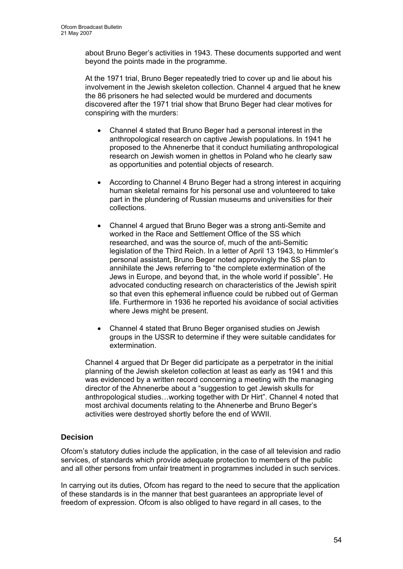about Bruno Beger's activities in 1943. These documents supported and went beyond the points made in the programme.

At the 1971 trial, Bruno Beger repeatedly tried to cover up and lie about his involvement in the Jewish skeleton collection. Channel 4 argued that he knew the 86 prisoners he had selected would be murdered and documents discovered after the 1971 trial show that Bruno Beger had clear motives for conspiring with the murders:

- Channel 4 stated that Bruno Beger had a personal interest in the anthropological research on captive Jewish populations. In 1941 he proposed to the Ahnenerbe that it conduct humiliating anthropological research on Jewish women in ghettos in Poland who he clearly saw as opportunities and potential objects of research.
- According to Channel 4 Bruno Beger had a strong interest in acquiring human skeletal remains for his personal use and volunteered to take part in the plundering of Russian museums and universities for their collections.
- Channel 4 argued that Bruno Beger was a strong anti-Semite and worked in the Race and Settlement Office of the SS which researched, and was the source of, much of the anti-Semitic legislation of the Third Reich. In a letter of April 13 1943, to Himmler's personal assistant, Bruno Beger noted approvingly the SS plan to annihilate the Jews referring to "the complete extermination of the Jews in Europe, and beyond that, in the whole world if possible". He advocated conducting research on characteristics of the Jewish spirit so that even this ephemeral influence could be rubbed out of German life. Furthermore in 1936 he reported his avoidance of social activities where Jews might be present.
- Channel 4 stated that Bruno Beger organised studies on Jewish groups in the USSR to determine if they were suitable candidates for extermination.

Channel 4 argued that Dr Beger did participate as a perpetrator in the initial planning of the Jewish skeleton collection at least as early as 1941 and this was evidenced by a written record concerning a meeting with the managing director of the Ahnenerbe about a "suggestion to get Jewish skulls for anthropological studies…working together with Dr Hirt". Channel 4 noted that most archival documents relating to the Ahnenerbe and Bruno Beger's activities were destroyed shortly before the end of WWII.

# **Decision**

Ofcom's statutory duties include the application, in the case of all television and radio services, of standards which provide adequate protection to members of the public and all other persons from unfair treatment in programmes included in such services.

In carrying out its duties, Ofcom has regard to the need to secure that the application of these standards is in the manner that best guarantees an appropriate level of freedom of expression. Ofcom is also obliged to have regard in all cases, to the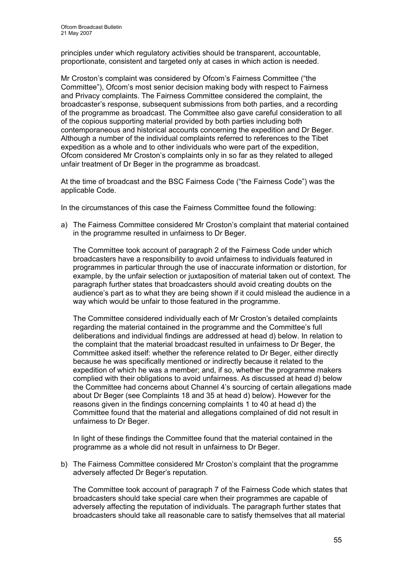principles under which regulatory activities should be transparent, accountable, proportionate, consistent and targeted only at cases in which action is needed.

Mr Croston's complaint was considered by Ofcom's Fairness Committee ("the Committee"), Ofcom's most senior decision making body with respect to Fairness and Privacy complaints. The Fairness Committee considered the complaint, the broadcaster's response, subsequent submissions from both parties, and a recording of the programme as broadcast. The Committee also gave careful consideration to all of the copious supporting material provided by both parties including both contemporaneous and historical accounts concerning the expedition and Dr Beger. Although a number of the individual complaints referred to references to the Tibet expedition as a whole and to other individuals who were part of the expedition, Ofcom considered Mr Croston's complaints only in so far as they related to alleged unfair treatment of Dr Beger in the programme as broadcast.

At the time of broadcast and the BSC Fairness Code ("the Fairness Code") was the applicable Code.

In the circumstances of this case the Fairness Committee found the following:

a) The Fairness Committee considered Mr Croston's complaint that material contained in the programme resulted in unfairness to Dr Beger.

The Committee took account of paragraph 2 of the Fairness Code under which broadcasters have a responsibility to avoid unfairness to individuals featured in programmes in particular through the use of inaccurate information or distortion, for example, by the unfair selection or juxtaposition of material taken out of context. The paragraph further states that broadcasters should avoid creating doubts on the audience's part as to what they are being shown if it could mislead the audience in a way which would be unfair to those featured in the programme.

The Committee considered individually each of Mr Croston's detailed complaints regarding the material contained in the programme and the Committee's full deliberations and individual findings are addressed at head d) below. In relation to the complaint that the material broadcast resulted in unfairness to Dr Beger, the Committee asked itself: whether the reference related to Dr Beger, either directly because he was specifically mentioned or indirectly because it related to the expedition of which he was a member; and, if so, whether the programme makers complied with their obligations to avoid unfairness. As discussed at head d) below the Committee had concerns about Channel 4's sourcing of certain allegations made about Dr Beger (see Complaints 18 and 35 at head d) below). However for the reasons given in the findings concerning complaints 1 to 40 at head d) the Committee found that the material and allegations complained of did not result in unfairness to Dr Beger.

In light of these findings the Committee found that the material contained in the programme as a whole did not result in unfairness to Dr Beger.

b) The Fairness Committee considered Mr Croston's complaint that the programme adversely affected Dr Beger's reputation.

The Committee took account of paragraph 7 of the Fairness Code which states that broadcasters should take special care when their programmes are capable of adversely affecting the reputation of individuals. The paragraph further states that broadcasters should take all reasonable care to satisfy themselves that all material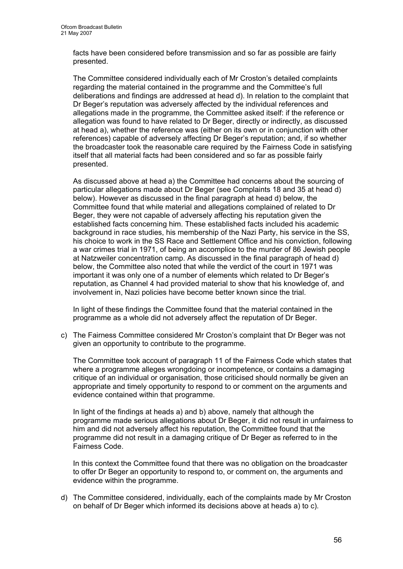facts have been considered before transmission and so far as possible are fairly presented.

The Committee considered individually each of Mr Croston's detailed complaints regarding the material contained in the programme and the Committee's full deliberations and findings are addressed at head d). In relation to the complaint that Dr Beger's reputation was adversely affected by the individual references and allegations made in the programme, the Committee asked itself: if the reference or allegation was found to have related to Dr Beger, directly or indirectly, as discussed at head a), whether the reference was (either on its own or in conjunction with other references) capable of adversely affecting Dr Beger's reputation; and, if so whether the broadcaster took the reasonable care required by the Fairness Code in satisfying itself that all material facts had been considered and so far as possible fairly presented.

As discussed above at head a) the Committee had concerns about the sourcing of particular allegations made about Dr Beger (see Complaints 18 and 35 at head d) below). However as discussed in the final paragraph at head d) below, the Committee found that while material and allegations complained of related to Dr Beger, they were not capable of adversely affecting his reputation given the established facts concerning him. These established facts included his academic background in race studies, his membership of the Nazi Party, his service in the SS, his choice to work in the SS Race and Settlement Office and his conviction, following a war crimes trial in 1971, of being an accomplice to the murder of 86 Jewish people at Natzweiler concentration camp. As discussed in the final paragraph of head d) below, the Committee also noted that while the verdict of the court in 1971 was important it was only one of a number of elements which related to Dr Beger's reputation, as Channel 4 had provided material to show that his knowledge of, and involvement in, Nazi policies have become better known since the trial.

In light of these findings the Committee found that the material contained in the programme as a whole did not adversely affect the reputation of Dr Beger.

c) The Fairness Committee considered Mr Croston's complaint that Dr Beger was not given an opportunity to contribute to the programme.

The Committee took account of paragraph 11 of the Fairness Code which states that where a programme alleges wrongdoing or incompetence, or contains a damaging critique of an individual or organisation, those criticised should normally be given an appropriate and timely opportunity to respond to or comment on the arguments and evidence contained within that programme.

In light of the findings at heads a) and b) above, namely that although the programme made serious allegations about Dr Beger, it did not result in unfairness to him and did not adversely affect his reputation, the Committee found that the programme did not result in a damaging critique of Dr Beger as referred to in the Fairness Code.

In this context the Committee found that there was no obligation on the broadcaster to offer Dr Beger an opportunity to respond to, or comment on, the arguments and evidence within the programme.

d) The Committee considered, individually, each of the complaints made by Mr Croston on behalf of Dr Beger which informed its decisions above at heads a) to c).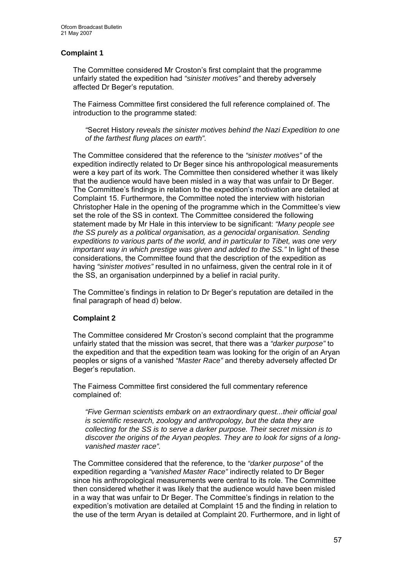## **Complaint 1**

The Committee considered Mr Croston's first complaint that the programme unfairly stated the expedition had *"sinister motives"* and thereby adversely affected Dr Beger's reputation.

The Fairness Committee first considered the full reference complained of. The introduction to the programme stated:

*"*Secret History *reveals the sinister motives behind the Nazi Expedition to one of the farthest flung places on earth".* 

The Committee considered that the reference to the *"sinister motives"* of the expedition indirectly related to Dr Beger since his anthropological measurements were a key part of its work. The Committee then considered whether it was likely that the audience would have been misled in a way that was unfair to Dr Beger. The Committee's findings in relation to the expedition's motivation are detailed at Complaint 15. Furthermore, the Committee noted the interview with historian Christopher Hale in the opening of the programme which in the Committee's view set the role of the SS in context. The Committee considered the following statement made by Mr Hale in this interview to be significant: *"Many people see the SS purely as a political organisation, as a genocidal organisation. Sending expeditions to various parts of the world, and in particular to Tibet, was one very important way in which prestige was given and added to the SS."* In light of these considerations, the Committee found that the description of the expedition as having *"sinister motives"* resulted in no unfairness, given the central role in it of the SS, an organisation underpinned by a belief in racial purity.

The Committee's findings in relation to Dr Beger's reputation are detailed in the final paragraph of head d) below.

## **Complaint 2**

The Committee considered Mr Croston's second complaint that the programme unfairly stated that the mission was secret, that there was a *"darker purpose"* to the expedition and that the expedition team was looking for the origin of an Aryan peoples or signs of a vanished *"Master Race"* and thereby adversely affected Dr Beger's reputation.

The Fairness Committee first considered the full commentary reference complained of:

*"Five German scientists embark on an extraordinary quest...their official goal is scientific research, zoology and anthropology, but the data they are collecting for the SS is to serve a darker purpose. Their secret mission is to discover the origins of the Aryan peoples. They are to look for signs of a longvanished master race".* 

The Committee considered that the reference, to the *"darker purpose"* of the expedition regarding a *"vanished Master Race"* indirectly related to Dr Beger since his anthropological measurements were central to its role. The Committee then considered whether it was likely that the audience would have been misled in a way that was unfair to Dr Beger. The Committee's findings in relation to the expedition's motivation are detailed at Complaint 15 and the finding in relation to the use of the term Aryan is detailed at Complaint 20. Furthermore, and in light of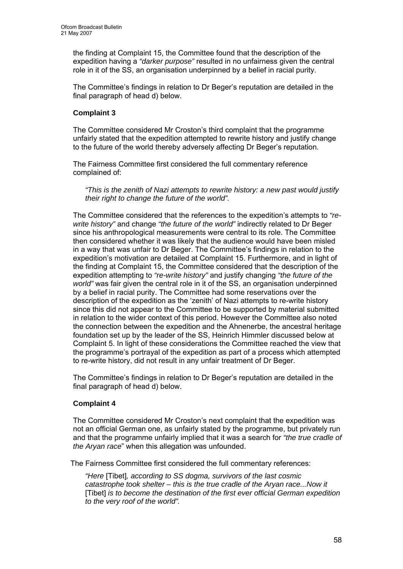the finding at Complaint 15, the Committee found that the description of the expedition having a *"darker purpose"* resulted in no unfairness given the central role in it of the SS, an organisation underpinned by a belief in racial purity.

The Committee's findings in relation to Dr Beger's reputation are detailed in the final paragraph of head d) below.

## **Complaint 3**

The Committee considered Mr Croston's third complaint that the programme unfairly stated that the expedition attempted to rewrite history and justify change to the future of the world thereby adversely affecting Dr Beger's reputation.

The Fairness Committee first considered the full commentary reference complained of:

*"This is the zenith of Nazi attempts to rewrite history: a new past would justify their right to change the future of the world".* 

The Committee considered that the references to the expedition's attempts to *"rewrite history"* and change *"the future of the world"* indirectly related to Dr Beger since his anthropological measurements were central to its role. The Committee then considered whether it was likely that the audience would have been misled in a way that was unfair to Dr Beger. The Committee's findings in relation to the expedition's motivation are detailed at Complaint 15. Furthermore, and in light of the finding at Complaint 15, the Committee considered that the description of the expedition attempting to *"re-write history"* and justify changing *"the future of the world"* was fair given the central role in it of the SS, an organisation underpinned by a belief in racial purity. The Committee had some reservations over the description of the expedition as the 'zenith' of Nazi attempts to re-write history since this did not appear to the Committee to be supported by material submitted in relation to the wider context of this period. However the Committee also noted the connection between the expedition and the Ahnenerbe, the ancestral heritage foundation set up by the leader of the SS, Heinrich Himmler discussed below at Complaint 5. In light of these considerations the Committee reached the view that the programme's portrayal of the expedition as part of a process which attempted to re-write history, did not result in any unfair treatment of Dr Beger.

The Committee's findings in relation to Dr Beger's reputation are detailed in the final paragraph of head d) below.

## **Complaint 4**

The Committee considered Mr Croston's next complaint that the expedition was not an official German one, as unfairly stated by the programme, but privately run and that the programme unfairly implied that it was a search for *"the true cradle of the Aryan race*" when this allegation was unfounded.

The Fairness Committee first considered the full commentary references:

*"Here* [Tibet]*, according to SS dogma, survivors of the last cosmic catastrophe took shelter – this is the true cradle of the Aryan race...Now it*  [Tibet] *is to become the destination of the first ever official German expedition to the very roof of the world".*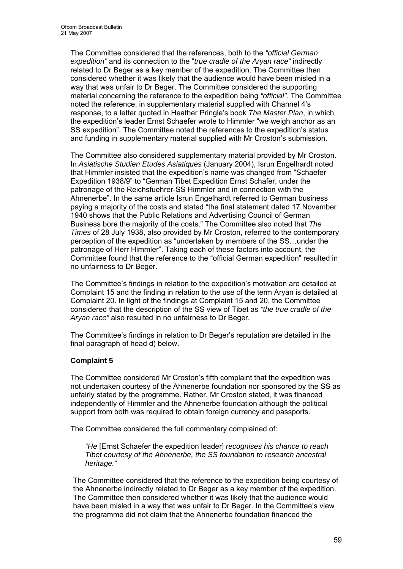The Committee considered that the references, both to the *"official German expedition"* and its connection to the "*true cradle of the Aryan race"* indirectly related to Dr Beger as a key member of the expedition. The Committee then considered whether it was likely that the audience would have been misled in a way that was unfair to Dr Beger. The Committee considered the supporting material concerning the reference to the expedition being *"official".* The Committee noted the reference, in supplementary material supplied with Channel 4's response, to a letter quoted in Heather Pringle's book *The Master Plan*, in which the expedition's leader Ernst Schaefer wrote to Himmler "we weigh anchor as an SS expedition". The Committee noted the references to the expedition's status and funding in supplementary material supplied with Mr Croston's submission.

The Committee also considered supplementary material provided by Mr Croston. In *Asiatische Studien Etudes Asiatiques* (January 2004), Isrun Engelhardt noted that Himmler insisted that the expedition's name was changed from "Schaefer Expedition 1938/9" to "German Tibet Expedition Ernst Schafer, under the patronage of the Reichsfuehrer-SS Himmler and in connection with the Ahnenerbe". In the same article Isrun Engelhardt referred to German business paying a majority of the costs and stated "the final statement dated 17 November 1940 shows that the Public Relations and Advertising Council of German Business bore the majority of the costs." The Committee also noted that *The Times* of 28 July 1938, also provided by Mr Croston, referred to the contemporary perception of the expedition as "undertaken by members of the SS…under the patronage of Herr Himmler". Taking each of these factors into account, the Committee found that the reference to the "official German expedition" resulted in no unfairness to Dr Beger.

The Committee's findings in relation to the expedition's motivation are detailed at Complaint 15 and the finding in relation to the use of the term Aryan is detailed at Complaint 20. In light of the findings at Complaint 15 and 20, the Committee considered that the description of the SS view of Tibet as *"the true cradle of the Aryan race"* also resulted in no unfairness to Dr Beger.

The Committee's findings in relation to Dr Beger's reputation are detailed in the final paragraph of head d) below.

## **Complaint 5**

The Committee considered Mr Croston's fifth complaint that the expedition was not undertaken courtesy of the Ahnenerbe foundation nor sponsored by the SS as unfairly stated by the programme. Rather, Mr Croston stated, it was financed independently of Himmler and the Ahnenerbe foundation although the political support from both was required to obtain foreign currency and passports.

The Committee considered the full commentary complained of:

*"He* [Ernst Schaefer the expedition leader] *recognises his chance to reach Tibet courtesy of the Ahnenerbe, the SS foundation to research ancestral heritage."* 

The Committee considered that the reference to the expedition being courtesy of the Ahnenerbe indirectly related to Dr Beger as a key member of the expedition. The Committee then considered whether it was likely that the audience would have been misled in a way that was unfair to Dr Beger. In the Committee's view the programme did not claim that the Ahnenerbe foundation financed the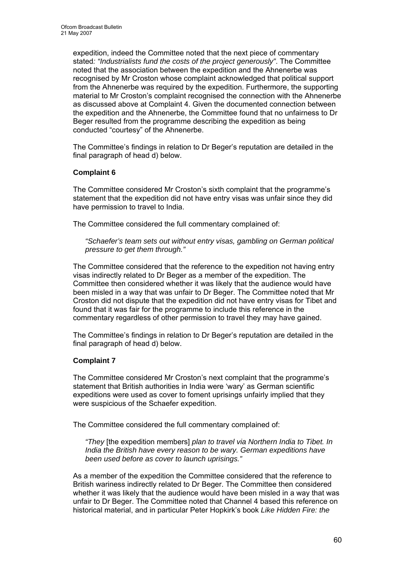expedition, indeed the Committee noted that the next piece of commentary stated*: "Industrialists fund the costs of the project generously"*. The Committee noted that the association between the expedition and the Ahnenerbe was recognised by Mr Croston whose complaint acknowledged that political support from the Ahnenerbe was required by the expedition. Furthermore, the supporting material to Mr Croston's complaint recognised the connection with the Ahnenerbe as discussed above at Complaint 4. Given the documented connection between the expedition and the Ahnenerbe, the Committee found that no unfairness to Dr Beger resulted from the programme describing the expedition as being conducted "courtesy" of the Ahnenerbe.

The Committee's findings in relation to Dr Beger's reputation are detailed in the final paragraph of head d) below.

## **Complaint 6**

The Committee considered Mr Croston's sixth complaint that the programme's statement that the expedition did not have entry visas was unfair since they did have permission to travel to India.

The Committee considered the full commentary complained of:

*"Schaefer's team sets out without entry visas, gambling on German political pressure to get them through."* 

The Committee considered that the reference to the expedition not having entry visas indirectly related to Dr Beger as a member of the expedition. The Committee then considered whether it was likely that the audience would have been misled in a way that was unfair to Dr Beger. The Committee noted that Mr Croston did not dispute that the expedition did not have entry visas for Tibet and found that it was fair for the programme to include this reference in the commentary regardless of other permission to travel they may have gained.

The Committee's findings in relation to Dr Beger's reputation are detailed in the final paragraph of head d) below.

## **Complaint 7**

The Committee considered Mr Croston's next complaint that the programme's statement that British authorities in India were 'wary' as German scientific expeditions were used as cover to foment uprisings unfairly implied that they were suspicious of the Schaefer expedition.

The Committee considered the full commentary complained of:

*"They* [the expedition members] *plan to travel via Northern India to Tibet. In India the British have every reason to be wary. German expeditions have been used before as cover to launch uprisings."* 

As a member of the expedition the Committee considered that the reference to British wariness indirectly related to Dr Beger. The Committee then considered whether it was likely that the audience would have been misled in a way that was unfair to Dr Beger. The Committee noted that Channel 4 based this reference on historical material, and in particular Peter Hopkirk's book *Like Hidden Fire: the*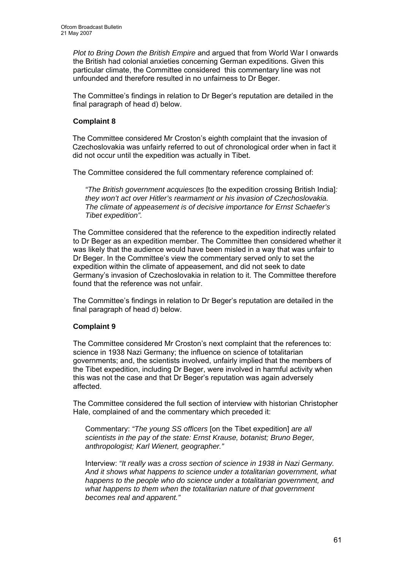*Plot to Bring Down the British Empire* and argued that from World War I onwards the British had colonial anxieties concerning German expeditions. Given this particular climate, the Committee considered this commentary line was not unfounded and therefore resulted in no unfairness to Dr Beger.

The Committee's findings in relation to Dr Beger's reputation are detailed in the final paragraph of head d) below.

## **Complaint 8**

 The Committee considered Mr Croston's eighth complaint that the invasion of Czechoslovakia was unfairly referred to out of chronological order when in fact it did not occur until the expedition was actually in Tibet.

The Committee considered the full commentary reference complained of:

*"The British government acquiesces* [to the expedition crossing British India]*: they won't act over Hitler's rearmament or his invasion of Czechoslovakia. The climate of appeasement is of decisive importance for Ernst Schaefer's Tibet expedition".* 

The Committee considered that the reference to the expedition indirectly related to Dr Beger as an expedition member. The Committee then considered whether it was likely that the audience would have been misled in a way that was unfair to Dr Beger. In the Committee's view the commentary served only to set the expedition within the climate of appeasement, and did not seek to date Germany's invasion of Czechoslovakia in relation to it. The Committee therefore found that the reference was not unfair.

The Committee's findings in relation to Dr Beger's reputation are detailed in the final paragraph of head d) below.

## **Complaint 9**

The Committee considered Mr Croston's next complaint that the references to: science in 1938 Nazi Germany; the influence on science of totalitarian governments; and, the scientists involved, unfairly implied that the members of the Tibet expedition, including Dr Beger, were involved in harmful activity when this was not the case and that Dr Beger's reputation was again adversely affected.

The Committee considered the full section of interview with historian Christopher Hale, complained of and the commentary which preceded it:

Commentary: *"The young SS officers* [on the Tibet expedition] *are all scientists in the pay of the state: Ernst Krause, botanist; Bruno Beger, anthropologist; Karl Wienert, geographer."* 

Interview: *"It really was a cross section of science in 1938 in Nazi Germany. And it shows what happens to science under a totalitarian government, what happens to the people who do science under a totalitarian government, and what happens to them when the totalitarian nature of that government becomes real and apparent."*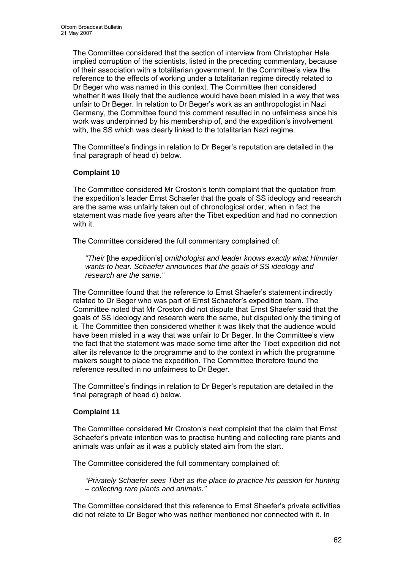The Committee considered that the section of interview from Christopher Hale implied corruption of the scientists, listed in the preceding commentary, because of their association with a totalitarian government. In the Committee's view the reference to the effects of working under a totalitarian regime directly related to Dr Beger who was named in this context. The Committee then considered whether it was likely that the audience would have been misled in a way that was unfair to Dr Beger. In relation to Dr Beger's work as an anthropologist in Nazi Germany, the Committee found this comment resulted in no unfairness since his work was underpinned by his membership of, and the expedition's involvement with, the SS which was clearly linked to the totalitarian Nazi regime.

The Committee's findings in relation to Dr Beger's reputation are detailed in the final paragraph of head d) below.

## **Complaint 10**

The Committee considered Mr Croston's tenth complaint that the quotation from the expedition's leader Ernst Schaefer that the goals of SS ideology and research are the same was unfairly taken out of chronological order, when in fact the statement was made five years after the Tibet expedition and had no connection with it.

The Committee considered the full commentary complained of:

*"Their* [the expedition's] *ornithologist and leader knows exactly what Himmler wants to hear. Schaefer announces that the goals of SS ideology and research are the same."* 

The Committee found that the reference to Ernst Shaefer's statement indirectly related to Dr Beger who was part of Ernst Schaefer's expedition team. The Committee noted that Mr Croston did not dispute that Ernst Shaefer said that the goals of SS ideology and research were the same, but disputed only the timing of it. The Committee then considered whether it was likely that the audience would have been misled in a way that was unfair to Dr Beger. In the Committee's view the fact that the statement was made some time after the Tibet expedition did not alter its relevance to the programme and to the context in which the programme makers sought to place the expedition. The Committee therefore found the reference resulted in no unfairness to Dr Beger.

The Committee's findings in relation to Dr Beger's reputation are detailed in the final paragraph of head d) below.

## **Complaint 11**

The Committee considered Mr Croston's next complaint that the claim that Ernst Schaefer's private intention was to practise hunting and collecting rare plants and animals was unfair as it was a publicly stated aim from the start.

The Committee considered the full commentary complained of:

*"Privately Schaefer sees Tibet as the place to practice his passion for hunting – collecting rare plants and animals."* 

The Committee considered that this reference to Ernst Shaefer's private activities did not relate to Dr Beger who was neither mentioned nor connected with it. In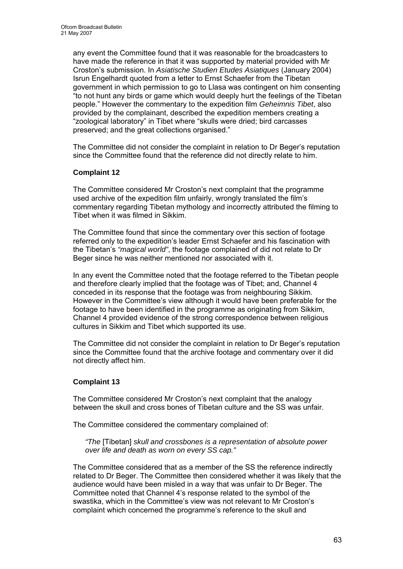any event the Committee found that it was reasonable for the broadcasters to have made the reference in that it was supported by material provided with Mr Croston's submission. In *Asiatische Studien Etudes Asiatiques* (January 2004) Isrun Engelhardt quoted from a letter to Ernst Schaefer from the Tibetan government in which permission to go to Llasa was contingent on him consenting "to not hunt any birds or game which would deeply hurt the feelings of the Tibetan people." However the commentary to the expedition film *Geheimnis Tibet*, also provided by the complainant, described the expedition members creating a "zoological laboratory" in Tibet where "skulls were dried; bird carcasses preserved; and the great collections organised."

The Committee did not consider the complaint in relation to Dr Beger's reputation since the Committee found that the reference did not directly relate to him.

## **Complaint 12**

The Committee considered Mr Croston's next complaint that the programme used archive of the expedition film unfairly, wrongly translated the film's commentary regarding Tibetan mythology and incorrectly attributed the filming to Tibet when it was filmed in Sikkim.

The Committee found that since the commentary over this section of footage referred only to the expedition's leader Ernst Schaefer and his fascination with the Tibetan's *"magical world"*, the footage complained of did not relate to Dr Beger since he was neither mentioned nor associated with it.

In any event the Committee noted that the footage referred to the Tibetan people and therefore clearly implied that the footage was of Tibet; and, Channel 4 conceded in its response that the footage was from neighbouring Sikkim. However in the Committee's view although it would have been preferable for the footage to have been identified in the programme as originating from Sikkim, Channel 4 provided evidence of the strong correspondence between religious cultures in Sikkim and Tibet which supported its use.

The Committee did not consider the complaint in relation to Dr Beger's reputation since the Committee found that the archive footage and commentary over it did not directly affect him.

# **Complaint 13**

The Committee considered Mr Croston's next complaint that the analogy between the skull and cross bones of Tibetan culture and the SS was unfair.

The Committee considered the commentary complained of:

*"The* [Tibetan] *skull and crossbones is a representation of absolute power over life and death as worn on every SS cap."* 

The Committee considered that as a member of the SS the reference indirectly related to Dr Beger. The Committee then considered whether it was likely that the audience would have been misled in a way that was unfair to Dr Beger. The Committee noted that Channel 4's response related to the symbol of the swastika, which in the Committee's view was not relevant to Mr Croston's complaint which concerned the programme's reference to the skull and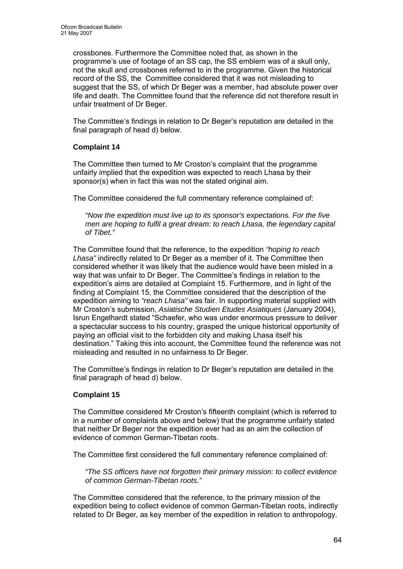crossbones. Furthermore the Committee noted that, as shown in the programme's use of footage of an SS cap, the SS emblem was of a skull only, not the skull and crossbones referred to in the programme. Given the historical record of the SS, the Committee considered that it was not misleading to suggest that the SS, of which Dr Beger was a member, had absolute power over life and death. The Committee found that the reference did not therefore result in unfair treatment of Dr Beger.

The Committee's findings in relation to Dr Beger's reputation are detailed in the final paragraph of head d) below.

# **Complaint 14**

The Committee then turned to Mr Croston's complaint that the programme unfairly implied that the expedition was expected to reach Lhasa by their sponsor(s) when in fact this was not the stated original aim.

The Committee considered the full commentary reference complained of:

*"Now the expedition must live up to its sponsor's expectations. For the five men are hoping to fulfil a great dream: to reach Lhasa, the legendary capital of Tibet."* 

The Committee found that the reference, to the expedition *"hoping to reach Lhasa"* indirectly related to Dr Beger as a member of it. The Committee then considered whether it was likely that the audience would have been misled in a way that was unfair to Dr Beger. The Committee's findings in relation to the expedition's aims are detailed at Complaint 15. Furthermore, and in light of the finding at Complaint 15, the Committee considered that the description of the expedition aiming to *"reach Lhasa"* was fair. In supporting material supplied with Mr Croston's submission, *Asiatische Studien Etudes Asiatiques* (January 2004), Isrun Engelhardt stated "Schaefer, who was under enormous pressure to deliver a spectacular success to his country, grasped the unique historical opportunity of paying an official visit to the forbidden city and making Lhasa itself his destination." Taking this into account, the Committee found the reference was not misleading and resulted in no unfairness to Dr Beger.

The Committee's findings in relation to Dr Beger's reputation are detailed in the final paragraph of head d) below.

# **Complaint 15**

The Committee considered Mr Croston's fifteenth complaint (which is referred to in a number of complaints above and below) that the programme unfairly stated that neither Dr Beger nor the expedition ever had as an aim the collection of evidence of common German-Tibetan roots.

The Committee first considered the full commentary reference complained of:

*"The SS officers have not forgotten their primary mission: to collect evidence of common German-Tibetan roots."* 

The Committee considered that the reference, to the primary mission of the expedition being to collect evidence of common German-Tibetan roots, indirectly related to Dr Beger, as key member of the expedition in relation to anthropology.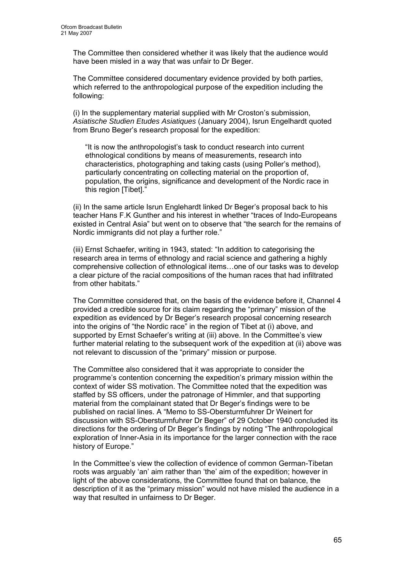The Committee then considered whether it was likely that the audience would have been misled in a way that was unfair to Dr Beger.

The Committee considered documentary evidence provided by both parties, which referred to the anthropological purpose of the expedition including the following:

(i) In the supplementary material supplied with Mr Croston's submission, *Asiatische Studien Etudes Asiatiques* (January 2004), Isrun Engelhardt quoted from Bruno Beger's research proposal for the expedition:

"It is now the anthropologist's task to conduct research into current ethnological conditions by means of measurements, research into characteristics, photographing and taking casts (using Poller's method), particularly concentrating on collecting material on the proportion of, population, the origins, significance and development of the Nordic race in this region [Tibet]."

(ii) In the same article Isrun Englehardt linked Dr Beger's proposal back to his teacher Hans F.K Gunther and his interest in whether "traces of Indo-Europeans existed in Central Asia" but went on to observe that "the search for the remains of Nordic immigrants did not play a further role."

(iii) Ernst Schaefer, writing in 1943, stated: "In addition to categorising the research area in terms of ethnology and racial science and gathering a highly comprehensive collection of ethnological items…one of our tasks was to develop a clear picture of the racial compositions of the human races that had infiltrated from other habitats."

The Committee considered that, on the basis of the evidence before it, Channel 4 provided a credible source for its claim regarding the "primary" mission of the expedition as evidenced by Dr Beger's research proposal concerning research into the origins of "the Nordic race" in the region of Tibet at (i) above, and supported by Ernst Schaefer's writing at (iii) above. In the Committee's view further material relating to the subsequent work of the expedition at (ii) above was not relevant to discussion of the "primary" mission or purpose.

The Committee also considered that it was appropriate to consider the programme's contention concerning the expedition's primary mission within the context of wider SS motivation. The Committee noted that the expedition was staffed by SS officers, under the patronage of Himmler, and that supporting material from the complainant stated that Dr Beger's findings were to be published on racial lines. A "Memo to SS-Obersturmfuhrer Dr Weinert for discussion with SS-Obersturmfuhrer Dr Beger" of 29 October 1940 concluded its directions for the ordering of Dr Beger's findings by noting "The anthropological exploration of Inner-Asia in its importance for the larger connection with the race history of Europe."

In the Committee's view the collection of evidence of common German-Tibetan roots was arguably 'an' aim rather than 'the' aim of the expedition; however in light of the above considerations, the Committee found that on balance, the description of it as the "primary mission" would not have misled the audience in a way that resulted in unfairness to Dr Beger.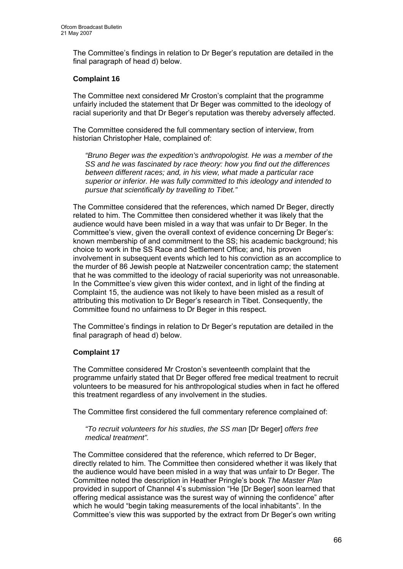The Committee's findings in relation to Dr Beger's reputation are detailed in the final paragraph of head d) below.

## **Complaint 16**

The Committee next considered Mr Croston's complaint that the programme unfairly included the statement that Dr Beger was committed to the ideology of racial superiority and that Dr Beger's reputation was thereby adversely affected.

The Committee considered the full commentary section of interview, from historian Christopher Hale, complained of:

*"Bruno Beger was the expedition's anthropologist. He was a member of the SS and he was fascinated by race theory: how you find out the differences between different races; and, in his view, what made a particular race superior or inferior. He was fully committed to this ideology and intended to pursue that scientifically by travelling to Tibet."* 

The Committee considered that the references, which named Dr Beger, directly related to him. The Committee then considered whether it was likely that the audience would have been misled in a way that was unfair to Dr Beger. In the Committee's view, given the overall context of evidence concerning Dr Beger's: known membership of and commitment to the SS; his academic background; his choice to work in the SS Race and Settlement Office; and, his proven involvement in subsequent events which led to his conviction as an accomplice to the murder of 86 Jewish people at Natzweiler concentration camp; the statement that he was committed to the ideology of racial superiority was not unreasonable. In the Committee's view given this wider context, and in light of the finding at Complaint 15, the audience was not likely to have been misled as a result of attributing this motivation to Dr Beger's research in Tibet. Consequently, the Committee found no unfairness to Dr Beger in this respect.

The Committee's findings in relation to Dr Beger's reputation are detailed in the final paragraph of head d) below.

## **Complaint 17**

The Committee considered Mr Croston's seventeenth complaint that the programme unfairly stated that Dr Beger offered free medical treatment to recruit volunteers to be measured for his anthropological studies when in fact he offered this treatment regardless of any involvement in the studies.

The Committee first considered the full commentary reference complained of:

*"To recruit volunteers for his studies, the SS man* [Dr Beger] *offers free medical treatment".* 

The Committee considered that the reference, which referred to Dr Beger, directly related to him. The Committee then considered whether it was likely that the audience would have been misled in a way that was unfair to Dr Beger. The Committee noted the description in Heather Pringle's book *The Master Plan* provided in support of Channel 4's submission "He [Dr Beger] soon learned that offering medical assistance was the surest way of winning the confidence" after which he would "begin taking measurements of the local inhabitants". In the Committee's view this was supported by the extract from Dr Beger's own writing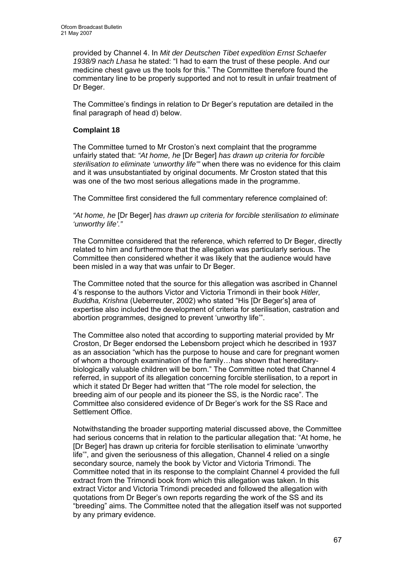provided by Channel 4. In *Mit der Deutschen Tibet expedition Ernst Schaefer 1938/9 nach Lhasa* he stated: "I had to earn the trust of these people. And our medicine chest gave us the tools for this." The Committee therefore found the commentary line to be properly supported and not to result in unfair treatment of Dr Beger.

The Committee's findings in relation to Dr Beger's reputation are detailed in the final paragraph of head d) below.

## **Complaint 18**

The Committee turned to Mr Croston's next complaint that the programme unfairly stated that: *"At home, he* [Dr Beger] *has drawn up criteria for forcible sterilisation to eliminate 'unworthy life'"* when there was no evidence for this claim and it was unsubstantiated by original documents. Mr Croston stated that this was one of the two most serious allegations made in the programme.

The Committee first considered the full commentary reference complained of:

*"At home, he* [Dr Beger] *has drawn up criteria for forcible sterilisation to eliminate 'unworthy life'."* 

The Committee considered that the reference, which referred to Dr Beger, directly related to him and furthermore that the allegation was particularly serious. The Committee then considered whether it was likely that the audience would have been misled in a way that was unfair to Dr Beger.

The Committee noted that the source for this allegation was ascribed in Channel 4's response to the authors Victor and Victoria Trimondi in their book *Hitler, Buddha, Krishna* (Ueberreuter, 2002) who stated "His [Dr Beger's] area of expertise also included the development of criteria for sterilisation, castration and abortion programmes, designed to prevent 'unworthy life'".

The Committee also noted that according to supporting material provided by Mr Croston, Dr Beger endorsed the Lebensborn project which he described in 1937 as an association "which has the purpose to house and care for pregnant women of whom a thorough examination of the family…has shown that hereditarybiologically valuable children will be born." The Committee noted that Channel 4 referred, in support of its allegation concerning forcible sterilisation, to a report in which it stated Dr Beger had written that "The role model for selection, the breeding aim of our people and its pioneer the SS, is the Nordic race". The Committee also considered evidence of Dr Beger's work for the SS Race and Settlement Office.

Notwithstanding the broader supporting material discussed above, the Committee had serious concerns that in relation to the particular allegation that: "At home, he [Dr Beger] has drawn up criteria for forcible sterilisation to eliminate 'unworthy life'", and given the seriousness of this allegation, Channel 4 relied on a single secondary source, namely the book by Victor and Victoria Trimondi. The Committee noted that in its response to the complaint Channel 4 provided the full extract from the Trimondi book from which this allegation was taken. In this extract Victor and Victoria Trimondi preceded and followed the allegation with quotations from Dr Beger's own reports regarding the work of the SS and its "breeding" aims. The Committee noted that the allegation itself was not supported by any primary evidence.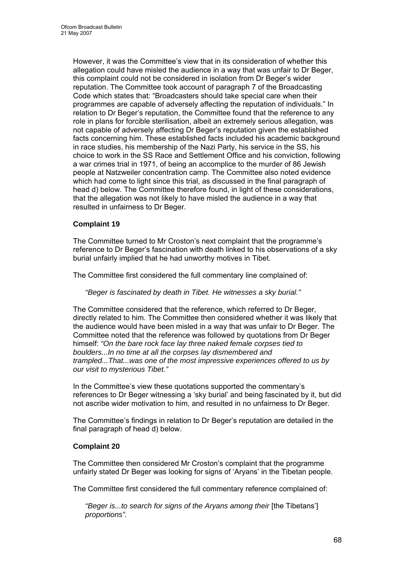However, it was the Committee's view that in its consideration of whether this allegation could have misled the audience in a way that was unfair to Dr Beger, this complaint could not be considered in isolation from Dr Beger's wider reputation. The Committee took account of paragraph 7 of the Broadcasting Code which states that: "Broadcasters should take special care when their programmes are capable of adversely affecting the reputation of individuals." In relation to Dr Beger's reputation, the Committee found that the reference to any role in plans for forcible sterilisation, albeit an extremely serious allegation, was not capable of adversely affecting Dr Beger's reputation given the established facts concerning him. These established facts included his academic background in race studies, his membership of the Nazi Party, his service in the SS, his choice to work in the SS Race and Settlement Office and his conviction, following a war crimes trial in 1971, of being an accomplice to the murder of 86 Jewish people at Natzweiler concentration camp. The Committee also noted evidence which had come to light since this trial, as discussed in the final paragraph of head d) below. The Committee therefore found, in light of these considerations, that the allegation was not likely to have misled the audience in a way that resulted in unfairness to Dr Beger.

# **Complaint 19**

The Committee turned to Mr Croston's next complaint that the programme's reference to Dr Beger's fascination with death linked to his observations of a sky burial unfairly implied that he had unworthy motives in Tibet.

The Committee first considered the full commentary line complained of:

*"Beger is fascinated by death in Tibet. He witnesses a sky burial."* 

The Committee considered that the reference, which referred to Dr Beger, directly related to him. The Committee then considered whether it was likely that the audience would have been misled in a way that was unfair to Dr Beger. The Committee noted that the reference was followed by quotations from Dr Beger himself: *"On the bare rock face lay three naked female corpses tied to boulders...In no time at all the corpses lay dismembered and trampled...That...was one of the most impressive experiences offered to us by our visit to mysterious Tibet."* 

In the Committee's view these quotations supported the commentary's references to Dr Beger witnessing a 'sky burial' and being fascinated by it, but did not ascribe wider motivation to him, and resulted in no unfairness to Dr Beger.

The Committee's findings in relation to Dr Beger's reputation are detailed in the final paragraph of head d) below.

## **Complaint 20**

The Committee then considered Mr Croston's complaint that the programme unfairly stated Dr Beger was looking for signs of 'Aryans' in the Tibetan people.

The Committee first considered the full commentary reference complained of:

*"Beger is...to search for signs of the Aryans among their* [the Tibetans'] *proportions".*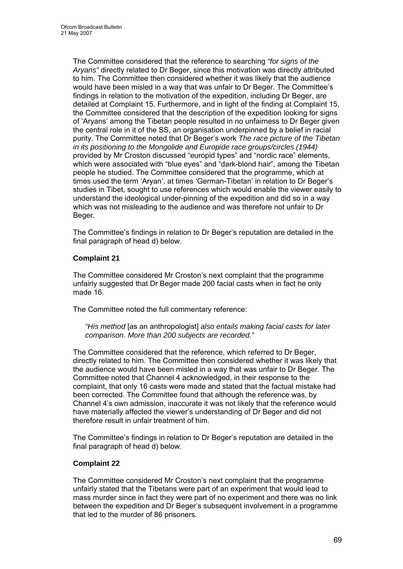The Committee considered that the reference to searching *"for signs of the Aryans"* directly related to Dr Beger, since this motivation was directly attributed to him. The Committee then considered whether it was likely that the audience would have been misled in a way that was unfair to Dr Beger. The Committee's findings in relation to the motivation of the expedition, including Dr Beger, are detailed at Complaint 15. Furthermore, and in light of the finding at Complaint 15, the Committee considered that the description of the expedition looking for signs of 'Aryans' among the Tibetan people resulted in no unfairness to Dr Beger given the central role in it of the SS, an organisation underpinned by a belief in racial purity. The Committee noted that Dr Beger's work *The race picture of the Tibetan in its positioning to the Mongolide and Europide race groups/circles (1944)* provided by Mr Croston discussed "europid types" and "nordic race" elements, which were associated with "blue eyes" and "dark-blond hair", among the Tibetan people he studied. The Committee considered that the programme, which at times used the term 'Aryan', at times 'German-Tibetan' in relation to Dr Beger's studies in Tibet, sought to use references which would enable the viewer easily to understand the ideological under-pinning of the expedition and did so in a way which was not misleading to the audience and was therefore not unfair to Dr Beger.

The Committee's findings in relation to Dr Beger's reputation are detailed in the final paragraph of head d) below.

## **Complaint 21**

The Committee considered Mr Croston's next complaint that the programme unfairly suggested that Dr Beger made 200 facial casts when in fact he only made 16.

The Committee noted the full commentary reference:

*"His method* [as an anthropologist] *also entails making facial casts for later comparison. More than 200 subjects are recorded."* 

The Committee considered that the reference, which referred to Dr Beger, directly related to him. The Committee then considered whether it was likely that the audience would have been misled in a way that was unfair to Dr Beger. The Committee noted that Channel 4 acknowledged, in their response to the complaint, that only 16 casts were made and stated that the factual mistake had been corrected. The Committee found that although the reference was, by Channel 4's own admission, inaccurate it was not likely that the reference would have materially affected the viewer's understanding of Dr Beger and did not therefore result in unfair treatment of him.

The Committee's findings in relation to Dr Beger's reputation are detailed in the final paragraph of head d) below.

## **Complaint 22**

The Committee considered Mr Croston's next complaint that the programme unfairly stated that the Tibetans were part of an experiment that would lead to mass murder since in fact they were part of no experiment and there was no link between the expedition and Dr Beger's subsequent involvement in a programme that led to the murder of 86 prisoners.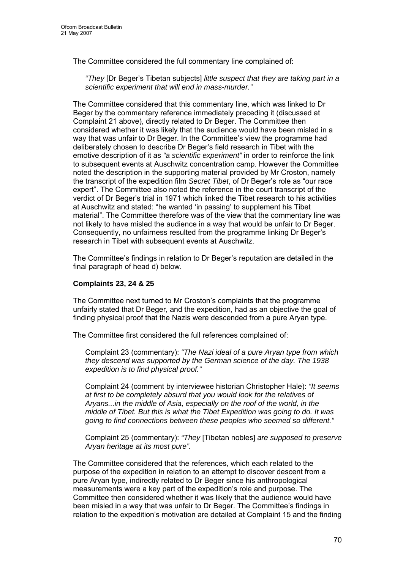The Committee considered the full commentary line complained of:

*"They* [Dr Beger's Tibetan subjects] *little suspect that they are taking part in a scientific experiment that will end in mass-murder."* 

The Committee considered that this commentary line, which was linked to Dr Beger by the commentary reference immediately preceding it (discussed at Complaint 21 above), directly related to Dr Beger. The Committee then considered whether it was likely that the audience would have been misled in a way that was unfair to Dr Beger. In the Committee's view the programme had deliberately chosen to describe Dr Beger's field research in Tibet with the emotive description of it as *"a scientific experiment"* in order to reinforce the link to subsequent events at Auschwitz concentration camp. However the Committee noted the description in the supporting material provided by Mr Croston, namely the transcript of the expedition film *Secret Tibet*, of Dr Beger's role as "our race expert". The Committee also noted the reference in the court transcript of the verdict of Dr Beger's trial in 1971 which linked the Tibet research to his activities at Auschwitz and stated: "he wanted 'in passing' to supplement his Tibet material". The Committee therefore was of the view that the commentary line was not likely to have misled the audience in a way that would be unfair to Dr Beger. Consequently, no unfairness resulted from the programme linking Dr Beger's research in Tibet with subsequent events at Auschwitz.

The Committee's findings in relation to Dr Beger's reputation are detailed in the final paragraph of head d) below.

## **Complaints 23, 24 & 25**

The Committee next turned to Mr Croston's complaints that the programme unfairly stated that Dr Beger, and the expedition, had as an objective the goal of finding physical proof that the Nazis were descended from a pure Aryan type.

The Committee first considered the full references complained of:

Complaint 23 (commentary): *"The Nazi ideal of a pure Aryan type from which they descend was supported by the German science of the day. The 1938 expedition is to find physical proof."* 

Complaint 24 (comment by interviewee historian Christopher Hale): *"It seems at first to be completely absurd that you would look for the relatives of Aryans...in the middle of Asia, especially on the roof of the world, in the middle of Tibet. But this is what the Tibet Expedition was going to do. It was going to find connections between these peoples who seemed so different."* 

Complaint 25 (commentary): *"They* [Tibetan nobles] *are supposed to preserve Aryan heritage at its most pure".* 

The Committee considered that the references, which each related to the purpose of the expedition in relation to an attempt to discover descent from a pure Aryan type, indirectly related to Dr Beger since his anthropological measurements were a key part of the expedition's role and purpose. The Committee then considered whether it was likely that the audience would have been misled in a way that was unfair to Dr Beger. The Committee's findings in relation to the expedition's motivation are detailed at Complaint 15 and the finding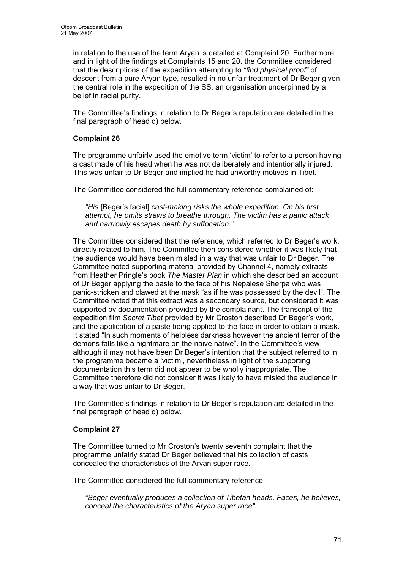in relation to the use of the term Aryan is detailed at Complaint 20. Furthermore, and in light of the findings at Complaints 15 and 20, the Committee considered that the descriptions of the expedition attempting to *"find physical proof"* of descent from a pure Aryan type, resulted in no unfair treatment of Dr Beger given the central role in the expedition of the SS, an organisation underpinned by a belief in racial purity.

The Committee's findings in relation to Dr Beger's reputation are detailed in the final paragraph of head d) below.

## **Complaint 26**

The programme unfairly used the emotive term 'victim' to refer to a person having a cast made of his head when he was not deliberately and intentionally injured. This was unfair to Dr Beger and implied he had unworthy motives in Tibet.

The Committee considered the full commentary reference complained of:

*"His* [Beger's facial] *cast-making risks the whole expedition. On his first attempt, he omits straws to breathe through. The victim has a panic attack and narrrowly escapes death by suffocation."* 

The Committee considered that the reference, which referred to Dr Beger's work, directly related to him. The Committee then considered whether it was likely that the audience would have been misled in a way that was unfair to Dr Beger. The Committee noted supporting material provided by Channel 4, namely extracts from Heather Pringle's book *The Master Plan* in which she described an account of Dr Beger applying the paste to the face of his Nepalese Sherpa who was panic-stricken and clawed at the mask "as if he was possessed by the devil". The Committee noted that this extract was a secondary source, but considered it was supported by documentation provided by the complainant. The transcript of the expedition film *Secret Tibet* provided by Mr Croston described Dr Beger's work, and the application of a paste being applied to the face in order to obtain a mask. It stated "In such moments of helpless darkness however the ancient terror of the demons falls like a nightmare on the naive native". In the Committee's view although it may not have been Dr Beger's intention that the subject referred to in the programme became a 'victim', nevertheless in light of the supporting documentation this term did not appear to be wholly inappropriate. The Committee therefore did not consider it was likely to have misled the audience in a way that was unfair to Dr Beger.

The Committee's findings in relation to Dr Beger's reputation are detailed in the final paragraph of head d) below.

## **Complaint 27**

The Committee turned to Mr Croston's twenty seventh complaint that the programme unfairly stated Dr Beger believed that his collection of casts concealed the characteristics of the Aryan super race.

The Committee considered the full commentary reference:

*"Beger eventually produces a collection of Tibetan heads. Faces, he believes, conceal the characteristics of the Aryan super race".*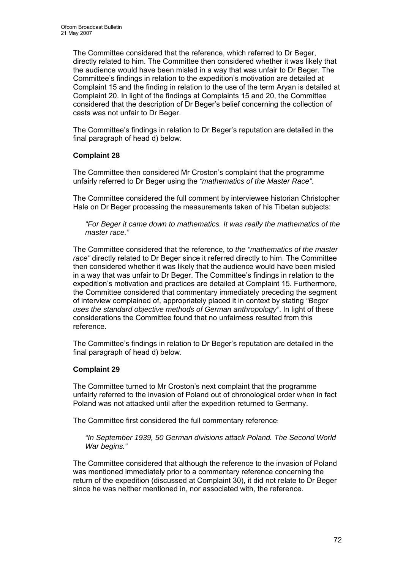The Committee considered that the reference, which referred to Dr Beger, directly related to him. The Committee then considered whether it was likely that the audience would have been misled in a way that was unfair to Dr Beger. The Committee's findings in relation to the expedition's motivation are detailed at Complaint 15 and the finding in relation to the use of the term Aryan is detailed at Complaint 20. In light of the findings at Complaints 15 and 20, the Committee considered that the description of Dr Beger's belief concerning the collection of casts was not unfair to Dr Beger.

The Committee's findings in relation to Dr Beger's reputation are detailed in the final paragraph of head d) below.

## **Complaint 28**

The Committee then considered Mr Croston's complaint that the programme unfairly referred to Dr Beger using the *"mathematics of the Master Race"*.

The Committee considered the full comment by interviewee historian Christopher Hale on Dr Beger processing the measurements taken of his Tibetan subjects:

*"For Beger it came down to mathematics. It was really the mathematics of the master race."* 

The Committee considered that the reference, to *the "mathematics of the master race"* directly related to Dr Beger since it referred directly to him. The Committee then considered whether it was likely that the audience would have been misled in a way that was unfair to Dr Beger. The Committee's findings in relation to the expedition's motivation and practices are detailed at Complaint 15. Furthermore, the Committee considered that commentary immediately preceding the segment of interview complained of, appropriately placed it in context by stating *"Beger uses the standard objective methods of German anthropology"*. In light of these considerations the Committee found that no unfairness resulted from this reference.

The Committee's findings in relation to Dr Beger's reputation are detailed in the final paragraph of head d) below.

## **Complaint 29**

The Committee turned to Mr Croston's next complaint that the programme unfairly referred to the invasion of Poland out of chronological order when in fact Poland was not attacked until after the expedition returned to Germany.

The Committee first considered the full commentary reference:

*"In September 1939, 50 German divisions attack Poland. The Second World War begins."* 

The Committee considered that although the reference to the invasion of Poland was mentioned immediately prior to a commentary reference concerning the return of the expedition (discussed at Complaint 30), it did not relate to Dr Beger since he was neither mentioned in, nor associated with, the reference.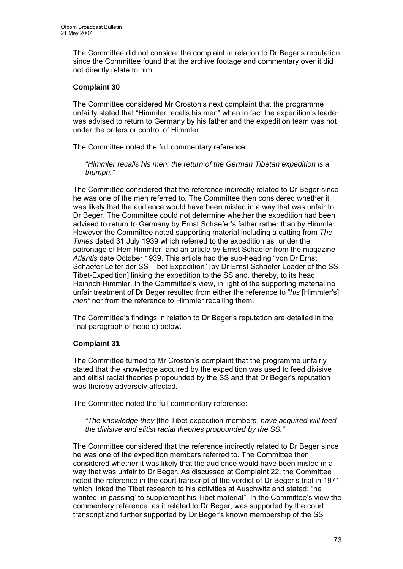The Committee did not consider the complaint in relation to Dr Beger's reputation since the Committee found that the archive footage and commentary over it did not directly relate to him.

# **Complaint 30**

The Committee considered Mr Croston's next complaint that the programme unfairly stated that "Himmler recalls his men" when in fact the expedition's leader was advised to return to Germany by his father and the expedition team was not under the orders or control of Himmler.

The Committee noted the full commentary reference:

*"Himmler recalls his men: the return of the German Tibetan expedition is a triumph."* 

The Committee considered that the reference indirectly related to Dr Beger since he was one of the men referred to. The Committee then considered whether it was likely that the audience would have been misled in a way that was unfair to Dr Beger. The Committee could not determine whether the expedition had been advised to return to Germany by Ernst Schaefer's father rather than by Himmler. However the Committee noted supporting material including a cutting from *The Times* dated 31 July 1939 which referred to the expedition as "under the patronage of Herr Himmler" and an article by Ernst Schaefer from the magazine *Atlantis* date October 1939. This article had the sub-heading "von Dr Ernst Schaefer Leiter der SS-Tibet-Expedition" [by Dr Ernst Schaefer Leader of the SS-Tibet-Expedition] linking the expedition to the SS and. thereby, to its head Heinrich Himmler. In the Committee's view, in light of the supporting material no unfair treatment of Dr Beger resulted from either the reference to "*his* [Himmler's] *men"* nor from the reference to Himmler recalling them.

The Committee's findings in relation to Dr Beger's reputation are detailed in the final paragraph of head d) below.

#### **Complaint 31**

The Committee turned to Mr Croston's complaint that the programme unfairly stated that the knowledge acquired by the expedition was used to feed divisive and elitist racial theories propounded by the SS and that Dr Beger's reputation was thereby adversely affected.

The Committee noted the full commentary reference:

*"The knowledge they* [the Tibet expedition members] *have acquired will feed the divisive and elitist racial theories propounded by the SS."* 

The Committee considered that the reference indirectly related to Dr Beger since he was one of the expedition members referred to. The Committee then considered whether it was likely that the audience would have been misled in a way that was unfair to Dr Beger. As discussed at Complaint 22, the Committee noted the reference in the court transcript of the verdict of Dr Beger's trial in 1971 which linked the Tibet research to his activities at Auschwitz and stated: "he wanted 'in passing' to supplement his Tibet material". In the Committee's view the commentary reference, as it related to Dr Beger, was supported by the court transcript and further supported by Dr Beger's known membership of the SS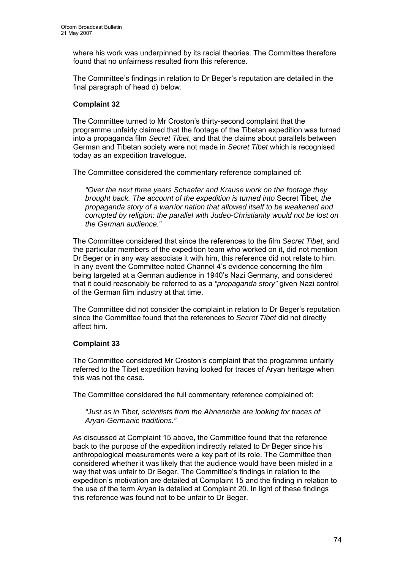where his work was underpinned by its racial theories. The Committee therefore found that no unfairness resulted from this reference.

The Committee's findings in relation to Dr Beger's reputation are detailed in the final paragraph of head d) below.

### **Complaint 32**

The Committee turned to Mr Croston's thirty-second complaint that the programme unfairly claimed that the footage of the Tibetan expedition was turned into a propaganda film *Secret Tibet*, and that the claims about parallels between German and Tibetan society were not made in *Secret Tibet* which is recognised today as an expedition travelogue.

The Committee considered the commentary reference complained of:

*"Over the next three years Schaefer and Krause work on the footage they brought back. The account of the expedition is turned into* Secret Tibet*, the propaganda story of a warrior nation that allowed itself to be weakened and corrupted by religion: the parallel with Judeo-Christianity would not be lost on the German audience."* 

The Committee considered that since the references to the film *Secret Tibet*, and the particular members of the expedition team who worked on it, did not mention Dr Beger or in any way associate it with him, this reference did not relate to him. In any event the Committee noted Channel 4's evidence concerning the film being targeted at a German audience in 1940's Nazi Germany, and considered that it could reasonably be referred to as a *"propaganda story"* given Nazi control of the German film industry at that time.

The Committee did not consider the complaint in relation to Dr Beger's reputation since the Committee found that the references to *Secret Tibet* did not directly affect him.

#### **Complaint 33**

The Committee considered Mr Croston's complaint that the programme unfairly referred to the Tibet expedition having looked for traces of Aryan heritage when this was not the case.

The Committee considered the full commentary reference complained of:

*"Just as in Tibet, scientists from the Ahnenerbe are looking for traces of Aryan-Germanic traditions."* 

As discussed at Complaint 15 above, the Committee found that the reference back to the purpose of the expedition indirectly related to Dr Beger since his anthropological measurements were a key part of its role. The Committee then considered whether it was likely that the audience would have been misled in a way that was unfair to Dr Beger. The Committee's findings in relation to the expedition's motivation are detailed at Complaint 15 and the finding in relation to the use of the term Aryan is detailed at Complaint 20. In light of these findings this reference was found not to be unfair to Dr Beger.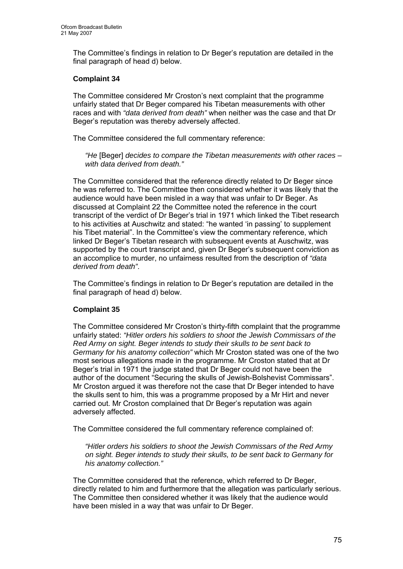The Committee's findings in relation to Dr Beger's reputation are detailed in the final paragraph of head d) below.

### **Complaint 34**

The Committee considered Mr Croston's next complaint that the programme unfairly stated that Dr Beger compared his Tibetan measurements with other races and with *"data derived from death"* when neither was the case and that Dr Beger's reputation was thereby adversely affected.

The Committee considered the full commentary reference:

*"He* [Beger] *decides to compare the Tibetan measurements with other races – with data derived from death."* 

The Committee considered that the reference directly related to Dr Beger since he was referred to. The Committee then considered whether it was likely that the audience would have been misled in a way that was unfair to Dr Beger. As discussed at Complaint 22 the Committee noted the reference in the court transcript of the verdict of Dr Beger's trial in 1971 which linked the Tibet research to his activities at Auschwitz and stated: "he wanted 'in passing' to supplement his Tibet material". In the Committee's view the commentary reference, which linked Dr Beger's Tibetan research with subsequent events at Auschwitz, was supported by the court transcript and, given Dr Beger's subsequent conviction as an accomplice to murder, no unfairness resulted from the description of *"data derived from death"*.

The Committee's findings in relation to Dr Beger's reputation are detailed in the final paragraph of head d) below.

#### **Complaint 35**

The Committee considered Mr Croston's thirty-fifth complaint that the programme unfairly stated: *"Hitler orders his soldiers to shoot the Jewish Commissars of the Red Army on sight. Beger intends to study their skulls to be sent back to Germany for his anatomy collection"* which Mr Croston stated was one of the two most serious allegations made in the programme. Mr Croston stated that at Dr Beger's trial in 1971 the judge stated that Dr Beger could not have been the author of the document "Securing the skulls of Jewish-Bolshevist Commissars". Mr Croston argued it was therefore not the case that Dr Beger intended to have the skulls sent to him, this was a programme proposed by a Mr Hirt and never carried out. Mr Croston complained that Dr Beger's reputation was again adversely affected.

The Committee considered the full commentary reference complained of:

*"Hitler orders his soldiers to shoot the Jewish Commissars of the Red Army on sight. Beger intends to study their skulls, to be sent back to Germany for his anatomy collection."* 

The Committee considered that the reference, which referred to Dr Beger, directly related to him and furthermore that the allegation was particularly serious. The Committee then considered whether it was likely that the audience would have been misled in a way that was unfair to Dr Beger.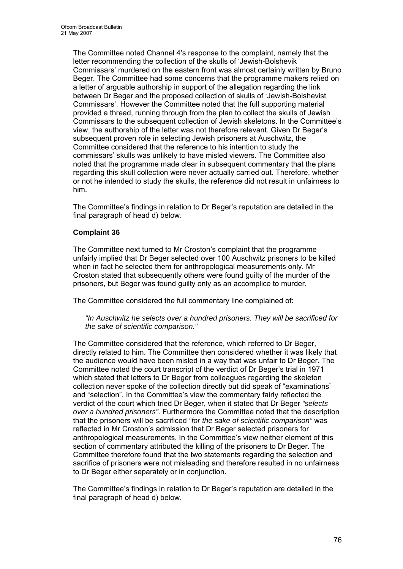The Committee noted Channel 4's response to the complaint, namely that the letter recommending the collection of the skulls of 'Jewish-Bolshevik Commissars' murdered on the eastern front was almost certainly written by Bruno Beger. The Committee had some concerns that the programme makers relied on a letter of arguable authorship in support of the allegation regarding the link between Dr Beger and the proposed collection of skulls of 'Jewish-Bolshevist Commissars'. However the Committee noted that the full supporting material provided a thread, running through from the plan to collect the skulls of Jewish Commissars to the subsequent collection of Jewish skeletons. In the Committee's view, the authorship of the letter was not therefore relevant. Given Dr Beger's subsequent proven role in selecting Jewish prisoners at Auschwitz, the Committee considered that the reference to his intention to study the commissars' skulls was unlikely to have misled viewers. The Committee also noted that the programme made clear in subsequent commentary that the plans regarding this skull collection were never actually carried out. Therefore, whether or not he intended to study the skulls, the reference did not result in unfairness to him.

The Committee's findings in relation to Dr Beger's reputation are detailed in the final paragraph of head d) below.

# **Complaint 36**

The Committee next turned to Mr Croston's complaint that the programme unfairly implied that Dr Beger selected over 100 Auschwitz prisoners to be killed when in fact he selected them for anthropological measurements only. Mr Croston stated that subsequently others were found guilty of the murder of the prisoners, but Beger was found guilty only as an accomplice to murder.

The Committee considered the full commentary line complained of:

*"In Auschwitz he selects over a hundred prisoners. They will be sacrificed for the sake of scientific comparison."* 

The Committee considered that the reference, which referred to Dr Beger, directly related to him. The Committee then considered whether it was likely that the audience would have been misled in a way that was unfair to Dr Beger. The Committee noted the court transcript of the verdict of Dr Beger's trial in 1971 which stated that letters to Dr Beger from colleagues regarding the skeleton collection never spoke of the collection directly but did speak of "examinations" and "selection". In the Committee's view the commentary fairly reflected the verdict of the court which tried Dr Beger, when it stated that Dr Beger *"selects over a hundred prisoners"*. Furthermore the Committee noted that the description that the prisoners will be sacrificed *"for the sake of scientific comparison"* was reflected in Mr Croston's admission that Dr Beger selected prisoners for anthropological measurements. In the Committee's view neither element of this section of commentary attributed the killing of the prisoners to Dr Beger. The Committee therefore found that the two statements regarding the selection and sacrifice of prisoners were not misleading and therefore resulted in no unfairness to Dr Beger either separately or in conjunction.

The Committee's findings in relation to Dr Beger's reputation are detailed in the final paragraph of head d) below.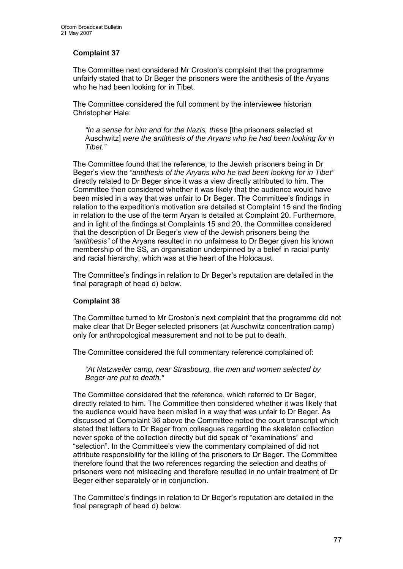# **Complaint 37**

The Committee next considered Mr Croston's complaint that the programme unfairly stated that to Dr Beger the prisoners were the antithesis of the Aryans who he had been looking for in Tibet.

The Committee considered the full comment by the interviewee historian Christopher Hale:

*"In a sense for him and for the Nazis, these* [the prisoners selected at Auschwitz] *were the antithesis of the Aryans who he had been looking for in Tibet."* 

The Committee found that the reference, to the Jewish prisoners being in Dr Beger's view the *"antithesis of the Aryans who he had been looking for in Tibet"* directly related to Dr Beger since it was a view directly attributed to him. The Committee then considered whether it was likely that the audience would have been misled in a way that was unfair to Dr Beger. The Committee's findings in relation to the expedition's motivation are detailed at Complaint 15 and the finding in relation to the use of the term Aryan is detailed at Complaint 20. Furthermore, and in light of the findings at Complaints 15 and 20, the Committee considered that the description of Dr Beger's view of the Jewish prisoners being the *"antithesis"* of the Aryans resulted in no unfairness to Dr Beger given his known membership of the SS, an organisation underpinned by a belief in racial purity and racial hierarchy, which was at the heart of the Holocaust.

The Committee's findings in relation to Dr Beger's reputation are detailed in the final paragraph of head d) below.

#### **Complaint 38**

The Committee turned to Mr Croston's next complaint that the programme did not make clear that Dr Beger selected prisoners (at Auschwitz concentration camp) only for anthropological measurement and not to be put to death.

The Committee considered the full commentary reference complained of:

*"At Natzweiler camp, near Strasbourg, the men and women selected by Beger are put to death."* 

The Committee considered that the reference, which referred to Dr Beger, directly related to him. The Committee then considered whether it was likely that the audience would have been misled in a way that was unfair to Dr Beger. As discussed at Complaint 36 above the Committee noted the court transcript which stated that letters to Dr Beger from colleagues regarding the skeleton collection never spoke of the collection directly but did speak of "examinations" and "selection". In the Committee's view the commentary complained of did not attribute responsibility for the killing of the prisoners to Dr Beger. The Committee therefore found that the two references regarding the selection and deaths of prisoners were not misleading and therefore resulted in no unfair treatment of Dr Beger either separately or in conjunction.

The Committee's findings in relation to Dr Beger's reputation are detailed in the final paragraph of head d) below.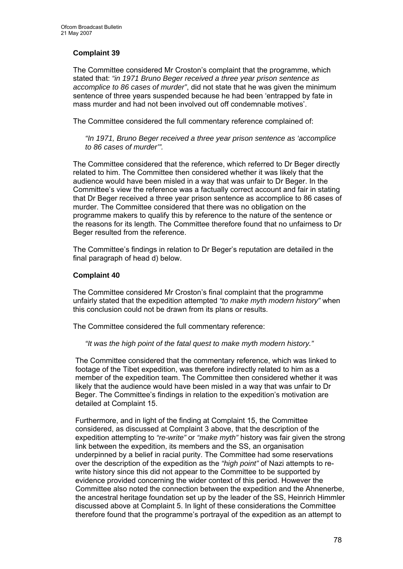# **Complaint 39**

The Committee considered Mr Croston's complaint that the programme, which stated that: *"in 1971 Bruno Beger received a three year prison sentence as accomplice to 86 cases of murder"*, did not state that he was given the minimum sentence of three years suspended because he had been 'entrapped by fate in mass murder and had not been involved out off condemnable motives'.

The Committee considered the full commentary reference complained of:

*"In 1971, Bruno Beger received a three year prison sentence as 'accomplice to 86 cases of murder'".* 

The Committee considered that the reference, which referred to Dr Beger directly related to him. The Committee then considered whether it was likely that the audience would have been misled in a way that was unfair to Dr Beger. In the Committee's view the reference was a factually correct account and fair in stating that Dr Beger received a three year prison sentence as accomplice to 86 cases of murder. The Committee considered that there was no obligation on the programme makers to qualify this by reference to the nature of the sentence or the reasons for its length. The Committee therefore found that no unfairness to Dr Beger resulted from the reference.

The Committee's findings in relation to Dr Beger's reputation are detailed in the final paragraph of head d) below.

#### **Complaint 40**

The Committee considered Mr Croston's final complaint that the programme unfairly stated that the expedition attempted *"to make myth modern history"* when this conclusion could not be drawn from its plans or results.

The Committee considered the full commentary reference:

*"It was the high point of the fatal quest to make myth modern history."* 

The Committee considered that the commentary reference, which was linked to footage of the Tibet expedition, was therefore indirectly related to him as a member of the expedition team. The Committee then considered whether it was likely that the audience would have been misled in a way that was unfair to Dr Beger. The Committee's findings in relation to the expedition's motivation are detailed at Complaint 15.

Furthermore, and in light of the finding at Complaint 15, the Committee considered, as discussed at Complaint 3 above, that the description of the expedition attempting to *"re-write"* or *"make myth"* history was fair given the strong link between the expedition, its members and the SS, an organisation underpinned by a belief in racial purity. The Committee had some reservations over the description of the expedition as the *"high point"* of Nazi attempts to rewrite history since this did not appear to the Committee to be supported by evidence provided concerning the wider context of this period. However the Committee also noted the connection between the expedition and the Ahnenerbe, the ancestral heritage foundation set up by the leader of the SS, Heinrich Himmler discussed above at Complaint 5. In light of these considerations the Committee therefore found that the programme's portrayal of the expedition as an attempt to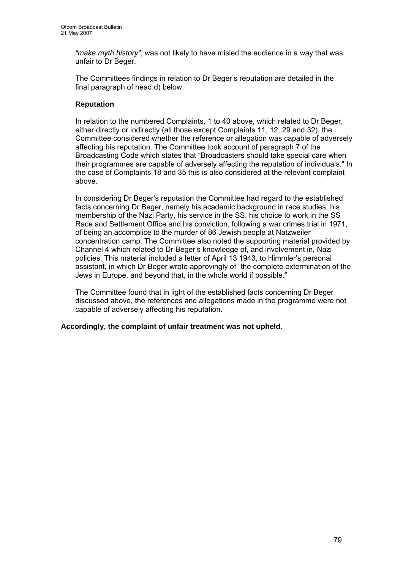*"make myth history"*, was not likely to have misled the audience in a way that was unfair to Dr Beger.

The Committees findings in relation to Dr Beger's reputation are detailed in the final paragraph of head d) below.

### **Reputation**

In relation to the numbered Complaints, 1 to 40 above, which related to Dr Beger, either directly or indirectly (all those except Complaints 11, 12, 29 and 32), the Committee considered whether the reference or allegation was capable of adversely affecting his reputation. The Committee took account of paragraph 7 of the Broadcasting Code which states that "Broadcasters should take special care when their programmes are capable of adversely affecting the reputation of individuals." In the case of Complaints 18 and 35 this is also considered at the relevant complaint above.

In considering Dr Beger's reputation the Committee had regard to the established facts concerning Dr Beger, namely his academic background in race studies, his membership of the Nazi Party, his service in the SS, his choice to work in the SS Race and Settlement Office and his conviction, following a war crimes trial in 1971, of being an accomplice to the murder of 86 Jewish people at Natzweiler concentration camp. The Committee also noted the supporting material provided by Channel 4 which related to Dr Beger's knowledge of, and involvement in, Nazi policies. This material included a letter of April 13 1943, to Himmler's personal assistant, in which Dr Beger wrote approvingly of "the complete extermination of the Jews in Europe, and beyond that, in the whole world if possible."

The Committee found that in light of the established facts concerning Dr Beger discussed above, the references and allegations made in the programme were not capable of adversely affecting his reputation.

**Accordingly, the complaint of unfair treatment was not upheld.**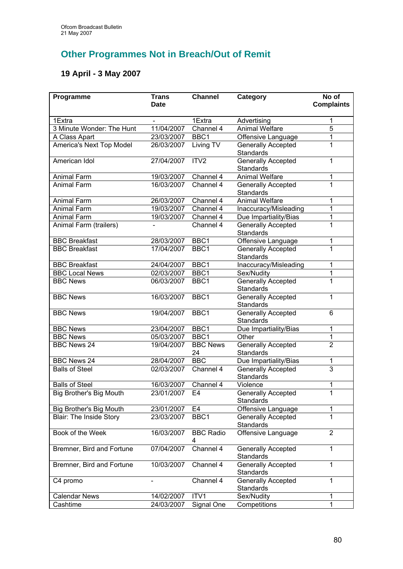# **Other Programmes Not in Breach/Out of Remit**

# **19 April - 3 May 2007**

| Programme                      | <b>Trans</b><br><b>Date</b> | <b>Channel</b>         | Category                                      | No of<br><b>Complaints</b> |
|--------------------------------|-----------------------------|------------------------|-----------------------------------------------|----------------------------|
|                                |                             |                        |                                               |                            |
| 1Extra                         |                             | 1Extra                 | Advertising                                   | 1                          |
| 3 Minute Wonder: The Hunt      | 11/04/2007                  | Channel 4              | <b>Animal Welfare</b>                         | $\overline{5}$             |
| A Class Apart                  | 23/03/2007                  | BBC1                   | Offensive Language                            | 1                          |
| America's Next Top Model       | 26/03/2007                  | Living TV              | <b>Generally Accepted</b><br><b>Standards</b> | 1                          |
| American Idol                  | 27/04/2007                  | ITV <sub>2</sub>       | <b>Generally Accepted</b><br><b>Standards</b> | 1                          |
| Animal Farm                    | 19/03/2007                  | Channel 4              | <b>Animal Welfare</b>                         | 1                          |
| <b>Animal Farm</b>             | 16/03/2007                  | $\overline{Channel}$ 4 | <b>Generally Accepted</b><br>Standards        | 1                          |
| Animal Farm                    | 26/03/2007                  | Channel 4              | <b>Animal Welfare</b>                         | 1                          |
| <b>Animal Farm</b>             | 19/03/2007                  | Channel 4              | Inaccuracy/Misleading                         | 1                          |
| Animal Farm                    | 19/03/2007                  | Channel 4              | Due Impartiality/Bias                         | 1                          |
| Animal Farm (trailers)         |                             | Channel 4              | <b>Generally Accepted</b><br>Standards        | 1                          |
| <b>BBC</b> Breakfast           | 28/03/2007                  | BBC1                   | Offensive Language                            | 1                          |
| <b>BBC Breakfast</b>           | 17/04/2007                  | BBC1                   | <b>Generally Accepted</b><br>Standards        | 1                          |
| <b>BBC Breakfast</b>           | 24/04/2007                  | BBC1                   | Inaccuracy/Misleading                         | 1                          |
| <b>BBC Local News</b>          | 02/03/2007                  | BBC1                   | Sex/Nudity                                    | $\overline{1}$             |
| <b>BBC News</b>                | 06/03/2007                  | BBC1                   | <b>Generally Accepted</b><br>Standards        | 1                          |
| <b>BBC News</b>                | 16/03/2007                  | BBC1                   | <b>Generally Accepted</b><br>Standards        | 1                          |
| <b>BBC News</b>                | 19/04/2007                  | BBC1                   | <b>Generally Accepted</b><br>Standards        | 6                          |
| <b>BBC News</b>                | 23/04/2007                  | BBC1                   | Due Impartiality/Bias                         | 1                          |
| <b>BBC News</b>                | 05/03/2007                  | BBC1                   | Other                                         | $\overline{1}$             |
| <b>BBC News 24</b>             | 19/04/2007                  | <b>BBC News</b><br>24  | <b>Generally Accepted</b><br>Standards        | $\overline{2}$             |
| <b>BBC News 24</b>             | 28/04/2007                  | <b>BBC</b>             | Due Impartiality/Bias                         | 1                          |
| <b>Balls of Steel</b>          | 02/03/2007                  | Channel 4              | <b>Generally Accepted</b><br><b>Standards</b> | $\overline{3}$             |
| <b>Balls of Steel</b>          | 16/03/2007                  | Channel 4              | Violence                                      | 1                          |
| <b>Big Brother's Big Mouth</b> | 23/01/2007                  | E4                     | <b>Generally Accepted</b><br>Standards        | 1                          |
| Big Brother's Big Mouth        | 23/01/2007                  | E <sub>4</sub>         | Offensive Language                            | 1                          |
| <b>Blair: The Inside Story</b> | 23/03/2007                  | BBC1                   | <b>Generally Accepted</b><br>Standards        | 1                          |
| Book of the Week               | 16/03/2007                  | <b>BBC Radio</b><br>4  | Offensive Language                            | $\overline{2}$             |
| Bremner, Bird and Fortune      | 07/04/2007                  | Channel 4              | <b>Generally Accepted</b><br>Standards        | 1                          |
| Bremner, Bird and Fortune      | 10/03/2007                  | Channel 4              | <b>Generally Accepted</b><br>Standards        | 1                          |
| C4 promo                       |                             | Channel 4              | <b>Generally Accepted</b><br>Standards        | 1                          |
| <b>Calendar News</b>           | 14/02/2007                  | ITV1                   | Sex/Nudity                                    | 1                          |
| Cashtime                       | 24/03/2007                  | Signal One             | Competitions                                  | 1                          |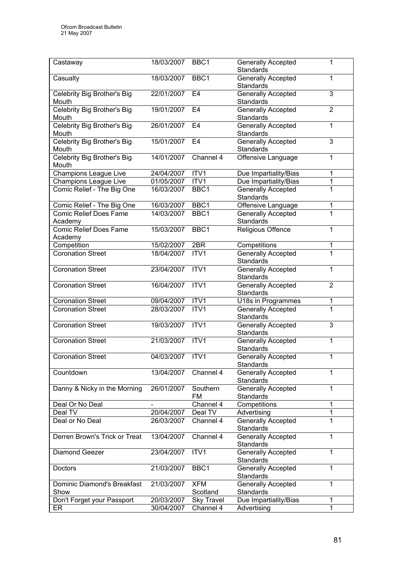| Castaway                      | 18/03/2007      | BBC1              | <b>Generally Accepted</b><br>Standards | 1                   |
|-------------------------------|-----------------|-------------------|----------------------------------------|---------------------|
| Casualty                      | 18/03/2007      | BBC1              | <b>Generally Accepted</b>              | 1                   |
|                               |                 |                   | <b>Standards</b>                       |                     |
| Celebrity Big Brother's Big   | 22/01/2007      | E <sub>4</sub>    | <b>Generally Accepted</b>              | $\overline{3}$      |
| Mouth                         |                 |                   | <b>Standards</b>                       |                     |
| Celebrity Big Brother's Big   | 19/01/2007      | E <sub>4</sub>    | Generally Accepted                     | $\overline{2}$      |
| Mouth                         |                 |                   | <b>Standards</b>                       |                     |
| Celebrity Big Brother's Big   | 26/01/2007      | E <sub>4</sub>    | Generally Accepted                     | $\mathbf{1}$        |
| Mouth                         |                 |                   | <b>Standards</b>                       |                     |
| Celebrity Big Brother's Big   | 15/01/2007      | E4                | Generally Accepted                     | 3                   |
| Mouth                         |                 |                   | <b>Standards</b>                       |                     |
| Celebrity Big Brother's Big   | 14/01/2007      | Channel 4         | Offensive Language                     | 1                   |
| Mouth                         |                 |                   |                                        |                     |
| Champions League Live         | 24/04/2007      | ITV1              | Due Impartiality/Bias                  | 1                   |
| Champions League Live         | 01/05/2007      | ITV1              | Due Impartiality/Bias                  | 1                   |
| Comic Relief - The Big One    | 16/03/2007      | BBC1              | <b>Generally Accepted</b>              | $\overline{1}$      |
|                               |                 |                   | <b>Standards</b>                       |                     |
| Comic Relief - The Big One    | 16/03/2007      | BBC1              | Offensive Language                     | 1                   |
| <b>Comic Relief Does Fame</b> | 14/03/2007      | BBC1              | Generally Accepted                     | $\overline{1}$      |
| Academy                       |                 |                   | Standards                              |                     |
| <b>Comic Relief Does Fame</b> | 15/03/2007      | BBC1              | Religious Offence                      | 1                   |
|                               |                 |                   |                                        |                     |
| Academy                       |                 |                   |                                        |                     |
| Competition                   | 15/02/2007      | 2BR               | Competitions                           | 1<br>$\overline{1}$ |
| <b>Coronation Street</b>      | 18/04/2007      | ITV1              | <b>Generally Accepted</b>              |                     |
|                               |                 |                   | <b>Standards</b>                       |                     |
| <b>Coronation Street</b>      | 23/04/2007      | ITV1              | <b>Generally Accepted</b>              | 1                   |
|                               |                 |                   | <b>Standards</b>                       |                     |
| <b>Coronation Street</b>      | 16/04/2007      | ITV1              | Generally Accepted                     | $\overline{2}$      |
|                               |                 |                   | Standards                              |                     |
| <b>Coronation Street</b>      | 09/04/2007      | ITV1              | U18s in Programmes                     | 1                   |
| <b>Coronation Street</b>      | 28/03/2007      | ITV <sub>1</sub>  | <b>Generally Accepted</b>              | 1                   |
|                               |                 |                   | Standards                              |                     |
| <b>Coronation Street</b>      | 19/03/2007      | ITV1              | Generally Accepted                     | $\overline{3}$      |
|                               |                 |                   | <b>Standards</b>                       |                     |
| <b>Coronation Street</b>      | 21/03/2007      | ITV1              | Generally Accepted                     | $\overline{1}$      |
|                               |                 |                   | Standards                              |                     |
| <b>Coronation Street</b>      | 04/03/2007 ITV1 |                   | <b>Generally Accepted</b>              | 1                   |
|                               |                 |                   | Standards                              |                     |
| Countdown                     | 13/04/2007      | Channel 4         | <b>Generally Accepted</b>              | 1                   |
|                               |                 |                   | Standards                              |                     |
| Danny & Nicky in the Morning  | 26/01/2007      | Southern          | <b>Generally Accepted</b>              | 1                   |
|                               |                 | FM                | Standards                              |                     |
| Deal Or No Deal               |                 | Channel 4         | Competitions                           | 1                   |
| Deal TV                       | 20/04/2007      | Deal TV           | Advertising                            | 1                   |
| Deal or No Deal               | 26/03/2007      | Channel 4         | <b>Generally Accepted</b>              | 1                   |
|                               |                 |                   | Standards                              |                     |
| Derren Brown's Trick or Treat | 13/04/2007      | Channel 4         | <b>Generally Accepted</b>              | $\mathbf{1}$        |
|                               |                 |                   | Standards                              |                     |
| Diamond Geezer                | 23/04/2007      | ITV1              | Generally Accepted                     | 1                   |
|                               |                 |                   | Standards                              |                     |
| Doctors                       | 21/03/2007      | BBC1              | <b>Generally Accepted</b>              | 1                   |
|                               |                 |                   | Standards                              |                     |
| Dominic Diamond's Breakfast   | 21/03/2007      | <b>XFM</b>        | <b>Generally Accepted</b>              | 1                   |
| Show                          |                 | Scotland          | Standards                              |                     |
| Don't Forget your Passport    | 20/03/2007      | <b>Sky Travel</b> | Due Impartiality/Bias                  | 1                   |
| ER                            | 30/04/2007      | Channel 4         | Advertising                            | 1                   |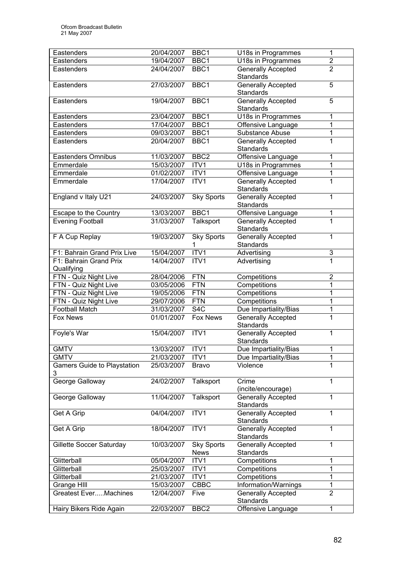| Eastenders                                       | 20/04/2007 | BBC1              | U18s in Programmes                              | 1                   |
|--------------------------------------------------|------------|-------------------|-------------------------------------------------|---------------------|
| Eastenders                                       | 19/04/2007 | BBC1              | U18s in Programmes                              | $\overline{2}$      |
| Eastenders                                       | 24/04/2007 | BBC1              | <b>Generally Accepted</b>                       | $\overline{2}$      |
|                                                  |            |                   | <b>Standards</b>                                |                     |
| Eastenders                                       | 27/03/2007 | BBC1              | <b>Generally Accepted</b>                       | 5                   |
|                                                  |            |                   | <b>Standards</b>                                |                     |
| Eastenders                                       | 19/04/2007 | BBC1              | <b>Generally Accepted</b>                       | 5                   |
|                                                  |            |                   | <b>Standards</b>                                |                     |
| Eastenders                                       | 23/04/2007 | BBC1              | U18s in Programmes                              | 1                   |
| Eastenders                                       | 17/04/2007 | BBC1              | Offensive Language                              | $\overline{1}$      |
| Eastenders                                       | 09/03/2007 | BBC <sub>1</sub>  | Substance Abuse                                 | $\overline{1}$      |
| Eastenders                                       | 20/04/2007 | BBC1              | <b>Generally Accepted</b>                       | $\overline{1}$      |
|                                                  |            |                   | Standards                                       |                     |
| <b>Eastenders Omnibus</b>                        | 11/03/2007 | BBC <sub>2</sub>  | Offensive Language                              | 1                   |
| Emmerdale                                        | 15/03/2007 | ITV1              | U18s in Programmes                              | 1                   |
| Emmerdale                                        | 01/02/2007 | ITV1              | Offensive Language                              | 1                   |
| Emmerdale                                        | 17/04/2007 | ITV1              | <b>Generally Accepted</b>                       | 1                   |
|                                                  |            |                   | Standards                                       |                     |
| England v Italy U21                              | 24/03/2007 | <b>Sky Sports</b> | <b>Generally Accepted</b><br>Standards          | 1                   |
|                                                  | 13/03/2007 | BBC1              |                                                 | 1                   |
| Escape to the Country<br><b>Evening Football</b> | 31/03/2007 | Talksport         | Offensive Language<br><b>Generally Accepted</b> | $\overline{1}$      |
|                                                  |            |                   | <b>Standards</b>                                |                     |
| F A Cup Replay                                   | 19/03/2007 | <b>Sky Sports</b> | Generally Accepted                              | 1                   |
|                                                  |            | 1                 | <b>Standards</b>                                |                     |
| F1: Bahrain Grand Prix Live                      | 15/04/2007 | ITV1              | Advertising                                     | 3                   |
| F1: Bahrain Grand Prix                           | 14/04/2007 | ITV1              | Advertising                                     | $\overline{1}$      |
| Qualifying                                       |            |                   |                                                 |                     |
| FTN - Quiz Night Live                            | 28/04/2006 | <b>FTN</b>        | Competitions                                    | $\overline{2}$      |
| FTN - Quiz Night Live                            | 03/05/2006 | <b>FTN</b>        | Competitions                                    | 1                   |
| FTN - Quiz Night Live                            | 19/05/2006 | FTN               | Competitions                                    | 1                   |
| FTN - Quiz Night Live                            | 29/07/2006 | <b>FTN</b>        | Competitions                                    | 1                   |
| <b>Football Match</b>                            | 31/03/2007 | S4C               | Due Impartiality/Bias                           | 1                   |
| <b>Fox News</b>                                  | 01/01/2007 | <b>Fox News</b>   | <b>Generally Accepted</b>                       | $\overline{1}$      |
|                                                  |            |                   | Standards                                       |                     |
| Foyle's War                                      | 15/04/2007 | ITV1              | Generally Accepted                              | 1                   |
|                                                  |            |                   | Standards                                       |                     |
| <b>GMTV</b>                                      | 13/03/2007 | ITV1              | Due Impartiality/Bias                           | $\mathbf{1}$        |
| <b>GMTV</b>                                      | 21/03/2007 | ITV1              | Due Impartiality/Bias                           | 1                   |
| <b>Gamers Guide to Playstation</b>               | 25/03/2007 | <b>Bravo</b>      | Violence                                        | 1                   |
| 3                                                |            |                   |                                                 |                     |
| George Galloway                                  | 24/02/2007 | Talksport         | Crime                                           | 1                   |
|                                                  |            |                   | (incite/encourage)                              |                     |
| George Galloway                                  | 11/04/2007 | Talksport         | <b>Generally Accepted</b>                       | 1                   |
|                                                  |            |                   | <b>Standards</b>                                |                     |
| Get A Grip                                       | 04/04/2007 | ITV1              | <b>Generally Accepted</b>                       | 1                   |
|                                                  |            |                   | Standards                                       |                     |
| Get A Grip                                       | 18/04/2007 | ITV1              | <b>Generally Accepted</b>                       | 1                   |
|                                                  |            |                   | Standards                                       |                     |
| Gillette Soccer Saturday                         | 10/03/2007 | Sky Sports        | <b>Generally Accepted</b>                       | 1                   |
|                                                  |            | <b>News</b>       | Standards                                       |                     |
| Glitterball                                      | 05/04/2007 | ITV1              | Competitions                                    | 1                   |
| Glitterball                                      | 25/03/2007 | ITV1              | Competitions                                    | 1                   |
| Glitterball                                      | 21/03/2007 | ITV1              | Competitions                                    | 1                   |
| Grange HIII                                      | 15/03/2007 | CBBC              | Information/Warnings                            | 1<br>$\overline{2}$ |
| <b>Greatest EverMachines</b>                     | 12/04/2007 | Five              | <b>Generally Accepted</b><br>Standards          |                     |
|                                                  | 22/03/2007 | BBC <sub>2</sub>  |                                                 | 1                   |
| Hairy Bikers Ride Again                          |            |                   | Offensive Language                              |                     |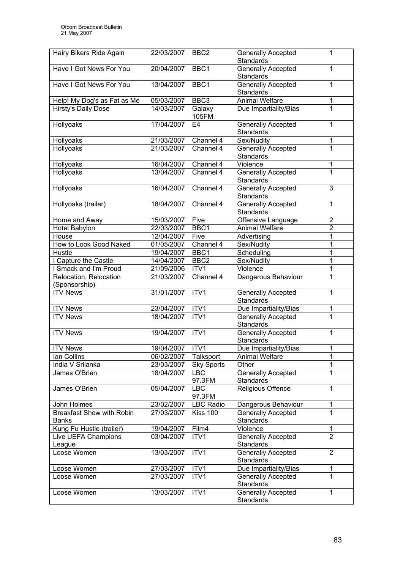| Hairy Bikers Ride Again          | 22/03/2007 | BBC <sub>2</sub>     | <b>Generally Accepted</b><br>Standards | 1              |
|----------------------------------|------------|----------------------|----------------------------------------|----------------|
| Have I Got News For You          | 20/04/2007 | BBC1                 | <b>Generally Accepted</b>              | 1              |
| Have I Got News For You          | 13/04/2007 | BBC1                 | Standards<br>Generally Accepted        | 1              |
|                                  |            |                      | <b>Standards</b>                       |                |
| Help! My Dog's as Fat as Me      | 05/03/2007 | BBC <sub>3</sub>     | <b>Animal Welfare</b>                  | 1              |
| Hirsty's Daily Dose              | 14/03/2007 | Galaxy               | Due Impartiality/Bias                  | 1              |
|                                  |            | 105FM                |                                        |                |
| Hollyoaks                        | 17/04/2007 | E <sub>4</sub>       | <b>Generally Accepted</b><br>Standards | 1              |
| Hollyoaks                        | 21/03/2007 | Channel 4            | Sex/Nudity                             | 1              |
| Hollyoaks                        | 21/03/2007 | Channel 4            | <b>Generally Accepted</b>              | $\overline{1}$ |
|                                  |            |                      | <b>Standards</b>                       |                |
| Hollyoaks                        | 16/04/2007 | Channel 4            | Violence                               | 1              |
| Hollyoaks                        | 13/04/2007 | Channel 4            | <b>Generally Accepted</b><br>Standards | $\overline{1}$ |
| Hollyoaks                        | 16/04/2007 | Channel 4            | <b>Generally Accepted</b>              | 3              |
|                                  |            |                      | <b>Standards</b>                       |                |
| Hollyoaks (trailer)              | 18/04/2007 | Channel 4            | <b>Generally Accepted</b><br>Standards | 1              |
| Home and Away                    | 15/03/2007 | Five                 | Offensive Language                     | $\overline{2}$ |
| Hotel Babylon                    | 22/03/2007 | BBC1                 | <b>Animal Welfare</b>                  | $\overline{2}$ |
| House                            | 12/04/2007 | Five                 | Advertising                            | 1              |
| How to Look Good Naked           | 01/05/2007 | Channel 4            | Sex/Nudity                             | 1              |
| <b>Hustle</b>                    | 19/04/2007 | BBC1                 | Scheduling                             | 1              |
| I Capture the Castle             | 14/04/2007 | BBC <sub>2</sub>     | Sex/Nudity                             | 1              |
| I Smack and I'm Proud            | 21/09/2006 | ITV <sub>1</sub>     | Violence                               | 1              |
| Relocation, Relocation           | 21/03/2007 | Channel 4            | Dangerous Behaviour                    | 1              |
| (Sponsorship)                    |            |                      |                                        |                |
| <b>ITV News</b>                  | 31/01/2007 | ITV1                 | <b>Generally Accepted</b>              | 1              |
|                                  |            |                      | Standards                              |                |
| <b>ITV News</b>                  | 23/04/2007 | ITV1                 | Due Impartiality/Bias                  | 1              |
| <b>ITV News</b>                  | 18/04/2007 | ITV1                 | Generally Accepted<br>Standards        | 1              |
| <b>ITV News</b>                  | 19/04/2007 | ITV1                 | <b>Generally Accepted</b>              | 1              |
|                                  |            |                      | <b>Standards</b>                       |                |
| <b>ITV News</b>                  | 19/04/2007 | ITV1                 | Due Impartiality/Bias                  | 1              |
| Ian Collins                      | 06/02/2007 | Talksport            | <b>Animal Welfare</b>                  | 1              |
| India V Srilanka                 | 23/03/2007 | <b>Sky Sports</b>    | Other                                  | 1              |
| James O'Brien                    | 18/04/2007 | <b>LBC</b><br>97.3FM | <b>Generally Accepted</b><br>Standards | 1              |
| James O'Brien                    | 05/04/2007 | <b>LBC</b>           | Religious Offence                      | 1              |
|                                  |            | 97.3FM               |                                        |                |
| John Holmes                      | 23/02/2007 | <b>LBC Radio</b>     | Dangerous Behaviour                    | 1              |
| <b>Breakfast Show with Robin</b> | 27/03/2007 | <b>Kiss 100</b>      | <b>Generally Accepted</b>              | 1              |
| <b>Banks</b>                     |            |                      | <b>Standards</b>                       |                |
| Kung Fu Hustle (trailer)         | 19/04/2007 | Film4                | Violence                               | 1              |
| Live UEFA Champions              | 03/04/2007 | ITV1                 | <b>Generally Accepted</b>              | $\overline{2}$ |
| League                           |            |                      | Standards                              |                |
| Loose Women                      | 13/03/2007 | ITV1                 | <b>Generally Accepted</b><br>Standards | $\overline{2}$ |
| Loose Women                      | 27/03/2007 | ITV1                 | Due Impartiality/Bias                  | 1              |
| Loose Women                      | 27/03/2007 | ITV1                 | Generally Accepted                     | 1              |
|                                  |            |                      | Standards                              |                |
| Loose Women                      | 13/03/2007 | ITV1                 | Generally Accepted<br>Standards        | $\mathbf{1}$   |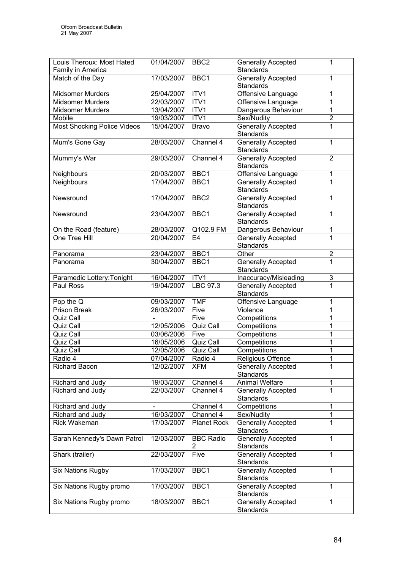| Louis Theroux: Most Hated<br>Family in America | 01/04/2007 | BBC <sub>2</sub>      | <b>Generally Accepted</b><br>Standards        | 1              |
|------------------------------------------------|------------|-----------------------|-----------------------------------------------|----------------|
| Match of the Day                               | 17/03/2007 | BBC1                  | Generally Accepted<br>Standards               | 1              |
| <b>Midsomer Murders</b>                        | 25/04/2007 | ITV <sub>1</sub>      | Offensive Language                            | 1              |
| <b>Midsomer Murders</b>                        | 22/03/2007 | ITV1                  | Offensive Language                            | 1              |
| <b>Midsomer Murders</b>                        | 13/04/2007 | ITV1                  | Dangerous Behaviour                           | 1              |
| Mobile                                         | 19/03/2007 | ITV1                  | Sex/Nudity                                    | $\overline{2}$ |
| <b>Most Shocking Police Videos</b>             | 15/04/2007 | <b>Bravo</b>          | <b>Generally Accepted</b><br><b>Standards</b> | 1              |
| Mum's Gone Gay                                 | 28/03/2007 | Channel 4             | <b>Generally Accepted</b><br>Standards        | $\mathbf{1}$   |
| Mummy's War                                    | 29/03/2007 | Channel 4             | <b>Generally Accepted</b><br>Standards        | $\overline{2}$ |
| Neighbours                                     | 20/03/2007 | BBC1                  | Offensive Language                            | 1              |
| Neighbours                                     | 17/04/2007 | BBC1                  | <b>Generally Accepted</b><br>Standards        | 1              |
| Newsround                                      | 17/04/2007 | BBC <sub>2</sub>      | Generally Accepted<br>Standards               | 1              |
| Newsround                                      | 23/04/2007 | BBC1                  | <b>Generally Accepted</b><br>Standards        | 1              |
| On the Road (feature)                          | 28/03/2007 | Q102.9 FM             | Dangerous Behaviour                           | 1              |
| One Tree Hill                                  | 20/04/2007 | E <sub>4</sub>        | <b>Generally Accepted</b><br>Standards        | 1              |
| Panorama                                       | 23/04/2007 | BBC1                  | Other                                         | $\overline{2}$ |
| Panorama                                       | 30/04/2007 | BBC1                  | <b>Generally Accepted</b><br>Standards        | 1              |
| Paramedic Lottery: Tonight                     | 16/04/2007 | ITV1                  | Inaccuracy/Misleading                         | 3              |
| Paul Ross                                      | 19/04/2007 | LBC 97.3              | <b>Generally Accepted</b><br>Standards        | $\overline{1}$ |
| Pop the Q                                      | 09/03/2007 | <b>TMF</b>            | Offensive Language                            | 1              |
| Prison Break                                   | 26/03/2007 | Five                  | Violence                                      | 1              |
| Quiz Call                                      |            | Five                  | Competitions                                  | 1              |
| Quiz Call                                      | 12/05/2006 | Quiz Call             | Competitions                                  | 1              |
| Quiz Call                                      | 03/06/2006 | Five                  | Competitions                                  | 1              |
| Quiz Call                                      | 16/05/2006 | Quiz Call             | Competitions                                  | 1              |
| Quiz Call                                      | 12/05/2006 | Quiz Call             | Competitions                                  | 1              |
| Radio 4                                        | 07/04/2007 | Radio 4               | Religious Offence                             | 1              |
| <b>Richard Bacon</b>                           | 12/02/2007 | <b>XFM</b>            | <b>Generally Accepted</b><br>Standards        |                |
| Richard and Judy                               | 19/03/2007 | Channel 4             | <b>Animal Welfare</b>                         | 1              |
| Richard and Judy                               | 22/03/2007 | Channel 4             | <b>Generally Accepted</b><br>Standards        | 1              |
| Richard and Judy                               |            | Channel 4             | Competitions                                  | 1              |
| Richard and Judy                               | 16/03/2007 | Channel 4             | Sex/Nudity                                    | 1              |
| Rick Wakeman                                   | 17/03/2007 | <b>Planet Rock</b>    | Generally Accepted<br>Standards               |                |
| Sarah Kennedy's Dawn Patrol                    | 12/03/2007 | <b>BBC Radio</b><br>2 | <b>Generally Accepted</b><br><b>Standards</b> | 1              |
| Shark (trailer)                                | 22/03/2007 | Five                  | <b>Generally Accepted</b><br>Standards        | 1              |
| <b>Six Nations Rugby</b>                       | 17/03/2007 | BBC1                  | <b>Generally Accepted</b><br>Standards        | 1              |
| Six Nations Rugby promo                        | 17/03/2007 | BBC1                  | <b>Generally Accepted</b><br>Standards        | 1              |
| Six Nations Rugby promo                        | 18/03/2007 | BBC <sub>1</sub>      | <b>Generally Accepted</b><br>Standards        | 1              |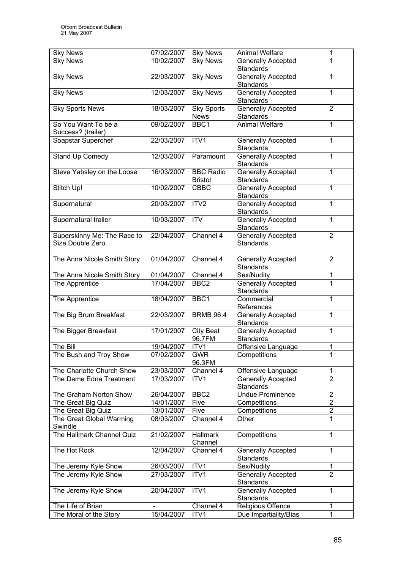| <b>Sky News</b>             | 07/02/2007 | <b>Sky News</b>   | <b>Animal Welfare</b>     | 1              |
|-----------------------------|------------|-------------------|---------------------------|----------------|
| <b>Sky News</b>             | 10/02/2007 | <b>Sky News</b>   | <b>Generally Accepted</b> | 1              |
|                             |            |                   | Standards                 |                |
| <b>Sky News</b>             | 22/03/2007 | Sky News          | <b>Generally Accepted</b> | $\mathbf{1}$   |
|                             |            |                   | Standards                 |                |
| <b>Sky News</b>             | 12/03/2007 | <b>Sky News</b>   | <b>Generally Accepted</b> | $\mathbf{1}$   |
|                             |            |                   | Standards                 |                |
| <b>Sky Sports News</b>      | 18/03/2007 | <b>Sky Sports</b> | Generally Accepted        | $\overline{2}$ |
|                             |            | <b>News</b>       | Standards                 |                |
| So You Want To be a         | 09/02/2007 | BBC1              | <b>Animal Welfare</b>     | 1              |
| Success? (trailer)          |            |                   |                           |                |
| Soapstar Superchef          | 22/03/2007 | ITV1              | <b>Generally Accepted</b> | 1              |
|                             |            |                   | Standards                 |                |
|                             |            |                   |                           | 1              |
| <b>Stand Up Comedy</b>      | 12/03/2007 | Paramount         | <b>Generally Accepted</b> |                |
|                             |            |                   | Standards                 |                |
| Steve Yabsley on the Loose  | 16/03/2007 | <b>BBC Radio</b>  | <b>Generally Accepted</b> | 1              |
|                             |            | <b>Bristol</b>    | Standards                 |                |
| Stitch Up!                  | 10/02/2007 | <b>CBBC</b>       | <b>Generally Accepted</b> | 1              |
|                             |            |                   | Standards                 |                |
| Supernatural                | 20/03/2007 | ITV2              | <b>Generally Accepted</b> | 1              |
|                             |            |                   | Standards                 |                |
| Supernatural trailer        | 10/03/2007 | <b>ITV</b>        | <b>Generally Accepted</b> | $\mathbf{1}$   |
|                             |            |                   | Standards                 |                |
| Superskinny Me: The Race to | 22/04/2007 | Channel 4         | <b>Generally Accepted</b> | $\overline{2}$ |
| Size Double Zero            |            |                   | Standards                 |                |
|                             |            |                   |                           |                |
| The Anna Nicole Smith Story | 01/04/2007 | Channel 4         | <b>Generally Accepted</b> | $\overline{2}$ |
|                             |            |                   | Standards                 |                |
| The Anna Nicole Smith Story | 01/04/2007 | Channel 4         | Sex/Nudity                | 1              |
| The Apprentice              | 17/04/2007 | BBC <sub>2</sub>  | <b>Generally Accepted</b> | $\overline{1}$ |
|                             |            |                   | Standards                 |                |
|                             |            |                   | Commercial                | $\overline{1}$ |
| The Apprentice              | 18/04/2007 | BBC1              |                           |                |
|                             |            |                   | References                |                |
| The Big Brum Breakfast      | 22/03/2007 | <b>BRMB 96.4</b>  | <b>Generally Accepted</b> | $\mathbf 1$    |
|                             |            |                   | Standards                 |                |
| The Bigger Breakfast        | 17/01/2007 | City Beat         | <b>Generally Accepted</b> | 1              |
|                             |            | 96.7FM            | Standards                 |                |
| The Bill                    | 19/04/2007 | ITV <sub>1</sub>  | Offensive Language        | 1              |
| The Bush and Troy Show      | 07/02/2007 | <b>GWR</b>        | Competitions              | $\mathbf{1}$   |
|                             |            | 96.3FM            |                           |                |
| The Charlotte Church Show   | 23/03/2007 | Channel 4         | Offensive Language        | 1              |
| The Dame Edna Treatment     | 17/03/2007 | ITV1              | <b>Generally Accepted</b> | $\overline{2}$ |
|                             |            |                   | Standards                 |                |
| The Graham Norton Show      | 26/04/2007 | BBC <sub>2</sub>  | Undue Prominence          | $\overline{2}$ |
| The Great Big Quiz          | 14/01/2007 | Five              | Competitions              | 2              |
| The Great Big Quiz          | 13/01/2007 | Five              | Competitions              | $\overline{2}$ |
| The Great Global Warming    | 08/03/2007 | Channel 4         | Other                     | 1              |
| Swindle                     |            |                   |                           |                |
| The Hallmark Channel Quiz   | 21/02/2007 | <b>Hallmark</b>   | Competitions              | $\mathbf{1}$   |
|                             |            | Channel           |                           |                |
| The Hot Rock                | 12/04/2007 |                   |                           | $\mathbf{1}$   |
|                             |            | Channel 4         | Generally Accepted        |                |
|                             |            |                   | Standards                 |                |
| The Jeremy Kyle Show        | 26/03/2007 | ITV1              | Sex/Nudity                | 1              |
| The Jeremy Kyle Show        | 27/03/2007 | ITV1              | Generally Accepted        | $\overline{2}$ |
|                             |            |                   | Standards                 |                |
| The Jeremy Kyle Show        | 20/04/2007 | ITV1              | Generally Accepted        | $\mathbf 1$    |
|                             |            |                   | Standards                 |                |
| The Life of Brian           |            | Channel 4         | Religious Offence         | 1              |
| The Moral of the Story      | 15/04/2007 | ITV1              | Due Impartiality/Bias     | $\overline{1}$ |